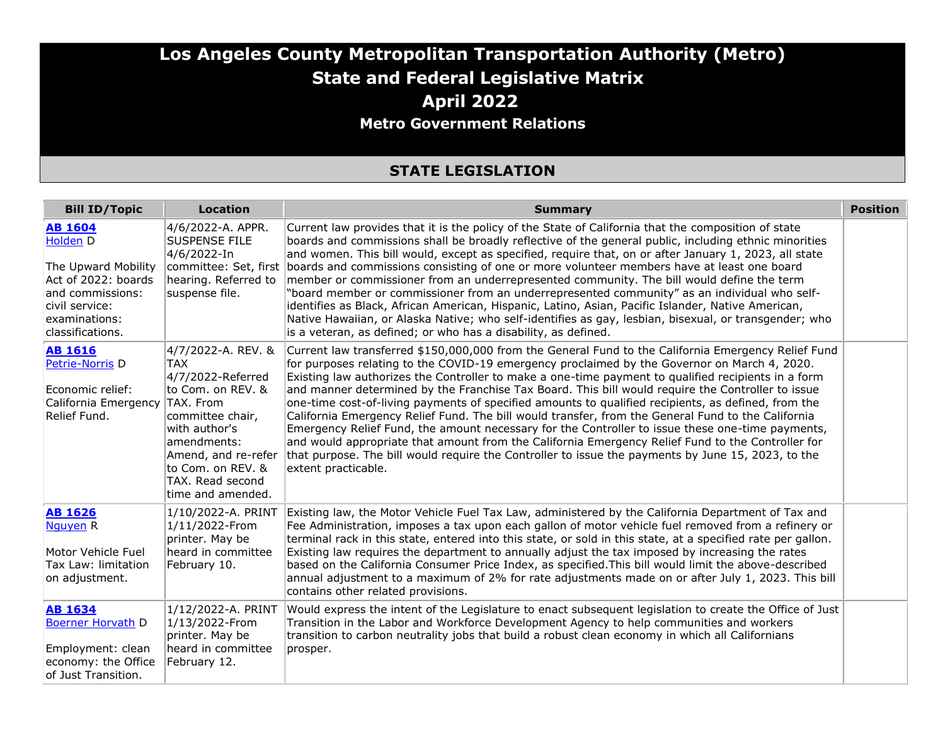#### **Los Angeles County Metropolitan Transportation Authority (Metro) State and Federal Legislative Matrix April 2022 Metro Government Relations**

#### **STATE LEGISLATION**

| <b>Bill ID/Topic</b>                                                                                                                                | <b>Location</b>                                                                                                                                                                                            | <b>Summary</b>                                                                                                                                                                                                                                                                                                                                                                                                                                                                                                                                                                                                                                                                                                                                                                                                                                                                                                                                                                         | <b>Position</b> |
|-----------------------------------------------------------------------------------------------------------------------------------------------------|------------------------------------------------------------------------------------------------------------------------------------------------------------------------------------------------------------|----------------------------------------------------------------------------------------------------------------------------------------------------------------------------------------------------------------------------------------------------------------------------------------------------------------------------------------------------------------------------------------------------------------------------------------------------------------------------------------------------------------------------------------------------------------------------------------------------------------------------------------------------------------------------------------------------------------------------------------------------------------------------------------------------------------------------------------------------------------------------------------------------------------------------------------------------------------------------------------|-----------------|
| <b>AB 1604</b><br>Holden D<br>The Upward Mobility<br>Act of 2022: boards<br>and commissions:<br>civil service:<br>examinations:<br>classifications. | 4/6/2022-A. APPR.<br><b>SUSPENSE FILE</b><br>4/6/2022-In<br>hearing. Referred to<br>suspense file.                                                                                                         | Current law provides that it is the policy of the State of California that the composition of state<br>boards and commissions shall be broadly reflective of the general public, including ethnic minorities<br>and women. This bill would, except as specified, require that, on or after January 1, 2023, all state<br>committee: Set, first boards and commissions consisting of one or more volunteer members have at least one board<br>member or commissioner from an underrepresented community. The bill would define the term<br>"board member or commissioner from an underrepresented community" as an individual who self-<br>identifies as Black, African American, Hispanic, Latino, Asian, Pacific Islander, Native American,<br>Native Hawaiian, or Alaska Native; who self-identifies as gay, lesbian, bisexual, or transgender; who<br>is a veteran, as defined; or who has a disability, as defined.                                                                |                 |
| <b>AB 1616</b><br>Petrie-Norris D<br>Economic relief:<br>California Emergency<br>Relief Fund.                                                       | 4/7/2022-A. REV. &<br><b>TAX</b><br>4/7/2022-Referred<br>to Com. on REV. &<br>TAX. From<br>committee chair.<br>with author's<br>lamendments:<br>to Com. on REV. &<br>TAX. Read second<br>time and amended. | Current law transferred \$150,000,000 from the General Fund to the California Emergency Relief Fund<br>for purposes relating to the COVID-19 emergency proclaimed by the Governor on March 4, 2020.<br>Existing law authorizes the Controller to make a one-time payment to qualified recipients in a form<br>and manner determined by the Franchise Tax Board. This bill would require the Controller to issue<br>one-time cost-of-living payments of specified amounts to qualified recipients, as defined, from the<br>California Emergency Relief Fund. The bill would transfer, from the General Fund to the California<br>Emergency Relief Fund, the amount necessary for the Controller to issue these one-time payments,<br>and would appropriate that amount from the California Emergency Relief Fund to the Controller for<br>Amend, and re-refer that purpose. The bill would require the Controller to issue the payments by June 15, 2023, to the<br>extent practicable. |                 |
| <b>AB 1626</b><br>Nauyen <sub>R</sub><br>Motor Vehicle Fuel<br>Tax Law: limitation<br>on adjustment.                                                | 1/10/2022-A. PRINT<br>1/11/2022-From<br>printer. May be<br>heard in committee<br>February 10.                                                                                                              | Existing law, the Motor Vehicle Fuel Tax Law, administered by the California Department of Tax and<br>Fee Administration, imposes a tax upon each gallon of motor vehicle fuel removed from a refinery or<br>terminal rack in this state, entered into this state, or sold in this state, at a specified rate per gallon.<br>Existing law requires the department to annually adjust the tax imposed by increasing the rates<br>based on the California Consumer Price Index, as specified. This bill would limit the above-described<br>annual adjustment to a maximum of 2% for rate adjustments made on or after July 1, 2023. This bill<br>contains other related provisions.                                                                                                                                                                                                                                                                                                      |                 |
| <b>AB 1634</b><br><b>Boerner Horvath D</b><br>Employment: clean<br>economy: the Office<br>of Just Transition.                                       | 1/12/2022-A. PRINT<br>1/13/2022-From<br>printer. May be<br>heard in committee<br>February 12.                                                                                                              | Would express the intent of the Legislature to enact subsequent legislation to create the Office of Just<br>Transition in the Labor and Workforce Development Agency to help communities and workers<br>transition to carbon neutrality jobs that build a robust clean economy in which all Californians<br>prosper.                                                                                                                                                                                                                                                                                                                                                                                                                                                                                                                                                                                                                                                                   |                 |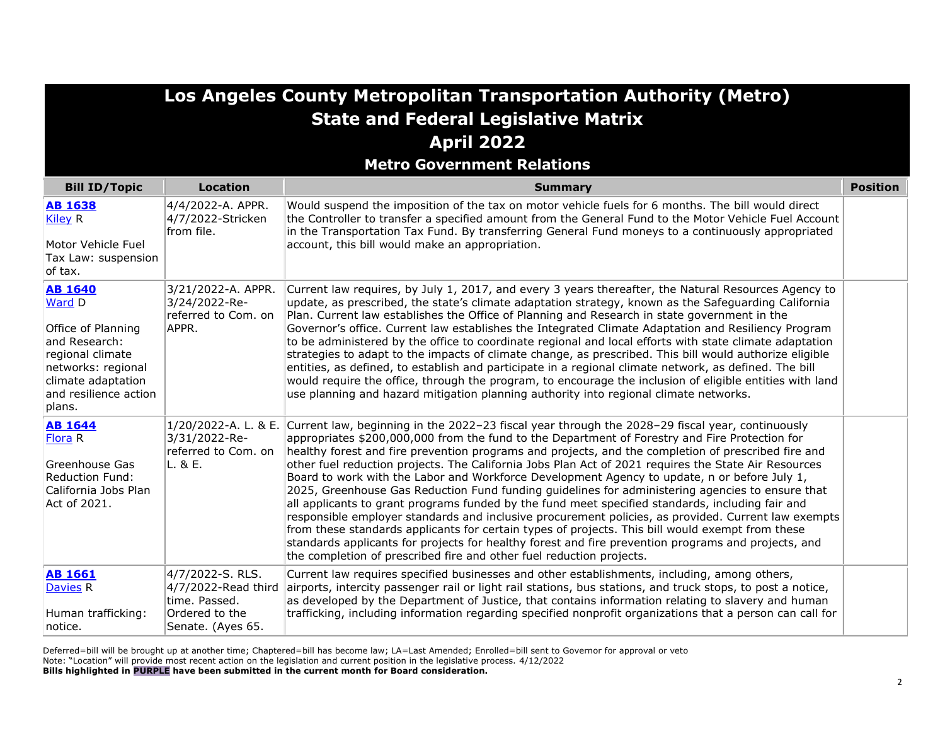|                                                                                                                                                                    |                                                                                                 | Los Angeles County Metropolitan Transportation Authority (Metro)                                                                                                                                                                                                                                                                                                                                                                                                                                                                                                                                                                                                                                                                                                                                                                                                                                                                                                                                                                                                                                                                        |                 |
|--------------------------------------------------------------------------------------------------------------------------------------------------------------------|-------------------------------------------------------------------------------------------------|-----------------------------------------------------------------------------------------------------------------------------------------------------------------------------------------------------------------------------------------------------------------------------------------------------------------------------------------------------------------------------------------------------------------------------------------------------------------------------------------------------------------------------------------------------------------------------------------------------------------------------------------------------------------------------------------------------------------------------------------------------------------------------------------------------------------------------------------------------------------------------------------------------------------------------------------------------------------------------------------------------------------------------------------------------------------------------------------------------------------------------------------|-----------------|
|                                                                                                                                                                    |                                                                                                 | <b>State and Federal Legislative Matrix</b>                                                                                                                                                                                                                                                                                                                                                                                                                                                                                                                                                                                                                                                                                                                                                                                                                                                                                                                                                                                                                                                                                             |                 |
|                                                                                                                                                                    |                                                                                                 | <b>April 2022</b>                                                                                                                                                                                                                                                                                                                                                                                                                                                                                                                                                                                                                                                                                                                                                                                                                                                                                                                                                                                                                                                                                                                       |                 |
|                                                                                                                                                                    |                                                                                                 | <b>Metro Government Relations</b>                                                                                                                                                                                                                                                                                                                                                                                                                                                                                                                                                                                                                                                                                                                                                                                                                                                                                                                                                                                                                                                                                                       |                 |
| <b>Bill ID/Topic</b>                                                                                                                                               | <b>Location</b>                                                                                 | <b>Summary</b>                                                                                                                                                                                                                                                                                                                                                                                                                                                                                                                                                                                                                                                                                                                                                                                                                                                                                                                                                                                                                                                                                                                          | <b>Position</b> |
| <b>AB 1638</b><br><b>Kiley R</b><br>Motor Vehicle Fuel<br>Tax Law: suspension<br>of tax.                                                                           | 4/4/2022-A. APPR.<br>4/7/2022-Stricken<br>from file.                                            | Would suspend the imposition of the tax on motor vehicle fuels for 6 months. The bill would direct<br>the Controller to transfer a specified amount from the General Fund to the Motor Vehicle Fuel Account<br>in the Transportation Tax Fund. By transferring General Fund moneys to a continuously appropriated<br>account, this bill would make an appropriation.                                                                                                                                                                                                                                                                                                                                                                                                                                                                                                                                                                                                                                                                                                                                                                    |                 |
| <b>AB 1640</b><br>Ward D<br>Office of Planning<br>and Research:<br>regional climate<br>networks: regional<br>climate adaptation<br>and resilience action<br>plans. | 3/21/2022-A. APPR.<br>3/24/2022-Re-<br>referred to Com. on<br>APPR.                             | Current law requires, by July 1, 2017, and every 3 years thereafter, the Natural Resources Agency to<br>update, as prescribed, the state's climate adaptation strategy, known as the Safeguarding California<br>Plan. Current law establishes the Office of Planning and Research in state government in the<br>Governor's office. Current law establishes the Integrated Climate Adaptation and Resiliency Program<br>to be administered by the office to coordinate regional and local efforts with state climate adaptation<br>strategies to adapt to the impacts of climate change, as prescribed. This bill would authorize eligible<br>entities, as defined, to establish and participate in a regional climate network, as defined. The bill<br>would require the office, through the program, to encourage the inclusion of eligible entities with land<br>use planning and hazard mitigation planning authority into regional climate networks.                                                                                                                                                                                |                 |
| <b>AB 1644</b><br>Flora R<br>Greenhouse Gas<br><b>Reduction Fund:</b><br>California Jobs Plan<br>Act of 2021.                                                      | 3/31/2022-Re-<br>referred to Com. on<br>L. & E.                                                 | 1/20/2022-A. L. & E. Current law, beginning in the 2022-23 fiscal year through the 2028-29 fiscal year, continuously<br>appropriates \$200,000,000 from the fund to the Department of Forestry and Fire Protection for<br>healthy forest and fire prevention programs and projects, and the completion of prescribed fire and<br>other fuel reduction projects. The California Jobs Plan Act of 2021 requires the State Air Resources<br>Board to work with the Labor and Workforce Development Agency to update, n or before July 1,<br>2025, Greenhouse Gas Reduction Fund funding guidelines for administering agencies to ensure that<br>all applicants to grant programs funded by the fund meet specified standards, including fair and<br>responsible employer standards and inclusive procurement policies, as provided. Current law exempts<br>from these standards applicants for certain types of projects. This bill would exempt from these<br>standards applicants for projects for healthy forest and fire prevention programs and projects, and<br>the completion of prescribed fire and other fuel reduction projects. |                 |
| <b>AB 1661</b><br>Davies <sub>R</sub><br>Human trafficking:<br>notice.                                                                                             | 4/7/2022-S. RLS.<br>4/7/2022-Read third<br>time. Passed.<br>Ordered to the<br>Senate. (Ayes 65. | Current law requires specified businesses and other establishments, including, among others,<br>airports, intercity passenger rail or light rail stations, bus stations, and truck stops, to post a notice,<br>as developed by the Department of Justice, that contains information relating to slavery and human<br>trafficking, including information regarding specified nonprofit organizations that a person can call for                                                                                                                                                                                                                                                                                                                                                                                                                                                                                                                                                                                                                                                                                                          |                 |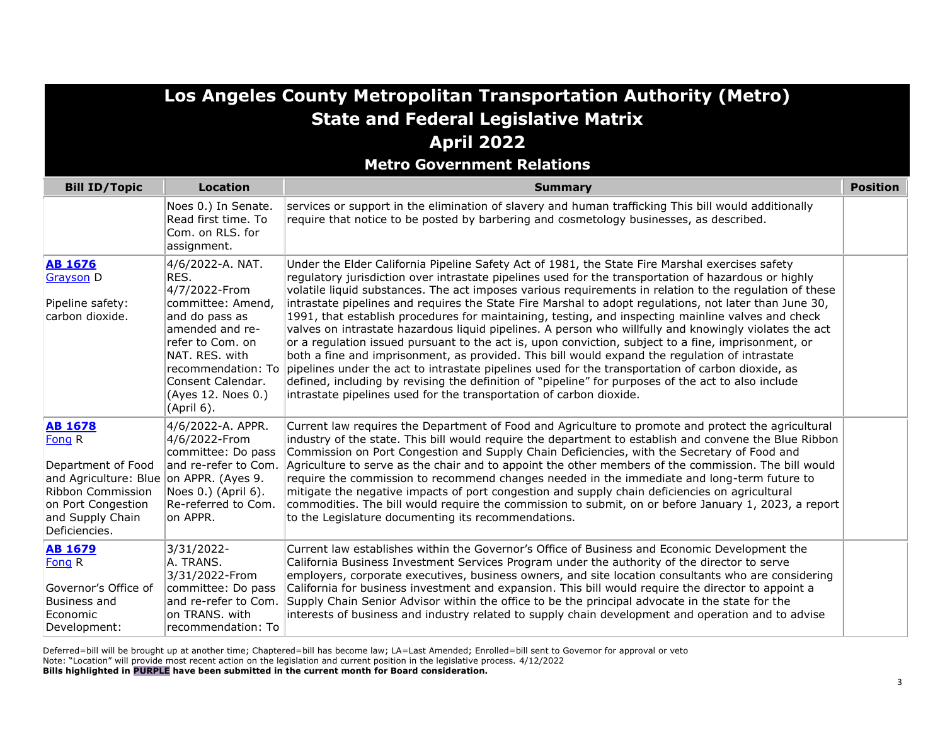|                                                                                                                                                                           |                                                                                                                                                                                                    | Los Angeles County Metropolitan Transportation Authority (Metro)<br><b>State and Federal Legislative Matrix</b>                                                                                                                                                                                                                                                                                                                                                                                                                                                                                                                                                                                                                                                                                                                                                                                                                                                                                                                                                                                                                                             |                 |
|---------------------------------------------------------------------------------------------------------------------------------------------------------------------------|----------------------------------------------------------------------------------------------------------------------------------------------------------------------------------------------------|-------------------------------------------------------------------------------------------------------------------------------------------------------------------------------------------------------------------------------------------------------------------------------------------------------------------------------------------------------------------------------------------------------------------------------------------------------------------------------------------------------------------------------------------------------------------------------------------------------------------------------------------------------------------------------------------------------------------------------------------------------------------------------------------------------------------------------------------------------------------------------------------------------------------------------------------------------------------------------------------------------------------------------------------------------------------------------------------------------------------------------------------------------------|-----------------|
|                                                                                                                                                                           |                                                                                                                                                                                                    | <b>April 2022</b>                                                                                                                                                                                                                                                                                                                                                                                                                                                                                                                                                                                                                                                                                                                                                                                                                                                                                                                                                                                                                                                                                                                                           |                 |
|                                                                                                                                                                           |                                                                                                                                                                                                    | <b>Metro Government Relations</b>                                                                                                                                                                                                                                                                                                                                                                                                                                                                                                                                                                                                                                                                                                                                                                                                                                                                                                                                                                                                                                                                                                                           |                 |
| <b>Bill ID/Topic</b>                                                                                                                                                      | <b>Location</b>                                                                                                                                                                                    | <b>Summary</b>                                                                                                                                                                                                                                                                                                                                                                                                                                                                                                                                                                                                                                                                                                                                                                                                                                                                                                                                                                                                                                                                                                                                              | <b>Position</b> |
|                                                                                                                                                                           | Noes 0.) In Senate.<br>Read first time. To<br>Com. on RLS. for<br>assignment.                                                                                                                      | services or support in the elimination of slavery and human trafficking This bill would additionally<br>require that notice to be posted by barbering and cosmetology businesses, as described.                                                                                                                                                                                                                                                                                                                                                                                                                                                                                                                                                                                                                                                                                                                                                                                                                                                                                                                                                             |                 |
| <b>AB 1676</b><br>Grayson D<br>Pipeline safety:<br>carbon dioxide.                                                                                                        | 4/6/2022-A. NAT.<br>RES.<br>4/7/2022-From<br>committee: Amend,<br>and do pass as<br>amended and re-<br>refer to Com. on<br>NAT. RES. with<br>Consent Calendar.<br>(Ayes 12. Noes 0.)<br>(April 6). | Under the Elder California Pipeline Safety Act of 1981, the State Fire Marshal exercises safety<br>regulatory jurisdiction over intrastate pipelines used for the transportation of hazardous or highly<br>volatile liquid substances. The act imposes various requirements in relation to the regulation of these<br>intrastate pipelines and requires the State Fire Marshal to adopt requiations, not later than June 30,<br>1991, that establish procedures for maintaining, testing, and inspecting mainline valves and check<br>valves on intrastate hazardous liquid pipelines. A person who willfully and knowingly violates the act<br>or a regulation issued pursuant to the act is, upon conviction, subject to a fine, imprisonment, or<br>both a fine and imprisonment, as provided. This bill would expand the regulation of intrastate<br>recommendation: To pipelines under the act to intrastate pipelines used for the transportation of carbon dioxide, as<br>defined, including by revising the definition of "pipeline" for purposes of the act to also include<br>intrastate pipelines used for the transportation of carbon dioxide. |                 |
| <b>AB 1678</b><br>Fong R<br>Department of Food<br>and Agriculture: Blue on APPR. (Ayes 9.<br>Ribbon Commission<br>on Port Congestion<br>and Supply Chain<br>Deficiencies. | 4/6/2022-A. APPR.<br>4/6/2022-From<br>committee: Do pass<br>and re-refer to Com.<br>Noes 0.) (April 6).<br>Re-referred to Com.<br>on APPR.                                                         | Current law requires the Department of Food and Agriculture to promote and protect the agricultural<br>industry of the state. This bill would require the department to establish and convene the Blue Ribbon<br>Commission on Port Congestion and Supply Chain Deficiencies, with the Secretary of Food and<br>Agriculture to serve as the chair and to appoint the other members of the commission. The bill would<br>require the commission to recommend changes needed in the immediate and long-term future to<br>mitigate the negative impacts of port congestion and supply chain deficiencies on agricultural<br>commodities. The bill would require the commission to submit, on or before January 1, 2023, a report<br>to the Legislature documenting its recommendations.                                                                                                                                                                                                                                                                                                                                                                        |                 |
| <b>AB 1679</b><br>Fong R<br>Governor's Office of<br>Business and<br>Economic<br>Development:                                                                              | 3/31/2022-<br>A. TRANS.<br>3/31/2022-From<br>committee: Do pass<br>and re-refer to Com.<br>on TRANS. with<br>recommendation: To                                                                    | Current law establishes within the Governor's Office of Business and Economic Development the<br>California Business Investment Services Program under the authority of the director to serve<br>employers, corporate executives, business owners, and site location consultants who are considering<br>California for business investment and expansion. This bill would require the director to appoint a<br>Supply Chain Senior Advisor within the office to be the principal advocate in the state for the<br>interests of business and industry related to supply chain development and operation and to advise                                                                                                                                                                                                                                                                                                                                                                                                                                                                                                                                        |                 |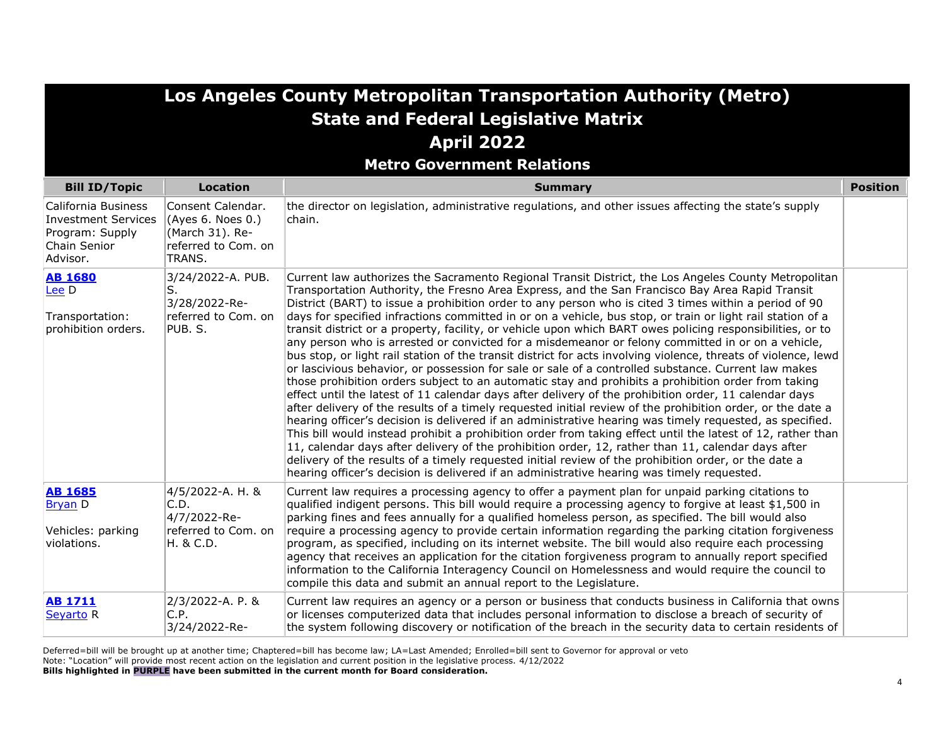|                                                                                           |                                                                                            | <b>Los Angeles County Metropolitan Transportation Authority (Metro)</b>                                                                                                                                                                                                                                                                                                                                                                                                                                                                                                                                                                                                                                                                                                                                                                                                                                                                                                                                                                                                                                                                                                                                                                                                                                                                                                                                                                                                                                                                                                                                                                                                                                                                         |                 |
|-------------------------------------------------------------------------------------------|--------------------------------------------------------------------------------------------|-------------------------------------------------------------------------------------------------------------------------------------------------------------------------------------------------------------------------------------------------------------------------------------------------------------------------------------------------------------------------------------------------------------------------------------------------------------------------------------------------------------------------------------------------------------------------------------------------------------------------------------------------------------------------------------------------------------------------------------------------------------------------------------------------------------------------------------------------------------------------------------------------------------------------------------------------------------------------------------------------------------------------------------------------------------------------------------------------------------------------------------------------------------------------------------------------------------------------------------------------------------------------------------------------------------------------------------------------------------------------------------------------------------------------------------------------------------------------------------------------------------------------------------------------------------------------------------------------------------------------------------------------------------------------------------------------------------------------------------------------|-----------------|
|                                                                                           |                                                                                            | <b>State and Federal Legislative Matrix</b>                                                                                                                                                                                                                                                                                                                                                                                                                                                                                                                                                                                                                                                                                                                                                                                                                                                                                                                                                                                                                                                                                                                                                                                                                                                                                                                                                                                                                                                                                                                                                                                                                                                                                                     |                 |
|                                                                                           |                                                                                            | <b>April 2022</b>                                                                                                                                                                                                                                                                                                                                                                                                                                                                                                                                                                                                                                                                                                                                                                                                                                                                                                                                                                                                                                                                                                                                                                                                                                                                                                                                                                                                                                                                                                                                                                                                                                                                                                                               |                 |
|                                                                                           |                                                                                            | <b>Metro Government Relations</b>                                                                                                                                                                                                                                                                                                                                                                                                                                                                                                                                                                                                                                                                                                                                                                                                                                                                                                                                                                                                                                                                                                                                                                                                                                                                                                                                                                                                                                                                                                                                                                                                                                                                                                               |                 |
| <b>Bill ID/Topic</b>                                                                      | <b>Location</b>                                                                            | <b>Summary</b>                                                                                                                                                                                                                                                                                                                                                                                                                                                                                                                                                                                                                                                                                                                                                                                                                                                                                                                                                                                                                                                                                                                                                                                                                                                                                                                                                                                                                                                                                                                                                                                                                                                                                                                                  | <b>Position</b> |
| California Business<br>Investment Services<br>Program: Supply<br>Chain Senior<br>Advisor. | Consent Calendar.<br>(Ayes 6. Noes 0.)<br>(March 31). Re-<br>referred to Com. on<br>TRANS. | the director on legislation, administrative regulations, and other issues affecting the state's supply<br>chain.                                                                                                                                                                                                                                                                                                                                                                                                                                                                                                                                                                                                                                                                                                                                                                                                                                                                                                                                                                                                                                                                                                                                                                                                                                                                                                                                                                                                                                                                                                                                                                                                                                |                 |
| <b>AB 1680</b><br>Lee D<br>Transportation:<br>prohibition orders.                         | 3/24/2022-A. PUB.<br>S.<br>3/28/2022-Re-<br>referred to Com. on<br>PUB. S.                 | Current law authorizes the Sacramento Regional Transit District, the Los Angeles County Metropolitan<br>Transportation Authority, the Fresno Area Express, and the San Francisco Bay Area Rapid Transit<br>District (BART) to issue a prohibition order to any person who is cited 3 times within a period of 90<br>days for specified infractions committed in or on a vehicle, bus stop, or train or light rail station of a<br>transit district or a property, facility, or vehicle upon which BART owes policing responsibilities, or to<br>any person who is arrested or convicted for a misdemeanor or felony committed in or on a vehicle,<br>bus stop, or light rail station of the transit district for acts involving violence, threats of violence, lewd<br>or lascivious behavior, or possession for sale or sale of a controlled substance. Current law makes<br>those prohibition orders subject to an automatic stay and prohibits a prohibition order from taking<br>effect until the latest of 11 calendar days after delivery of the prohibition order, 11 calendar days<br>after delivery of the results of a timely requested initial review of the prohibition order, or the date a<br>hearing officer's decision is delivered if an administrative hearing was timely requested, as specified.<br>This bill would instead prohibit a prohibition order from taking effect until the latest of 12, rather than<br>11, calendar days after delivery of the prohibition order, 12, rather than 11, calendar days after<br>delivery of the results of a timely requested initial review of the prohibition order, or the date a<br>hearing officer's decision is delivered if an administrative hearing was timely requested. |                 |
| <b>AB 1685</b><br><b>Bryan D</b><br>Vehicles: parking<br>violations.                      | 4/5/2022-A. H. &<br>C.D.<br>4/7/2022-Re-<br>referred to Com. on<br>H. & C.D.               | Current law requires a processing agency to offer a payment plan for unpaid parking citations to<br>qualified indigent persons. This bill would require a processing agency to forgive at least \$1,500 in<br>parking fines and fees annually for a qualified homeless person, as specified. The bill would also<br>require a processing agency to provide certain information regarding the parking citation forgiveness<br>program, as specified, including on its internet website. The bill would also require each processing<br>agency that receives an application for the citation forgiveness program to annually report specified<br>information to the California Interagency Council on Homelessness and would require the council to<br>compile this data and submit an annual report to the Legislature.                                                                                                                                                                                                                                                                                                                                                                                                                                                                                                                                                                                                                                                                                                                                                                                                                                                                                                                          |                 |
| <b>AB 1711</b><br>Seyarto <sub>R</sub>                                                    | 2/3/2022-A. P. &<br>C.P.<br>3/24/2022-Re-                                                  | Current law requires an agency or a person or business that conducts business in California that owns<br>or licenses computerized data that includes personal information to disclose a breach of security of<br>the system following discovery or notification of the breach in the security data to certain residents of                                                                                                                                                                                                                                                                                                                                                                                                                                                                                                                                                                                                                                                                                                                                                                                                                                                                                                                                                                                                                                                                                                                                                                                                                                                                                                                                                                                                                      |                 |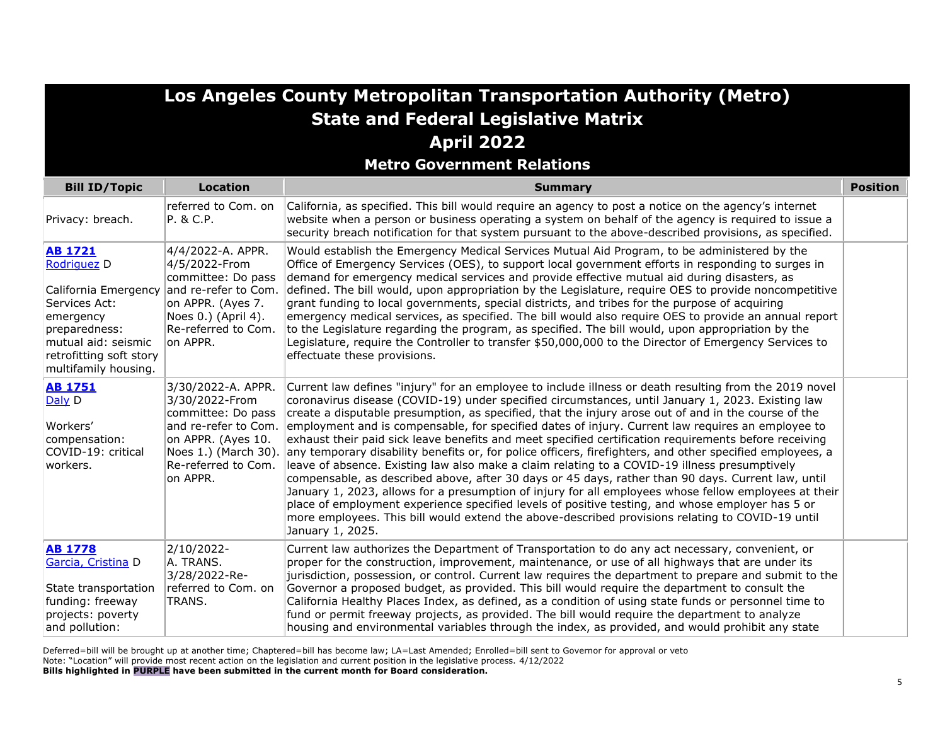|                                                                                                                                                                                |                                                                                                                                         | Los Angeles County Metropolitan Transportation Authority (Metro)                                                                                                                                                                                                                                                                                                                                                                                                                                                                                                                                                                                                                                                                                                                                                                                                                                                                                                                                                                                                                                                                                                                                                                     |                 |
|--------------------------------------------------------------------------------------------------------------------------------------------------------------------------------|-----------------------------------------------------------------------------------------------------------------------------------------|--------------------------------------------------------------------------------------------------------------------------------------------------------------------------------------------------------------------------------------------------------------------------------------------------------------------------------------------------------------------------------------------------------------------------------------------------------------------------------------------------------------------------------------------------------------------------------------------------------------------------------------------------------------------------------------------------------------------------------------------------------------------------------------------------------------------------------------------------------------------------------------------------------------------------------------------------------------------------------------------------------------------------------------------------------------------------------------------------------------------------------------------------------------------------------------------------------------------------------------|-----------------|
|                                                                                                                                                                                |                                                                                                                                         | <b>State and Federal Legislative Matrix</b>                                                                                                                                                                                                                                                                                                                                                                                                                                                                                                                                                                                                                                                                                                                                                                                                                                                                                                                                                                                                                                                                                                                                                                                          |                 |
|                                                                                                                                                                                |                                                                                                                                         | <b>April 2022</b>                                                                                                                                                                                                                                                                                                                                                                                                                                                                                                                                                                                                                                                                                                                                                                                                                                                                                                                                                                                                                                                                                                                                                                                                                    |                 |
|                                                                                                                                                                                |                                                                                                                                         | <b>Metro Government Relations</b>                                                                                                                                                                                                                                                                                                                                                                                                                                                                                                                                                                                                                                                                                                                                                                                                                                                                                                                                                                                                                                                                                                                                                                                                    |                 |
| <b>Bill ID/Topic</b>                                                                                                                                                           | <b>Location</b>                                                                                                                         | <b>Summary</b>                                                                                                                                                                                                                                                                                                                                                                                                                                                                                                                                                                                                                                                                                                                                                                                                                                                                                                                                                                                                                                                                                                                                                                                                                       | <b>Position</b> |
| Privacy: breach.                                                                                                                                                               | referred to Com. on<br>P. & C.P.                                                                                                        | California, as specified. This bill would require an agency to post a notice on the agency's internet<br>website when a person or business operating a system on behalf of the agency is required to issue a<br>security breach notification for that system pursuant to the above-described provisions, as specified.                                                                                                                                                                                                                                                                                                                                                                                                                                                                                                                                                                                                                                                                                                                                                                                                                                                                                                               |                 |
| <b>AB 1721</b><br>Rodriguez D<br>California Emergency<br>Services Act:<br>emergency<br>preparedness:<br>mutual aid: seismic<br>retrofitting soft story<br>multifamily housing. | 4/4/2022-A. APPR.<br>4/5/2022-From<br>committee: Do pass<br>on APPR. (Ayes 7.<br>Noes 0.) (April 4).<br>Re-referred to Com.<br>on APPR. | Would establish the Emergency Medical Services Mutual Aid Program, to be administered by the<br>Office of Emergency Services (OES), to support local government efforts in responding to surges in<br>demand for emergency medical services and provide effective mutual aid during disasters, as<br>and re-refer to Com. defined. The bill would, upon appropriation by the Legislature, require OES to provide noncompetitive<br>grant funding to local governments, special districts, and tribes for the purpose of acquiring<br>emergency medical services, as specified. The bill would also require OES to provide an annual report<br>to the Legislature regarding the program, as specified. The bill would, upon appropriation by the<br>Legislature, require the Controller to transfer \$50,000,000 to the Director of Emergency Services to<br>effectuate these provisions.                                                                                                                                                                                                                                                                                                                                             |                 |
| <b>AB 1751</b><br>Daly D<br>Workers'<br>compensation:<br>COVID-19: critical<br>workers.                                                                                        | 3/30/2022-A. APPR.<br>3/30/2022-From<br>committee: Do pass<br>on APPR. (Ayes 10.<br>Re-referred to Com.<br>on APPR.                     | Current law defines "injury" for an employee to include illness or death resulting from the 2019 novel<br>coronavirus disease (COVID-19) under specified circumstances, until January 1, 2023. Existing law<br>create a disputable presumption, as specified, that the injury arose out of and in the course of the<br>and re-refer to Com. employment and is compensable, for specified dates of injury. Current law requires an employee to<br>exhaust their paid sick leave benefits and meet specified certification requirements before receiving<br>Noes 1.) (March 30). any temporary disability benefits or, for police officers, firefighters, and other specified employees, a<br>leave of absence. Existing law also make a claim relating to a COVID-19 illness presumptively<br>compensable, as described above, after 30 days or 45 days, rather than 90 days. Current law, until<br>January 1, 2023, allows for a presumption of injury for all employees whose fellow employees at their<br>place of employment experience specified levels of positive testing, and whose employer has 5 or<br>more employees. This bill would extend the above-described provisions relating to COVID-19 until<br>January 1, 2025. |                 |
| <b>AB 1778</b><br>Garcia, Cristina D<br>State transportation<br>funding: freeway<br>projects: poverty<br>and pollution:                                                        | 2/10/2022-<br>A. TRANS.<br>3/28/2022-Re-<br>referred to Com. on<br>TRANS.                                                               | Current law authorizes the Department of Transportation to do any act necessary, convenient, or<br>proper for the construction, improvement, maintenance, or use of all highways that are under its<br>jurisdiction, possession, or control. Current law requires the department to prepare and submit to the<br>Governor a proposed budget, as provided. This bill would require the department to consult the<br>California Healthy Places Index, as defined, as a condition of using state funds or personnel time to<br>fund or permit freeway projects, as provided. The bill would require the department to analyze<br>housing and environmental variables through the index, as provided, and would prohibit any state                                                                                                                                                                                                                                                                                                                                                                                                                                                                                                       |                 |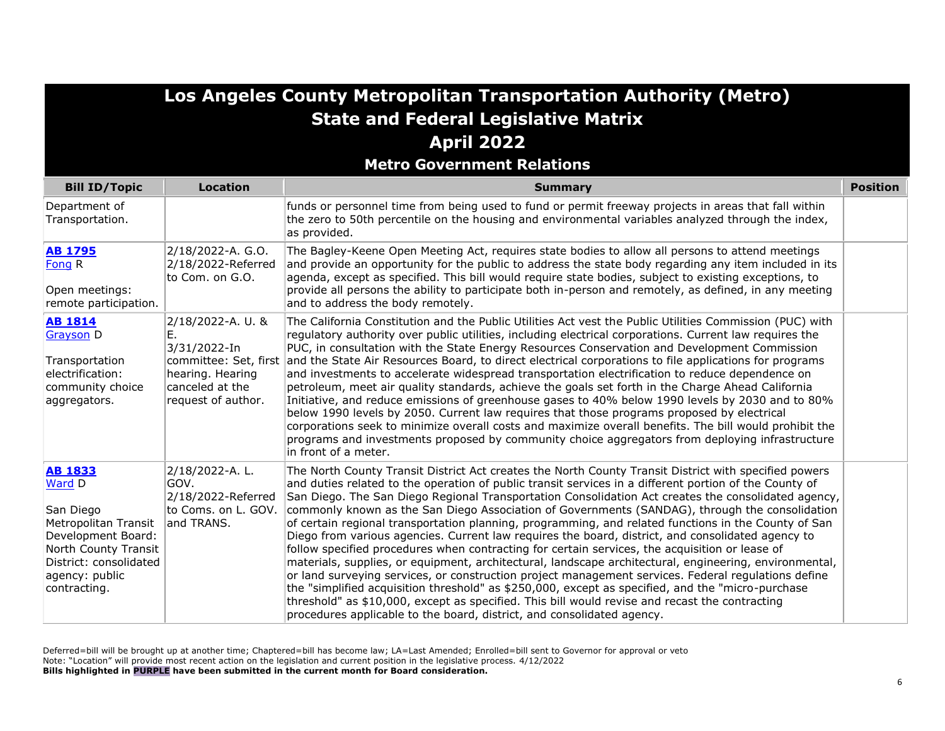#### **Metro Government Relations**

| <b>Bill ID/Topic</b>                                                                                                                                                    | <b>Location</b>                                                                                      | <b>Summary</b>                                                                                                                                                                                                                                                                                                                                                                                                                                                                                                                                                                                                                                                                                                                                                                                                                                                                                                                                                                                                                                                                                                                                                                                                                             | <b>Position</b> |
|-------------------------------------------------------------------------------------------------------------------------------------------------------------------------|------------------------------------------------------------------------------------------------------|--------------------------------------------------------------------------------------------------------------------------------------------------------------------------------------------------------------------------------------------------------------------------------------------------------------------------------------------------------------------------------------------------------------------------------------------------------------------------------------------------------------------------------------------------------------------------------------------------------------------------------------------------------------------------------------------------------------------------------------------------------------------------------------------------------------------------------------------------------------------------------------------------------------------------------------------------------------------------------------------------------------------------------------------------------------------------------------------------------------------------------------------------------------------------------------------------------------------------------------------|-----------------|
| Department of<br>Transportation.                                                                                                                                        |                                                                                                      | funds or personnel time from being used to fund or permit freeway projects in areas that fall within<br>the zero to 50th percentile on the housing and environmental variables analyzed through the index,<br>as provided.                                                                                                                                                                                                                                                                                                                                                                                                                                                                                                                                                                                                                                                                                                                                                                                                                                                                                                                                                                                                                 |                 |
| <b>AB 1795</b><br>Fong R<br>Open meetings:<br>remote participation.                                                                                                     | 2/18/2022-A. G.O.<br>2/18/2022-Referred<br>to Com. on G.O.                                           | The Bagley-Keene Open Meeting Act, requires state bodies to allow all persons to attend meetings<br>and provide an opportunity for the public to address the state body regarding any item included in its<br>agenda, except as specified. This bill would require state bodies, subject to existing exceptions, to<br>provide all persons the ability to participate both in-person and remotely, as defined, in any meeting<br>and to address the body remotely.                                                                                                                                                                                                                                                                                                                                                                                                                                                                                                                                                                                                                                                                                                                                                                         |                 |
| <b>AB 1814</b><br>Grayson D<br>Transportation<br>electrification:<br>community choice<br>aggregators.                                                                   | 2/18/2022-A. U. &<br>Е.<br>3/31/2022-In<br>hearing. Hearing<br>canceled at the<br>request of author. | The California Constitution and the Public Utilities Act vest the Public Utilities Commission (PUC) with<br>regulatory authority over public utilities, including electrical corporations. Current law requires the<br>PUC, in consultation with the State Energy Resources Conservation and Development Commission<br>committee: Set, first and the State Air Resources Board, to direct electrical corporations to file applications for programs<br>and investments to accelerate widespread transportation electrification to reduce dependence on<br>petroleum, meet air quality standards, achieve the goals set forth in the Charge Ahead California<br>Initiative, and reduce emissions of greenhouse gases to 40% below 1990 levels by 2030 and to 80%<br>below 1990 levels by 2050. Current law requires that those programs proposed by electrical<br>corporations seek to minimize overall costs and maximize overall benefits. The bill would prohibit the<br>programs and investments proposed by community choice aggregators from deploying infrastructure<br>in front of a meter.                                                                                                                                         |                 |
| <b>AB 1833</b><br>Ward D<br>San Diego<br>Metropolitan Transit<br>Development Board:<br>North County Transit<br>District: consolidated<br>agency: public<br>contracting. | 2/18/2022-A.L.<br>GOV.<br>2/18/2022-Referred<br>to Coms. on L. GOV.<br>and TRANS.                    | The North County Transit District Act creates the North County Transit District with specified powers<br>and duties related to the operation of public transit services in a different portion of the County of<br>San Diego. The San Diego Regional Transportation Consolidation Act creates the consolidated agency,<br>commonly known as the San Diego Association of Governments (SANDAG), through the consolidation<br>of certain regional transportation planning, programming, and related functions in the County of San<br>Diego from various agencies. Current law requires the board, district, and consolidated agency to<br>follow specified procedures when contracting for certain services, the acquisition or lease of<br>materials, supplies, or equipment, architectural, landscape architectural, engineering, environmental,<br>or land surveying services, or construction project management services. Federal regulations define<br>the "simplified acquisition threshold" as \$250,000, except as specified, and the "micro-purchase"<br>threshold" as \$10,000, except as specified. This bill would revise and recast the contracting<br>procedures applicable to the board, district, and consolidated agency. |                 |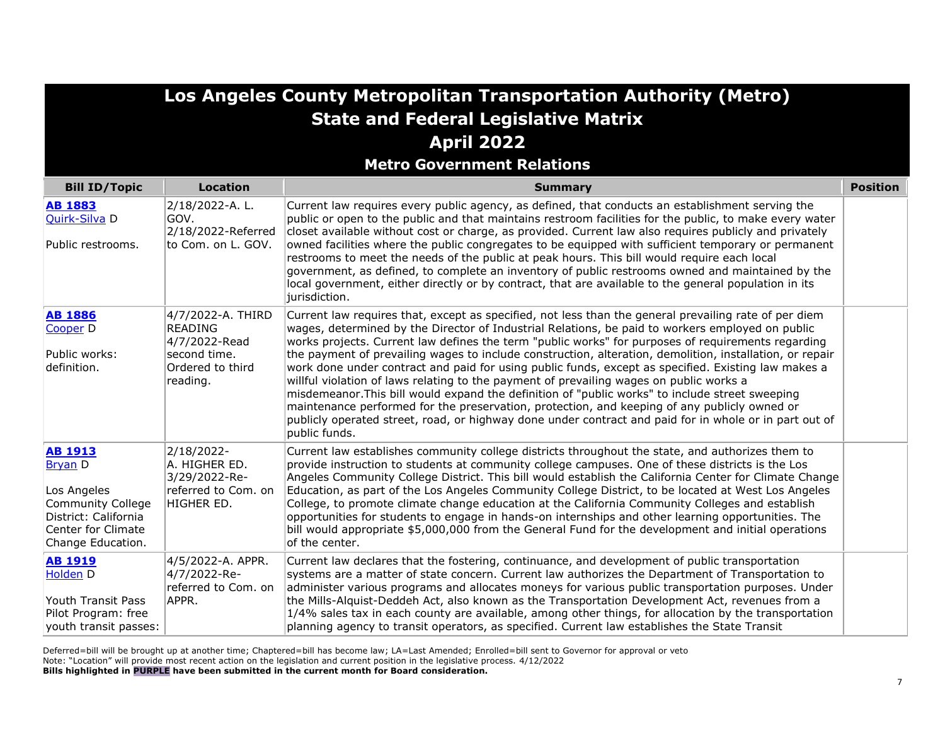| Los Angeles County Metropolitan Transportation Authority (Metro) |
|------------------------------------------------------------------|
| <b>State and Federal Legislative Matrix</b>                      |
| <b>April 2022</b>                                                |

**Metro Government Relations**

| <b>Bill ID/Topic</b>                                                                                                                           | <b>Location</b>                                                                   | <b>Summary</b>                                                                                                                                                                                                                                                                                                                                                                                                                                                                                                                                                                                                                                                                                                                                          | <b>Position</b> |
|------------------------------------------------------------------------------------------------------------------------------------------------|-----------------------------------------------------------------------------------|---------------------------------------------------------------------------------------------------------------------------------------------------------------------------------------------------------------------------------------------------------------------------------------------------------------------------------------------------------------------------------------------------------------------------------------------------------------------------------------------------------------------------------------------------------------------------------------------------------------------------------------------------------------------------------------------------------------------------------------------------------|-----------------|
| <b>AB 1883</b><br>Quirk-Silva D                                                                                                                | 2/18/2022-A.L.<br>GOV.<br>2/18/2022-Referred                                      | Current law requires every public agency, as defined, that conducts an establishment serving the<br>public or open to the public and that maintains restroom facilities for the public, to make every water<br>closet available without cost or charge, as provided. Current law also requires publicly and privately                                                                                                                                                                                                                                                                                                                                                                                                                                   |                 |
| Public restrooms.                                                                                                                              | to Com. on L. GOV.                                                                | owned facilities where the public congregates to be equipped with sufficient temporary or permanent<br>restrooms to meet the needs of the public at peak hours. This bill would require each local<br>government, as defined, to complete an inventory of public restrooms owned and maintained by the<br>local government, either directly or by contract, that are available to the general population in its<br>jurisdiction.                                                                                                                                                                                                                                                                                                                        |                 |
| <b>AB 1886</b><br>Cooper <sub>D</sub>                                                                                                          | 4/7/2022-A. THIRD<br><b>READING</b><br>4/7/2022-Read                              | Current law requires that, except as specified, not less than the general prevailing rate of per diem<br>wages, determined by the Director of Industrial Relations, be paid to workers employed on public<br>works projects. Current law defines the term "public works" for purposes of requirements regarding                                                                                                                                                                                                                                                                                                                                                                                                                                         |                 |
| Public works:<br>definition.                                                                                                                   | second time.<br>Ordered to third<br>reading.                                      | the payment of prevailing wages to include construction, alteration, demolition, installation, or repair<br>work done under contract and paid for using public funds, except as specified. Existing law makes a<br>willful violation of laws relating to the payment of prevailing wages on public works a<br>misdemeanor. This bill would expand the definition of "public works" to include street sweeping<br>maintenance performed for the preservation, protection, and keeping of any publicly owned or<br>publicly operated street, road, or highway done under contract and paid for in whole or in part out of<br>public funds.                                                                                                                |                 |
| <b>AB 1913</b><br><b>Bryan</b> D<br>Los Angeles<br><b>Community College</b><br>District: California<br>Center for Climate<br>Change Education. | 2/18/2022-<br>A. HIGHER ED.<br>3/29/2022-Re-<br>referred to Com. on<br>HIGHER ED. | Current law establishes community college districts throughout the state, and authorizes them to<br>provide instruction to students at community college campuses. One of these districts is the Los<br>Angeles Community College District. This bill would establish the California Center for Climate Change<br>Education, as part of the Los Angeles Community College District, to be located at West Los Angeles<br>College, to promote climate change education at the California Community Colleges and establish<br>opportunities for students to engage in hands-on internships and other learning opportunities. The<br>bill would appropriate \$5,000,000 from the General Fund for the development and initial operations<br>of the center. |                 |
| <b>AB 1919</b><br><b>Holden</b> D<br>Youth Transit Pass<br>Pilot Program: free<br>youth transit passes:                                        | 4/5/2022-A. APPR.<br>4/7/2022-Re-<br>referred to Com. on<br>APPR.                 | Current law declares that the fostering, continuance, and development of public transportation<br>systems are a matter of state concern. Current law authorizes the Department of Transportation to<br>administer various programs and allocates moneys for various public transportation purposes. Under<br>the Mills-Alquist-Deddeh Act, also known as the Transportation Development Act, revenues from a<br>1/4% sales tax in each county are available, among other things, for allocation by the transportation<br>planning agency to transit operators, as specified. Current law establishes the State Transit                                                                                                                                  |                 |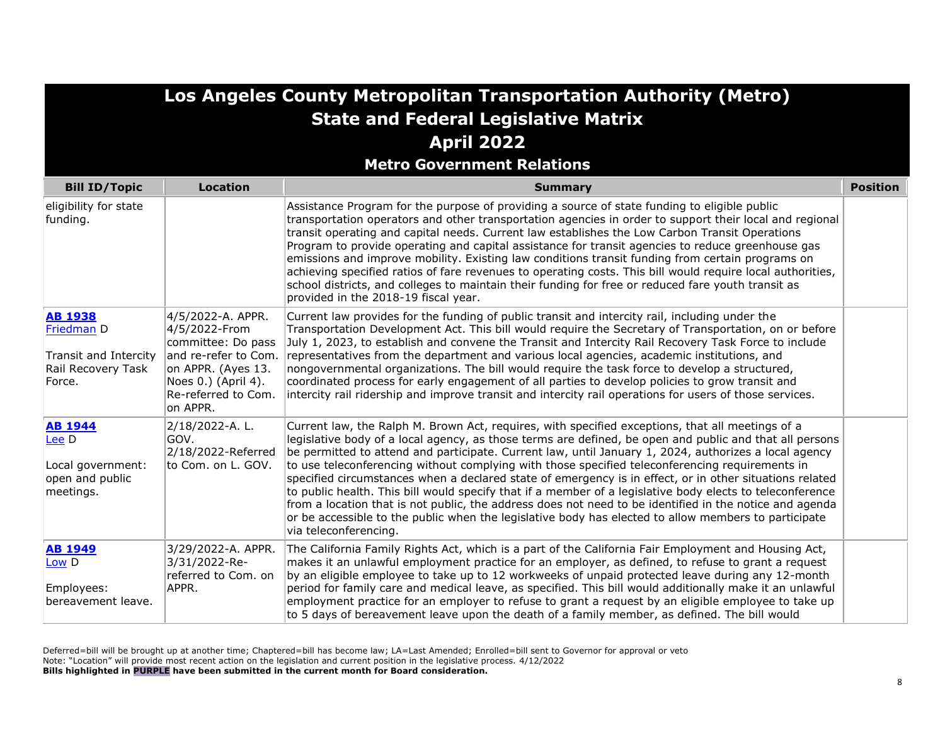|                                                                                       |                                                                                                                                                                  | Los Angeles County Metropolitan Transportation Authority (Metro)                                                                                                                                                                                                                                                                                                                                                                                                                                                                                                                                                                                                                                                                                                                                                                                                                            |                 |
|---------------------------------------------------------------------------------------|------------------------------------------------------------------------------------------------------------------------------------------------------------------|---------------------------------------------------------------------------------------------------------------------------------------------------------------------------------------------------------------------------------------------------------------------------------------------------------------------------------------------------------------------------------------------------------------------------------------------------------------------------------------------------------------------------------------------------------------------------------------------------------------------------------------------------------------------------------------------------------------------------------------------------------------------------------------------------------------------------------------------------------------------------------------------|-----------------|
|                                                                                       |                                                                                                                                                                  | <b>State and Federal Legislative Matrix</b>                                                                                                                                                                                                                                                                                                                                                                                                                                                                                                                                                                                                                                                                                                                                                                                                                                                 |                 |
|                                                                                       |                                                                                                                                                                  | <b>April 2022</b>                                                                                                                                                                                                                                                                                                                                                                                                                                                                                                                                                                                                                                                                                                                                                                                                                                                                           |                 |
|                                                                                       |                                                                                                                                                                  | <b>Metro Government Relations</b>                                                                                                                                                                                                                                                                                                                                                                                                                                                                                                                                                                                                                                                                                                                                                                                                                                                           |                 |
| <b>Bill ID/Topic</b>                                                                  | <b>Location</b>                                                                                                                                                  | <b>Summary</b>                                                                                                                                                                                                                                                                                                                                                                                                                                                                                                                                                                                                                                                                                                                                                                                                                                                                              | <b>Position</b> |
| eligibility for state<br>funding.                                                     |                                                                                                                                                                  | Assistance Program for the purpose of providing a source of state funding to eligible public<br>transportation operators and other transportation agencies in order to support their local and regional<br>transit operating and capital needs. Current law establishes the Low Carbon Transit Operations<br>Program to provide operating and capital assistance for transit agencies to reduce greenhouse gas<br>emissions and improve mobility. Existing law conditions transit funding from certain programs on<br>achieving specified ratios of fare revenues to operating costs. This bill would require local authorities,<br>school districts, and colleges to maintain their funding for free or reduced fare youth transit as<br>provided in the 2018-19 fiscal year.                                                                                                              |                 |
| <b>AB 1938</b><br>Friedman D<br>Transit and Intercity<br>Rail Recovery Task<br>Force. | 4/5/2022-A. APPR.<br>4/5/2022-From<br>committee: Do pass<br>and re-refer to Com.<br>on APPR. (Ayes 13.<br>Noes 0.) (April 4).<br>Re-referred to Com.<br>on APPR. | Current law provides for the funding of public transit and intercity rail, including under the<br>Transportation Development Act. This bill would require the Secretary of Transportation, on or before<br>July 1, 2023, to establish and convene the Transit and Intercity Rail Recovery Task Force to include<br>representatives from the department and various local agencies, academic institutions, and<br>nongovernmental organizations. The bill would require the task force to develop a structured,<br>coordinated process for early engagement of all parties to develop policies to grow transit and<br>intercity rail ridership and improve transit and intercity rail operations for users of those services.                                                                                                                                                                |                 |
| <b>AB 1944</b><br>Lee D<br>Local government:<br>open and public<br>meetings.          | 2/18/2022-A.L.<br>GOV.<br>2/18/2022-Referred<br>to Com. on L. GOV.                                                                                               | Current law, the Ralph M. Brown Act, requires, with specified exceptions, that all meetings of a<br>legislative body of a local agency, as those terms are defined, be open and public and that all persons<br>be permitted to attend and participate. Current law, until January 1, 2024, authorizes a local agency<br>to use teleconferencing without complying with those specified teleconferencing requirements in<br>specified circumstances when a declared state of emergency is in effect, or in other situations related<br>to public health. This bill would specify that if a member of a legislative body elects to teleconference<br>from a location that is not public, the address does not need to be identified in the notice and agenda<br>or be accessible to the public when the legislative body has elected to allow members to participate<br>via teleconferencing. |                 |
| <b>AB 1949</b><br>Low D<br>Employees:<br>bereavement leave.                           | 3/29/2022-A. APPR.<br>3/31/2022-Re-<br>referred to Com. on<br>APPR.                                                                                              | The California Family Rights Act, which is a part of the California Fair Employment and Housing Act,<br>makes it an unlawful employment practice for an employer, as defined, to refuse to grant a request<br>by an eligible employee to take up to 12 workweeks of unpaid protected leave during any 12-month<br>period for family care and medical leave, as specified. This bill would additionally make it an unlawful<br>employment practice for an employer to refuse to grant a request by an eligible employee to take up<br>to 5 days of bereavement leave upon the death of a family member, as defined. The bill would                                                                                                                                                                                                                                                           |                 |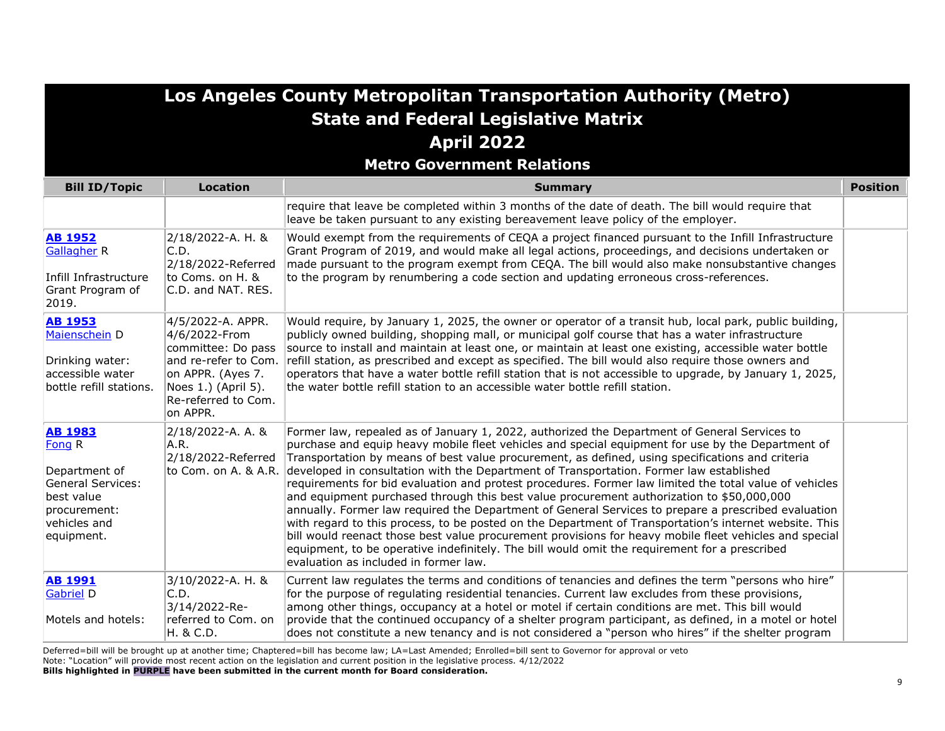#### **Metro Government Relations**

| <b>Bill ID/Topic</b>                                                                                                       | <b>Location</b>                                                                                                                                                 | <b>Summary</b>                                                                                                                                                                                                                                                                                                                                                                                                                                                                                                                                                                                                                                                                                                                                                                                                                                                                                                                                                                                                                                                                                    | <b>Position</b> |
|----------------------------------------------------------------------------------------------------------------------------|-----------------------------------------------------------------------------------------------------------------------------------------------------------------|---------------------------------------------------------------------------------------------------------------------------------------------------------------------------------------------------------------------------------------------------------------------------------------------------------------------------------------------------------------------------------------------------------------------------------------------------------------------------------------------------------------------------------------------------------------------------------------------------------------------------------------------------------------------------------------------------------------------------------------------------------------------------------------------------------------------------------------------------------------------------------------------------------------------------------------------------------------------------------------------------------------------------------------------------------------------------------------------------|-----------------|
|                                                                                                                            |                                                                                                                                                                 | require that leave be completed within 3 months of the date of death. The bill would require that<br>leave be taken pursuant to any existing bereavement leave policy of the employer.                                                                                                                                                                                                                                                                                                                                                                                                                                                                                                                                                                                                                                                                                                                                                                                                                                                                                                            |                 |
| <b>AB 1952</b><br><b>Gallagher R</b><br>Infill Infrastructure<br>Grant Program of<br>2019.                                 | 2/18/2022-A. H. &<br>C.D.<br>2/18/2022-Referred<br>to Coms. on H. &<br>C.D. and NAT. RES.                                                                       | Would exempt from the requirements of CEQA a project financed pursuant to the Infill Infrastructure<br>Grant Program of 2019, and would make all legal actions, proceedings, and decisions undertaken or<br>made pursuant to the program exempt from CEQA. The bill would also make nonsubstantive changes<br>to the program by renumbering a code section and updating erroneous cross-references.                                                                                                                                                                                                                                                                                                                                                                                                                                                                                                                                                                                                                                                                                               |                 |
| <b>AB 1953</b><br>Maienschein D<br>Drinking water:<br>accessible water<br>bottle refill stations.                          | 4/5/2022-A. APPR.<br>4/6/2022-From<br>committee: Do pass<br>and re-refer to Com.<br>on APPR. (Ayes 7.<br>Noes 1.) (April 5).<br>Re-referred to Com.<br>on APPR. | Would require, by January 1, 2025, the owner or operator of a transit hub, local park, public building,<br>publicly owned building, shopping mall, or municipal golf course that has a water infrastructure<br>source to install and maintain at least one, or maintain at least one existing, accessible water bottle<br>refill station, as prescribed and except as specified. The bill would also require those owners and<br>operators that have a water bottle refill station that is not accessible to upgrade, by January 1, 2025,<br>the water bottle refill station to an accessible water bottle refill station.                                                                                                                                                                                                                                                                                                                                                                                                                                                                        |                 |
| <b>AB 1983</b><br>Fong R<br>Department of<br>General Services:<br>best value<br>procurement:<br>vehicles and<br>equipment. | 2/18/2022-A. A. &<br>A.R.<br>2/18/2022-Referred                                                                                                                 | Former law, repealed as of January 1, 2022, authorized the Department of General Services to<br>purchase and equip heavy mobile fleet vehicles and special equipment for use by the Department of<br>Transportation by means of best value procurement, as defined, using specifications and criteria<br>to Com. on A. & A.R. developed in consultation with the Department of Transportation. Former law established<br>requirements for bid evaluation and protest procedures. Former law limited the total value of vehicles<br>and equipment purchased through this best value procurement authorization to \$50,000,000<br>annually. Former law required the Department of General Services to prepare a prescribed evaluation<br>with regard to this process, to be posted on the Department of Transportation's internet website. This<br>bill would reenact those best value procurement provisions for heavy mobile fleet vehicles and special<br>equipment, to be operative indefinitely. The bill would omit the requirement for a prescribed<br>evaluation as included in former law. |                 |
| <b>AB 1991</b><br><b>Gabriel D</b><br>Motels and hotels:                                                                   | 3/10/2022-A. H. &<br>C.D.<br>3/14/2022-Re-<br>referred to Com. on<br>H. & C.D.                                                                                  | Current law regulates the terms and conditions of tenancies and defines the term "persons who hire"<br>for the purpose of regulating residential tenancies. Current law excludes from these provisions,<br>among other things, occupancy at a hotel or motel if certain conditions are met. This bill would<br>provide that the continued occupancy of a shelter program participant, as defined, in a motel or hotel<br>does not constitute a new tenancy and is not considered a "person who hires" if the shelter program                                                                                                                                                                                                                                                                                                                                                                                                                                                                                                                                                                      |                 |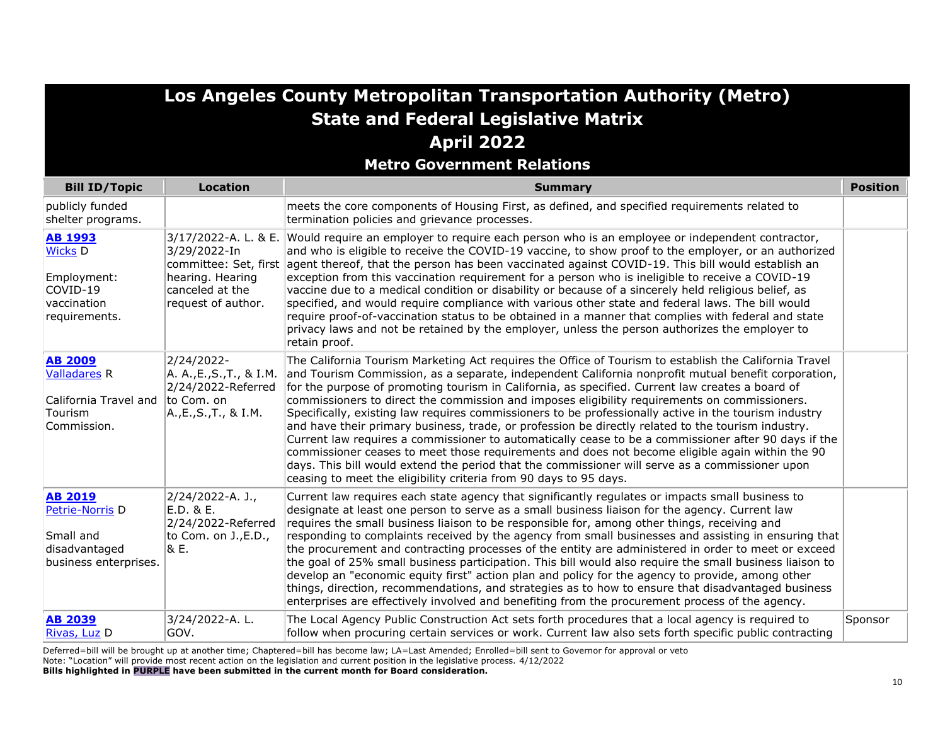**Metro Government Relations**

| <b>Bill ID/Topic</b>                                                                                | <b>Location</b>                                                                                       | <b>Summary</b>                                                                                                                                                                                                                                                                                                                                                                                                                                                                                                                                                                                                                                                                                                                                                                                                                                                                                                                                                                                                       | <b>Position</b> |
|-----------------------------------------------------------------------------------------------------|-------------------------------------------------------------------------------------------------------|----------------------------------------------------------------------------------------------------------------------------------------------------------------------------------------------------------------------------------------------------------------------------------------------------------------------------------------------------------------------------------------------------------------------------------------------------------------------------------------------------------------------------------------------------------------------------------------------------------------------------------------------------------------------------------------------------------------------------------------------------------------------------------------------------------------------------------------------------------------------------------------------------------------------------------------------------------------------------------------------------------------------|-----------------|
| publicly funded<br>shelter programs.                                                                |                                                                                                       | meets the core components of Housing First, as defined, and specified requirements related to<br>termination policies and grievance processes.                                                                                                                                                                                                                                                                                                                                                                                                                                                                                                                                                                                                                                                                                                                                                                                                                                                                       |                 |
| <b>AB 1993</b><br><b>Wicks D</b><br>Employment:<br>COVID-19<br>vaccination<br>requirements.         | 3/17/2022-A. L. & E.<br>3/29/2022-In<br>hearing. Hearing<br>canceled at the<br>request of author.     | Would require an employer to require each person who is an employee or independent contractor,<br>and who is eligible to receive the COVID-19 vaccine, to show proof to the employer, or an authorized<br>committee: Set, first agent thereof, that the person has been vaccinated against COVID-19. This bill would establish an<br>exception from this vaccination requirement for a person who is ineligible to receive a COVID-19<br>vaccine due to a medical condition or disability or because of a sincerely held religious belief, as<br>specified, and would require compliance with various other state and federal laws. The bill would<br>require proof-of-vaccination status to be obtained in a manner that complies with federal and state<br>privacy laws and not be retained by the employer, unless the person authorizes the employer to<br>retain proof.                                                                                                                                         |                 |
| <b>AB 2009</b><br><b>Valladares R</b><br>California Travel and<br>Tourism<br>Commission.            | 2/24/2022-<br>A. A., E., S., T., & I.M.<br>2/24/2022-Referred<br>to Com. on<br>A., E., S., T., & I.M. | The California Tourism Marketing Act requires the Office of Tourism to establish the California Travel<br>and Tourism Commission, as a separate, independent California nonprofit mutual benefit corporation,<br>for the purpose of promoting tourism in California, as specified. Current law creates a board of<br>commissioners to direct the commission and imposes eligibility requirements on commissioners.<br>Specifically, existing law requires commissioners to be professionally active in the tourism industry<br>and have their primary business, trade, or profession be directly related to the tourism industry.<br>Current law requires a commissioner to automatically cease to be a commissioner after 90 days if the<br>commissioner ceases to meet those requirements and does not become eligible again within the 90<br>days. This bill would extend the period that the commissioner will serve as a commissioner upon<br>ceasing to meet the eligibility criteria from 90 days to 95 days. |                 |
| <b>AB 2019</b><br>Petrie-Norris <sub>D</sub><br>Small and<br>disadvantaged<br>business enterprises. | 2/24/2022-A. J.,<br>$E.D.$ & $E.$<br>2/24/2022-Referred<br>to Com. on J., E.D.,<br>& E.               | Current law requires each state agency that significantly regulates or impacts small business to<br>designate at least one person to serve as a small business liaison for the agency. Current law<br>requires the small business liaison to be responsible for, among other things, receiving and<br>responding to complaints received by the agency from small businesses and assisting in ensuring that<br>the procurement and contracting processes of the entity are administered in order to meet or exceed<br>the goal of 25% small business participation. This bill would also require the small business liaison to<br>develop an "economic equity first" action plan and policy for the agency to provide, among other<br>things, direction, recommendations, and strategies as to how to ensure that disadvantaged business<br>enterprises are effectively involved and benefiting from the procurement process of the agency.                                                                           |                 |
| <b>AB 2039</b><br>Rivas, Luz D                                                                      | 3/24/2022-A.L.<br>GOV.                                                                                | The Local Agency Public Construction Act sets forth procedures that a local agency is required to<br>follow when procuring certain services or work. Current law also sets forth specific public contracting                                                                                                                                                                                                                                                                                                                                                                                                                                                                                                                                                                                                                                                                                                                                                                                                         | Sponsor         |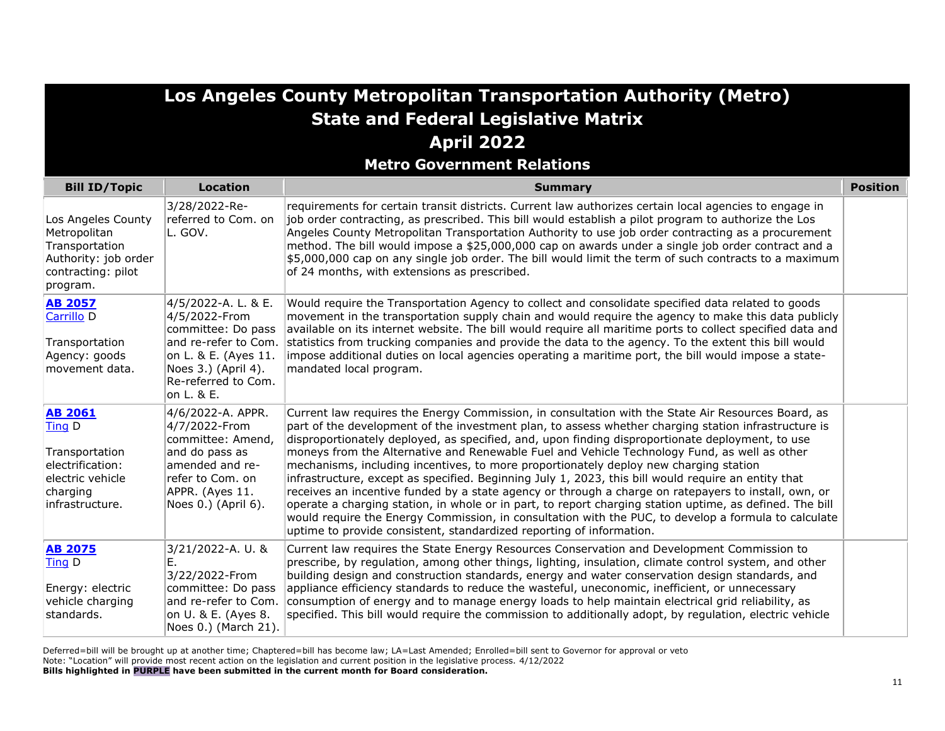|                                                                                                                          |                                                                                                                                                                        | Los Angeles County Metropolitan Transportation Authority (Metro)<br><b>State and Federal Legislative Matrix</b>                                                                                                                                                                                                                                                                                                                                                                                                                                                                                                                                                                                                                                                                                                                                                                                                                                                                                                    |                 |
|--------------------------------------------------------------------------------------------------------------------------|------------------------------------------------------------------------------------------------------------------------------------------------------------------------|--------------------------------------------------------------------------------------------------------------------------------------------------------------------------------------------------------------------------------------------------------------------------------------------------------------------------------------------------------------------------------------------------------------------------------------------------------------------------------------------------------------------------------------------------------------------------------------------------------------------------------------------------------------------------------------------------------------------------------------------------------------------------------------------------------------------------------------------------------------------------------------------------------------------------------------------------------------------------------------------------------------------|-----------------|
|                                                                                                                          |                                                                                                                                                                        | <b>April 2022</b>                                                                                                                                                                                                                                                                                                                                                                                                                                                                                                                                                                                                                                                                                                                                                                                                                                                                                                                                                                                                  |                 |
|                                                                                                                          |                                                                                                                                                                        | <b>Metro Government Relations</b>                                                                                                                                                                                                                                                                                                                                                                                                                                                                                                                                                                                                                                                                                                                                                                                                                                                                                                                                                                                  |                 |
| <b>Bill ID/Topic</b>                                                                                                     | <b>Location</b>                                                                                                                                                        | <b>Summary</b>                                                                                                                                                                                                                                                                                                                                                                                                                                                                                                                                                                                                                                                                                                                                                                                                                                                                                                                                                                                                     | <b>Position</b> |
| Los Angeles County<br>Metropolitan<br>Transportation<br>Authority: job order<br>contracting: pilot<br>program.           | 3/28/2022-Re-<br>referred to Com. on<br>L. GOV.                                                                                                                        | requirements for certain transit districts. Current law authorizes certain local agencies to engage in<br>job order contracting, as prescribed. This bill would establish a pilot program to authorize the Los<br>Angeles County Metropolitan Transportation Authority to use job order contracting as a procurement<br>method. The bill would impose a \$25,000,000 cap on awards under a single job order contract and a<br>\$5,000,000 cap on any single job order. The bill would limit the term of such contracts to a maximum<br>of 24 months, with extensions as prescribed.                                                                                                                                                                                                                                                                                                                                                                                                                                |                 |
| <b>AB 2057</b><br>Carrillo <sub>D</sub><br>Transportation<br>Agency: goods<br>movement data.                             | 4/5/2022-A. L. & E.<br>4/5/2022-From<br>committee: Do pass<br>and re-refer to Com.<br>on L. & E. (Ayes 11.<br>Noes 3.) (April 4).<br>Re-referred to Com.<br>on L. & E. | Would require the Transportation Agency to collect and consolidate specified data related to goods<br>movement in the transportation supply chain and would require the agency to make this data publicly<br>available on its internet website. The bill would require all maritime ports to collect specified data and<br>statistics from trucking companies and provide the data to the agency. To the extent this bill would<br>impose additional duties on local agencies operating a maritime port, the bill would impose a state-<br>mandated local program.                                                                                                                                                                                                                                                                                                                                                                                                                                                 |                 |
| <b>AB 2061</b><br><b>Ting D</b><br>Transportation<br>electrification:<br>electric vehicle<br>charging<br>infrastructure. | 4/6/2022-A. APPR.<br>4/7/2022-From<br>committee: Amend,<br>and do pass as<br>amended and re-<br>refer to Com. on<br>APPR. (Ayes 11.<br>Noes 0.) (April 6).             | Current law requires the Energy Commission, in consultation with the State Air Resources Board, as<br>part of the development of the investment plan, to assess whether charging station infrastructure is<br>disproportionately deployed, as specified, and, upon finding disproportionate deployment, to use<br>moneys from the Alternative and Renewable Fuel and Vehicle Technology Fund, as well as other<br>mechanisms, including incentives, to more proportionately deploy new charging station<br>infrastructure, except as specified. Beginning July 1, 2023, this bill would require an entity that<br>receives an incentive funded by a state agency or through a charge on ratepayers to install, own, or<br>operate a charging station, in whole or in part, to report charging station uptime, as defined. The bill<br>would require the Energy Commission, in consultation with the PUC, to develop a formula to calculate<br>uptime to provide consistent, standardized reporting of information. |                 |
| <b>AB 2075</b><br><b>Ting D</b><br>Energy: electric<br>vehicle charging<br>standards.                                    | 3/21/2022-A. U. &<br>Е.<br>3/22/2022-From<br>committee: Do pass<br>and re-refer to Com.<br>on U. & E. (Ayes 8.<br>Noes 0.) (March 21).                                 | Current law requires the State Energy Resources Conservation and Development Commission to<br>prescribe, by regulation, among other things, lighting, insulation, climate control system, and other<br>building design and construction standards, energy and water conservation design standards, and<br>appliance efficiency standards to reduce the wasteful, uneconomic, inefficient, or unnecessary<br>consumption of energy and to manage energy loads to help maintain electrical grid reliability, as<br>specified. This bill would require the commission to additionally adopt, by regulation, electric vehicle                                                                                                                                                                                                                                                                                                                                                                                          |                 |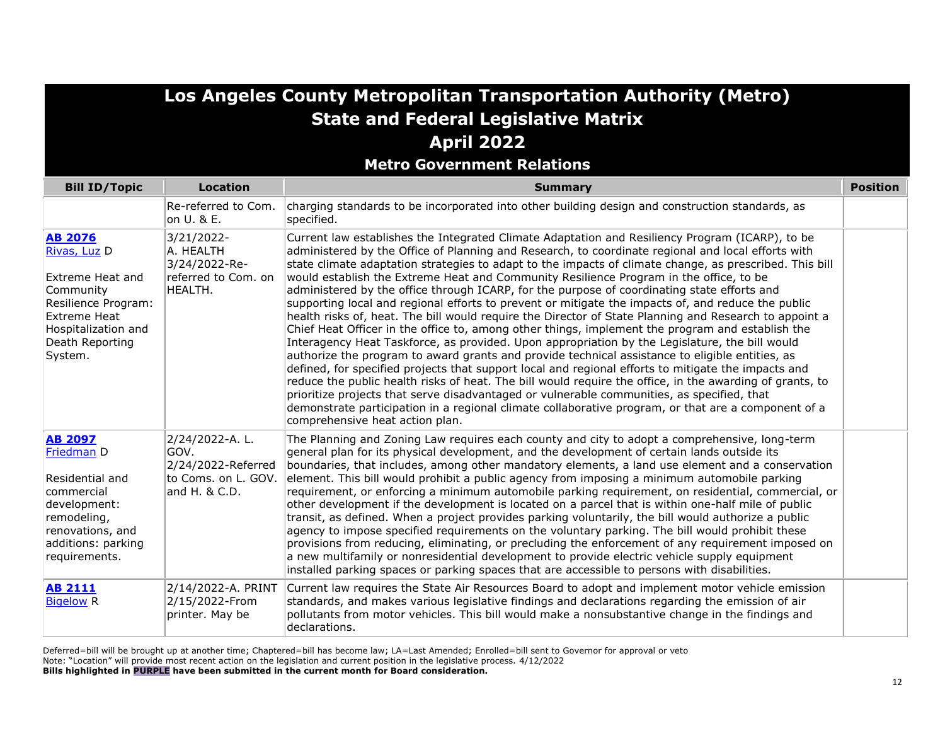**Metro Government Relations**

| <b>Bill ID/Topic</b>                                                                                                                                               | <b>Location</b>                                                                      | <b>Summary</b>                                                                                                                                                                                                                                                                                                                                                                                                                                                                                                                                                                                                                                                                                                                                                                                                                                                                                                                                                                                                                                                                                                                                                                                                                                                                                                                                                                                                                                                                                | <b>Position</b> |
|--------------------------------------------------------------------------------------------------------------------------------------------------------------------|--------------------------------------------------------------------------------------|-----------------------------------------------------------------------------------------------------------------------------------------------------------------------------------------------------------------------------------------------------------------------------------------------------------------------------------------------------------------------------------------------------------------------------------------------------------------------------------------------------------------------------------------------------------------------------------------------------------------------------------------------------------------------------------------------------------------------------------------------------------------------------------------------------------------------------------------------------------------------------------------------------------------------------------------------------------------------------------------------------------------------------------------------------------------------------------------------------------------------------------------------------------------------------------------------------------------------------------------------------------------------------------------------------------------------------------------------------------------------------------------------------------------------------------------------------------------------------------------------|-----------------|
|                                                                                                                                                                    | Re-referred to Com.<br>on U. & E.                                                    | charging standards to be incorporated into other building design and construction standards, as<br>specified.                                                                                                                                                                                                                                                                                                                                                                                                                                                                                                                                                                                                                                                                                                                                                                                                                                                                                                                                                                                                                                                                                                                                                                                                                                                                                                                                                                                 |                 |
| <b>AB 2076</b><br>Rivas, Luz D<br>Extreme Heat and<br>Community<br>Resilience Program:<br><b>Extreme Heat</b><br>Hospitalization and<br>Death Reporting<br>System. | 3/21/2022-<br>A. HEALTH<br>3/24/2022-Re-<br>referred to Com. on<br>HEALTH.           | Current law establishes the Integrated Climate Adaptation and Resiliency Program (ICARP), to be<br>administered by the Office of Planning and Research, to coordinate regional and local efforts with<br>state climate adaptation strategies to adapt to the impacts of climate change, as prescribed. This bill<br>would establish the Extreme Heat and Community Resilience Program in the office, to be<br>administered by the office through ICARP, for the purpose of coordinating state efforts and<br>supporting local and regional efforts to prevent or mitigate the impacts of, and reduce the public<br>health risks of, heat. The bill would require the Director of State Planning and Research to appoint a<br>Chief Heat Officer in the office to, among other things, implement the program and establish the<br>Interagency Heat Taskforce, as provided. Upon appropriation by the Legislature, the bill would<br>authorize the program to award grants and provide technical assistance to eligible entities, as<br>defined, for specified projects that support local and regional efforts to mitigate the impacts and<br>reduce the public health risks of heat. The bill would require the office, in the awarding of grants, to<br>prioritize projects that serve disadvantaged or vulnerable communities, as specified, that<br>demonstrate participation in a regional climate collaborative program, or that are a component of a<br>comprehensive heat action plan. |                 |
| <b>AB 2097</b><br>Friedman D<br>Residential and<br>commercial<br>development:<br>remodeling,<br>renovations, and<br>additions: parking<br>requirements.            | 2/24/2022-A.L.<br>GOV.<br>2/24/2022-Referred<br>to Coms. on L. GOV.<br>and H. & C.D. | The Planning and Zoning Law requires each county and city to adopt a comprehensive, long-term<br>general plan for its physical development, and the development of certain lands outside its<br>boundaries, that includes, among other mandatory elements, a land use element and a conservation<br>element. This bill would prohibit a public agency from imposing a minimum automobile parking<br>requirement, or enforcing a minimum automobile parking requirement, on residential, commercial, or<br>other development if the development is located on a parcel that is within one-half mile of public<br>transit, as defined. When a project provides parking voluntarily, the bill would authorize a public<br>agency to impose specified requirements on the voluntary parking. The bill would prohibit these<br>provisions from reducing, eliminating, or precluding the enforcement of any requirement imposed on<br>a new multifamily or nonresidential development to provide electric vehicle supply equipment<br>installed parking spaces or parking spaces that are accessible to persons with disabilities.                                                                                                                                                                                                                                                                                                                                                                  |                 |
| <b>AB 2111</b><br><b>Bigelow R</b>                                                                                                                                 | 2/14/2022-A. PRINT<br>2/15/2022-From<br>printer. May be                              | Current law requires the State Air Resources Board to adopt and implement motor vehicle emission<br>standards, and makes various legislative findings and declarations regarding the emission of air<br>pollutants from motor vehicles. This bill would make a nonsubstantive change in the findings and<br>declarations.                                                                                                                                                                                                                                                                                                                                                                                                                                                                                                                                                                                                                                                                                                                                                                                                                                                                                                                                                                                                                                                                                                                                                                     |                 |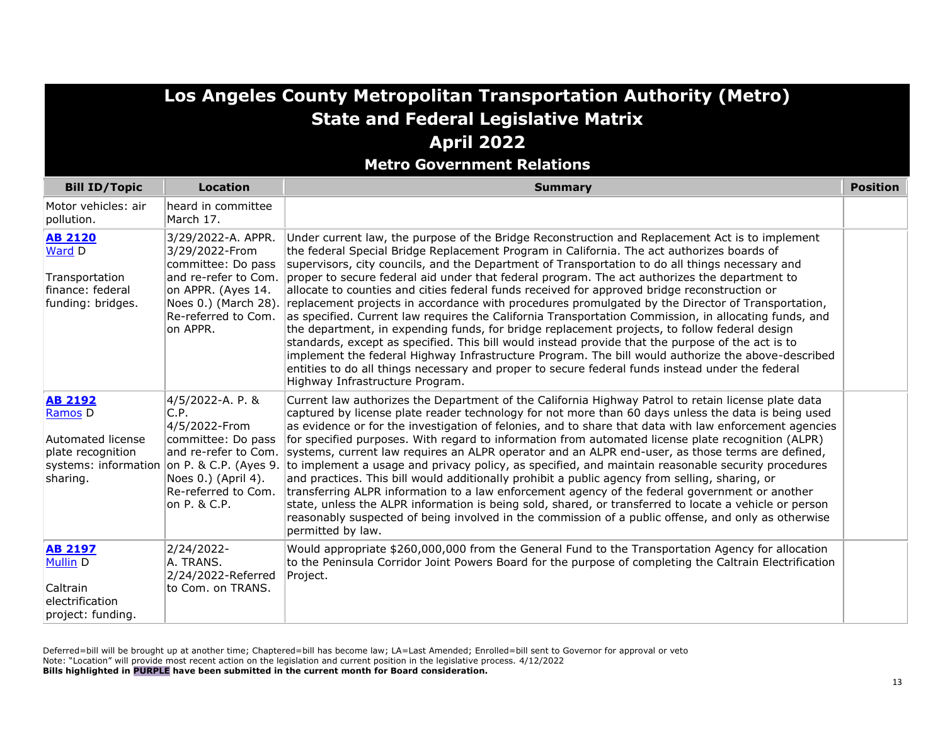**Metro Government Relations**

| <b>Bill ID/Topic</b>                                                                                               | <b>Location</b>                                                                                                                                       | <b>Summary</b>                                                                                                                                                                                                                                                                                                                                                                                                                                                                                                                                                                                                                                                                                                                                                                                                                                                                                                                                                                                                                                                                                                                                                                          | <b>Position</b> |
|--------------------------------------------------------------------------------------------------------------------|-------------------------------------------------------------------------------------------------------------------------------------------------------|-----------------------------------------------------------------------------------------------------------------------------------------------------------------------------------------------------------------------------------------------------------------------------------------------------------------------------------------------------------------------------------------------------------------------------------------------------------------------------------------------------------------------------------------------------------------------------------------------------------------------------------------------------------------------------------------------------------------------------------------------------------------------------------------------------------------------------------------------------------------------------------------------------------------------------------------------------------------------------------------------------------------------------------------------------------------------------------------------------------------------------------------------------------------------------------------|-----------------|
| Motor vehicles: air<br>pollution.                                                                                  | heard in committee<br>March 17.                                                                                                                       |                                                                                                                                                                                                                                                                                                                                                                                                                                                                                                                                                                                                                                                                                                                                                                                                                                                                                                                                                                                                                                                                                                                                                                                         |                 |
| <b>AB 2120</b><br>Ward D<br>Transportation<br>finance: federal<br>funding: bridges.                                | 3/29/2022-A. APPR.<br>3/29/2022-From<br>committee: Do pass<br>on APPR. (Ayes 14.<br>Noes 0.) (March 28).<br>Re-referred to Com.<br>on APPR.           | Under current law, the purpose of the Bridge Reconstruction and Replacement Act is to implement<br>the federal Special Bridge Replacement Program in California. The act authorizes boards of<br>supervisors, city councils, and the Department of Transportation to do all things necessary and<br>and re-refer to Com. proper to secure federal aid under that federal program. The act authorizes the department to<br>allocate to counties and cities federal funds received for approved bridge reconstruction or<br>replacement projects in accordance with procedures promulgated by the Director of Transportation,<br>as specified. Current law requires the California Transportation Commission, in allocating funds, and<br>the department, in expending funds, for bridge replacement projects, to follow federal design<br>standards, except as specified. This bill would instead provide that the purpose of the act is to<br>implement the federal Highway Infrastructure Program. The bill would authorize the above-described<br>entities to do all things necessary and proper to secure federal funds instead under the federal<br>Highway Infrastructure Program. |                 |
| <b>AB 2192</b><br>Ramos <sub>D</sub><br>Automated license<br>plate recognition<br>systems: information<br>sharing. | 4/5/2022-A. P. &<br>C.P.<br>4/5/2022-From<br>committee: Do pass<br>and re-refer to Com.<br>Noes 0.) (April 4).<br>Re-referred to Com.<br>on P. & C.P. | Current law authorizes the Department of the California Highway Patrol to retain license plate data<br>captured by license plate reader technology for not more than 60 days unless the data is being used<br>as evidence or for the investigation of felonies, and to share that data with law enforcement agencies<br>for specified purposes. With regard to information from automated license plate recognition (ALPR)<br>systems, current law requires an ALPR operator and an ALPR end-user, as those terms are defined,<br>on P. & C.P. (Ayes 9. to implement a usage and privacy policy, as specified, and maintain reasonable security procedures<br>and practices. This bill would additionally prohibit a public agency from selling, sharing, or<br>transferring ALPR information to a law enforcement agency of the federal government or another<br>state, unless the ALPR information is being sold, shared, or transferred to locate a vehicle or person<br>reasonably suspected of being involved in the commission of a public offense, and only as otherwise<br>permitted by law.                                                                                    |                 |
| <b>AB 2197</b><br>Mullin D<br>Caltrain<br>electrification<br>project: funding.                                     | 2/24/2022-<br>A. TRANS.<br>2/24/2022-Referred<br>to Com. on TRANS.                                                                                    | Would appropriate \$260,000,000 from the General Fund to the Transportation Agency for allocation<br>to the Peninsula Corridor Joint Powers Board for the purpose of completing the Caltrain Electrification<br>Project.                                                                                                                                                                                                                                                                                                                                                                                                                                                                                                                                                                                                                                                                                                                                                                                                                                                                                                                                                                |                 |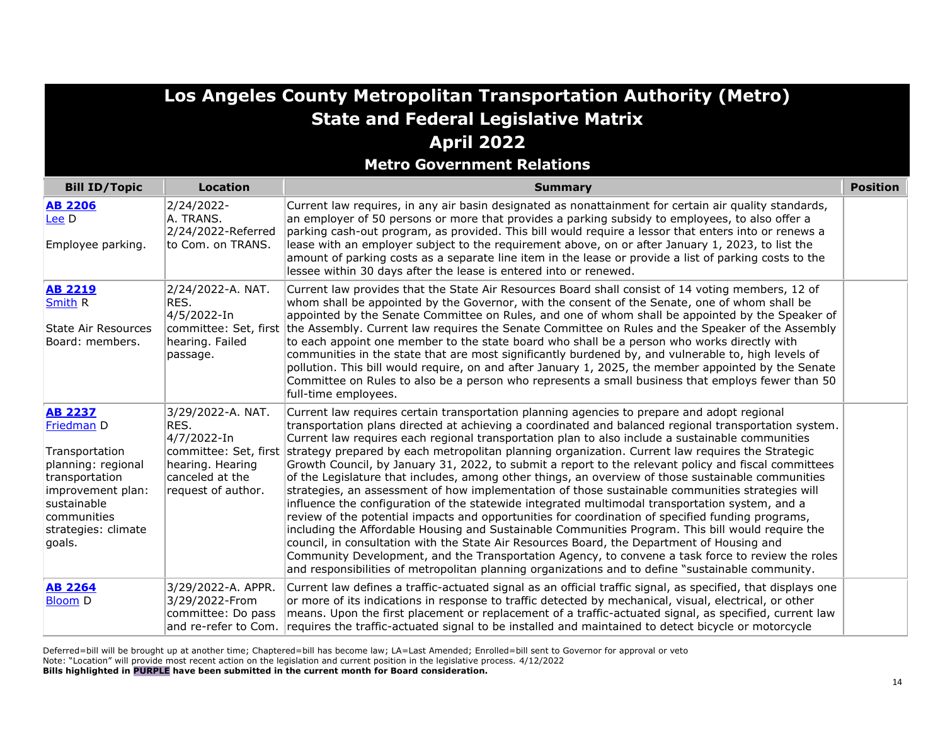**Metro Government Relations**

| <b>Bill ID/Topic</b>                                                                                                                                                       | <b>Location</b>                                                                                       | <b>Summary</b>                                                                                                                                                                                                                                                                                                                                                                                                                                                                                                                                                                                                                                                                                                                                                                                                                                                                                                                                                                                                                                                                                                                                                                                                                                                                                                                                                            | <b>Position</b> |
|----------------------------------------------------------------------------------------------------------------------------------------------------------------------------|-------------------------------------------------------------------------------------------------------|---------------------------------------------------------------------------------------------------------------------------------------------------------------------------------------------------------------------------------------------------------------------------------------------------------------------------------------------------------------------------------------------------------------------------------------------------------------------------------------------------------------------------------------------------------------------------------------------------------------------------------------------------------------------------------------------------------------------------------------------------------------------------------------------------------------------------------------------------------------------------------------------------------------------------------------------------------------------------------------------------------------------------------------------------------------------------------------------------------------------------------------------------------------------------------------------------------------------------------------------------------------------------------------------------------------------------------------------------------------------------|-----------------|
| <b>AB 2206</b><br>Lee D<br>Employee parking.                                                                                                                               | 2/24/2022-<br>A. TRANS.<br>2/24/2022-Referred<br>to Com. on TRANS.                                    | Current law requires, in any air basin designated as nonattainment for certain air quality standards,<br>an employer of 50 persons or more that provides a parking subsidy to employees, to also offer a<br>parking cash-out program, as provided. This bill would require a lessor that enters into or renews a<br>lease with an employer subject to the requirement above, on or after January 1, 2023, to list the<br>amount of parking costs as a separate line item in the lease or provide a list of parking costs to the<br>lessee within 30 days after the lease is entered into or renewed.                                                                                                                                                                                                                                                                                                                                                                                                                                                                                                                                                                                                                                                                                                                                                                      |                 |
| <b>AB 2219</b><br><b>Smith R</b><br>State Air Resources<br>Board: members.                                                                                                 | 2/24/2022-A. NAT.<br>RES.<br>4/5/2022-In<br>hearing. Failed<br>passage.                               | Current law provides that the State Air Resources Board shall consist of 14 voting members, 12 of<br>whom shall be appointed by the Governor, with the consent of the Senate, one of whom shall be<br>appointed by the Senate Committee on Rules, and one of whom shall be appointed by the Speaker of<br>committee: Set, first the Assembly. Current law requires the Senate Committee on Rules and the Speaker of the Assembly<br>to each appoint one member to the state board who shall be a person who works directly with<br>communities in the state that are most significantly burdened by, and vulnerable to, high levels of<br>pollution. This bill would require, on and after January 1, 2025, the member appointed by the Senate<br>Committee on Rules to also be a person who represents a small business that employs fewer than 50<br>full-time employees.                                                                                                                                                                                                                                                                                                                                                                                                                                                                                               |                 |
| <b>AB 2237</b><br>Friedman D<br>Transportation<br>planning: regional<br>transportation<br>improvement plan:<br>sustainable<br>communities<br>strategies: climate<br>goals. | 3/29/2022-A. NAT.<br>RES.<br>4/7/2022-In<br>hearing. Hearing<br>canceled at the<br>request of author. | Current law requires certain transportation planning agencies to prepare and adopt regional<br>transportation plans directed at achieving a coordinated and balanced regional transportation system.<br>Current law requires each regional transportation plan to also include a sustainable communities<br>committee: Set, first strategy prepared by each metropolitan planning organization. Current law requires the Strategic<br>Growth Council, by January 31, 2022, to submit a report to the relevant policy and fiscal committees<br>of the Legislature that includes, among other things, an overview of those sustainable communities<br>strategies, an assessment of how implementation of those sustainable communities strategies will<br>influence the configuration of the statewide integrated multimodal transportation system, and a<br>review of the potential impacts and opportunities for coordination of specified funding programs,<br>including the Affordable Housing and Sustainable Communities Program. This bill would require the<br>council, in consultation with the State Air Resources Board, the Department of Housing and<br>Community Development, and the Transportation Agency, to convene a task force to review the roles<br>and responsibilities of metropolitan planning organizations and to define "sustainable community. |                 |
| <b>AB 2264</b><br><b>Bloom D</b>                                                                                                                                           | 3/29/2022-A. APPR.<br>3/29/2022-From<br>committee: Do pass<br>and re-refer to Com.                    | Current law defines a traffic-actuated signal as an official traffic signal, as specified, that displays one<br>or more of its indications in response to traffic detected by mechanical, visual, electrical, or other<br>means. Upon the first placement or replacement of a traffic-actuated signal, as specified, current law<br>requires the traffic-actuated signal to be installed and maintained to detect bicycle or motorcycle                                                                                                                                                                                                                                                                                                                                                                                                                                                                                                                                                                                                                                                                                                                                                                                                                                                                                                                                   |                 |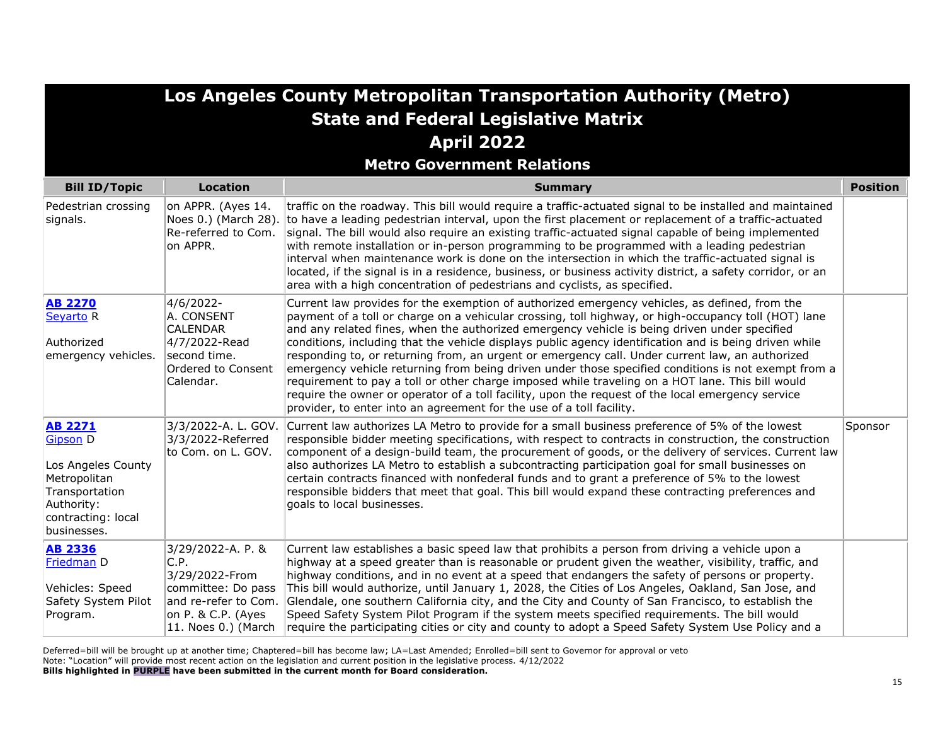|                                                                                                                                              |                                                                                                                   | Los Angeles County Metropolitan Transportation Authority (Metro)                                                                                                                                                                                                                                                                                                                                                                                                                                                                                                                                                                                                                                                                                                                                                                                                                                           |                 |
|----------------------------------------------------------------------------------------------------------------------------------------------|-------------------------------------------------------------------------------------------------------------------|------------------------------------------------------------------------------------------------------------------------------------------------------------------------------------------------------------------------------------------------------------------------------------------------------------------------------------------------------------------------------------------------------------------------------------------------------------------------------------------------------------------------------------------------------------------------------------------------------------------------------------------------------------------------------------------------------------------------------------------------------------------------------------------------------------------------------------------------------------------------------------------------------------|-----------------|
|                                                                                                                                              |                                                                                                                   | <b>State and Federal Legislative Matrix</b>                                                                                                                                                                                                                                                                                                                                                                                                                                                                                                                                                                                                                                                                                                                                                                                                                                                                |                 |
|                                                                                                                                              |                                                                                                                   | <b>April 2022</b>                                                                                                                                                                                                                                                                                                                                                                                                                                                                                                                                                                                                                                                                                                                                                                                                                                                                                          |                 |
|                                                                                                                                              |                                                                                                                   | <b>Metro Government Relations</b>                                                                                                                                                                                                                                                                                                                                                                                                                                                                                                                                                                                                                                                                                                                                                                                                                                                                          |                 |
| <b>Bill ID/Topic</b>                                                                                                                         | <b>Location</b>                                                                                                   | <b>Summary</b>                                                                                                                                                                                                                                                                                                                                                                                                                                                                                                                                                                                                                                                                                                                                                                                                                                                                                             | <b>Position</b> |
| Pedestrian crossing<br>signals.                                                                                                              | on APPR. (Ayes 14.<br>Re-referred to Com.<br>on APPR.                                                             | traffic on the roadway. This bill would require a traffic-actuated signal to be installed and maintained<br>Noes 0.) (March 28). to have a leading pedestrian interval, upon the first placement or replacement of a traffic-actuated<br>signal. The bill would also require an existing traffic-actuated signal capable of being implemented<br>with remote installation or in-person programming to be programmed with a leading pedestrian<br>interval when maintenance work is done on the intersection in which the traffic-actuated signal is<br>located, if the signal is in a residence, business, or business activity district, a safety corridor, or an<br>area with a high concentration of pedestrians and cyclists, as specified.                                                                                                                                                            |                 |
| <b>AB 2270</b><br>Seyarto <sub>R</sub><br>Authorized<br>emergency vehicles.                                                                  | 4/6/2022-<br>A. CONSENT<br><b>CALENDAR</b><br>4/7/2022-Read<br>second time.<br>Ordered to Consent<br>Calendar.    | Current law provides for the exemption of authorized emergency vehicles, as defined, from the<br>payment of a toll or charge on a vehicular crossing, toll highway, or high-occupancy toll (HOT) lane<br>and any related fines, when the authorized emergency vehicle is being driven under specified<br>conditions, including that the vehicle displays public agency identification and is being driven while<br>responding to, or returning from, an urgent or emergency call. Under current law, an authorized<br>emergency vehicle returning from being driven under those specified conditions is not exempt from a<br>requirement to pay a toll or other charge imposed while traveling on a HOT lane. This bill would<br>require the owner or operator of a toll facility, upon the request of the local emergency service<br>provider, to enter into an agreement for the use of a toll facility. |                 |
| <b>AB 2271</b><br><b>Gipson D</b><br>Los Angeles County<br>Metropolitan<br>Transportation<br>Authority:<br>contracting: local<br>businesses. | 3/3/2022-Referred<br>to Com. on L. GOV.                                                                           | 3/3/2022-A. L. GOV. Current law authorizes LA Metro to provide for a small business preference of 5% of the lowest<br>responsible bidder meeting specifications, with respect to contracts in construction, the construction<br>component of a design-build team, the procurement of goods, or the delivery of services. Current law<br>also authorizes LA Metro to establish a subcontracting participation goal for small businesses on<br>certain contracts financed with nonfederal funds and to grant a preference of 5% to the lowest<br>responsible bidders that meet that goal. This bill would expand these contracting preferences and<br>goals to local businesses.                                                                                                                                                                                                                             | Sponsor         |
| <b>AB 2336</b><br>Friedman D<br>Vehicles: Speed<br>Safety System Pilot<br>Program.                                                           | 3/29/2022-A. P. &<br>C.P.<br>3/29/2022-From<br>committee: Do pass<br>on P. & C.P. (Ayes<br>$ 11.$ Noes 0.) (March | Current law establishes a basic speed law that prohibits a person from driving a vehicle upon a<br>highway at a speed greater than is reasonable or prudent given the weather, visibility, traffic, and<br>highway conditions, and in no event at a speed that endangers the safety of persons or property.<br>This bill would authorize, until January 1, 2028, the Cities of Los Angeles, Oakland, San Jose, and<br>and re-refer to Com. Glendale, one southern California city, and the City and County of San Francisco, to establish the<br>Speed Safety System Pilot Program if the system meets specified requirements. The bill would<br>require the participating cities or city and county to adopt a Speed Safety System Use Policy and a                                                                                                                                                       |                 |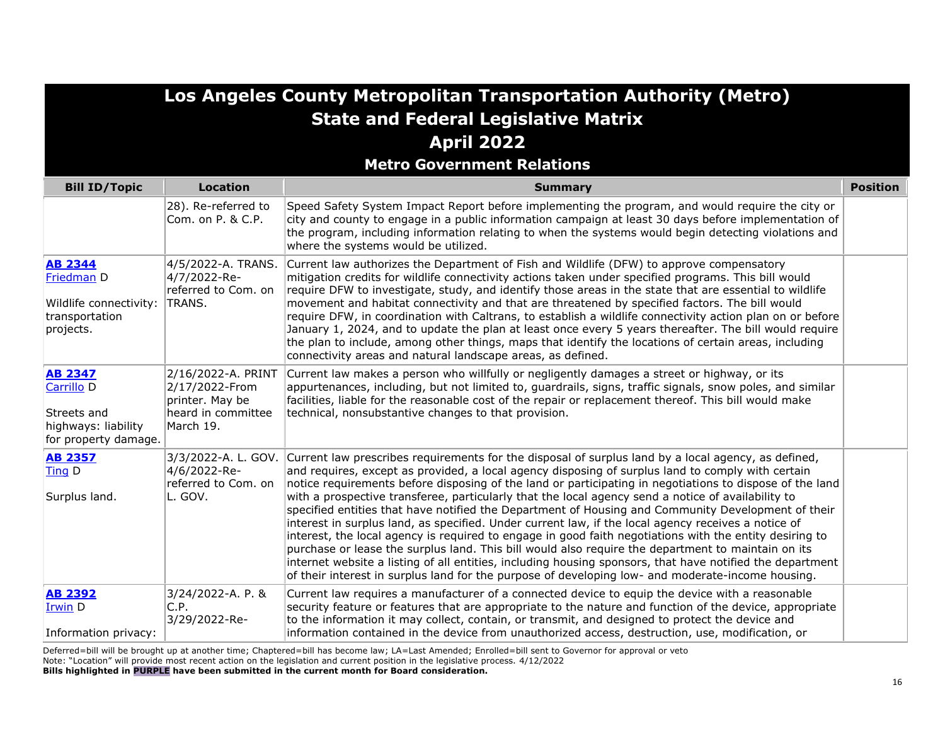|                                                                                            |                                                                                            | Los Angeles County Metropolitan Transportation Authority (Metro)                                                                                                                                                                                                                                                                                                                                                                                                                                                                                                                                                                                                                                                                                                                                                                                                                                                                                                                                                                                                                               |                 |
|--------------------------------------------------------------------------------------------|--------------------------------------------------------------------------------------------|------------------------------------------------------------------------------------------------------------------------------------------------------------------------------------------------------------------------------------------------------------------------------------------------------------------------------------------------------------------------------------------------------------------------------------------------------------------------------------------------------------------------------------------------------------------------------------------------------------------------------------------------------------------------------------------------------------------------------------------------------------------------------------------------------------------------------------------------------------------------------------------------------------------------------------------------------------------------------------------------------------------------------------------------------------------------------------------------|-----------------|
|                                                                                            |                                                                                            | <b>State and Federal Legislative Matrix</b>                                                                                                                                                                                                                                                                                                                                                                                                                                                                                                                                                                                                                                                                                                                                                                                                                                                                                                                                                                                                                                                    |                 |
|                                                                                            |                                                                                            | <b>April 2022</b>                                                                                                                                                                                                                                                                                                                                                                                                                                                                                                                                                                                                                                                                                                                                                                                                                                                                                                                                                                                                                                                                              |                 |
|                                                                                            |                                                                                            | <b>Metro Government Relations</b>                                                                                                                                                                                                                                                                                                                                                                                                                                                                                                                                                                                                                                                                                                                                                                                                                                                                                                                                                                                                                                                              |                 |
| <b>Bill ID/Topic</b>                                                                       | <b>Location</b>                                                                            | <b>Summary</b>                                                                                                                                                                                                                                                                                                                                                                                                                                                                                                                                                                                                                                                                                                                                                                                                                                                                                                                                                                                                                                                                                 | <b>Position</b> |
|                                                                                            | 28). Re-referred to<br>Com. on P. & C.P.                                                   | Speed Safety System Impact Report before implementing the program, and would require the city or<br>city and county to engage in a public information campaign at least 30 days before implementation of<br>the program, including information relating to when the systems would begin detecting violations and<br>where the systems would be utilized.                                                                                                                                                                                                                                                                                                                                                                                                                                                                                                                                                                                                                                                                                                                                       |                 |
| <b>AB 2344</b><br>Friedman D<br>Wildlife connectivity:<br>transportation<br>projects.      | 4/5/2022-A. TRANS.<br>4/7/2022-Re-<br>referred to Com. on<br>TRANS.                        | Current law authorizes the Department of Fish and Wildlife (DFW) to approve compensatory<br>mitigation credits for wildlife connectivity actions taken under specified programs. This bill would<br>require DFW to investigate, study, and identify those areas in the state that are essential to wildlife<br>movement and habitat connectivity and that are threatened by specified factors. The bill would<br>require DFW, in coordination with Caltrans, to establish a wildlife connectivity action plan on or before<br>January 1, 2024, and to update the plan at least once every 5 years thereafter. The bill would require<br>the plan to include, among other things, maps that identify the locations of certain areas, including<br>connectivity areas and natural landscape areas, as defined.                                                                                                                                                                                                                                                                                   |                 |
| <b>AB 2347</b><br>Carrillo D<br>Streets and<br>highways: liability<br>for property damage. | 2/16/2022-A. PRINT<br>2/17/2022-From<br>printer. May be<br>heard in committee<br>March 19. | Current law makes a person who willfully or negligently damages a street or highway, or its<br>appurtenances, including, but not limited to, guardrails, signs, traffic signals, snow poles, and similar<br>facilities, liable for the reasonable cost of the repair or replacement thereof. This bill would make<br>technical, nonsubstantive changes to that provision.                                                                                                                                                                                                                                                                                                                                                                                                                                                                                                                                                                                                                                                                                                                      |                 |
| <b>AB 2357</b><br>Ting D<br>Surplus land.                                                  | 4/6/2022-Re-<br>referred to Com. on<br>L. GOV.                                             | 3/3/2022-A. L. GOV. Current law prescribes requirements for the disposal of surplus land by a local agency, as defined,<br>and requires, except as provided, a local agency disposing of surplus land to comply with certain<br>notice requirements before disposing of the land or participating in negotiations to dispose of the land<br>with a prospective transferee, particularly that the local agency send a notice of availability to<br>specified entities that have notified the Department of Housing and Community Development of their<br>interest in surplus land, as specified. Under current law, if the local agency receives a notice of<br>interest, the local agency is required to engage in good faith negotiations with the entity desiring to<br>purchase or lease the surplus land. This bill would also require the department to maintain on its<br>internet website a listing of all entities, including housing sponsors, that have notified the department<br>of their interest in surplus land for the purpose of developing low- and moderate-income housing. |                 |
| <b>AB 2392</b><br>Irwin D<br>Information privacy:                                          | 3/24/2022-A. P. &<br>C.P.<br>3/29/2022-Re-                                                 | Current law requires a manufacturer of a connected device to equip the device with a reasonable<br>security feature or features that are appropriate to the nature and function of the device, appropriate<br>to the information it may collect, contain, or transmit, and designed to protect the device and<br>information contained in the device from unauthorized access, destruction, use, modification, or                                                                                                                                                                                                                                                                                                                                                                                                                                                                                                                                                                                                                                                                              |                 |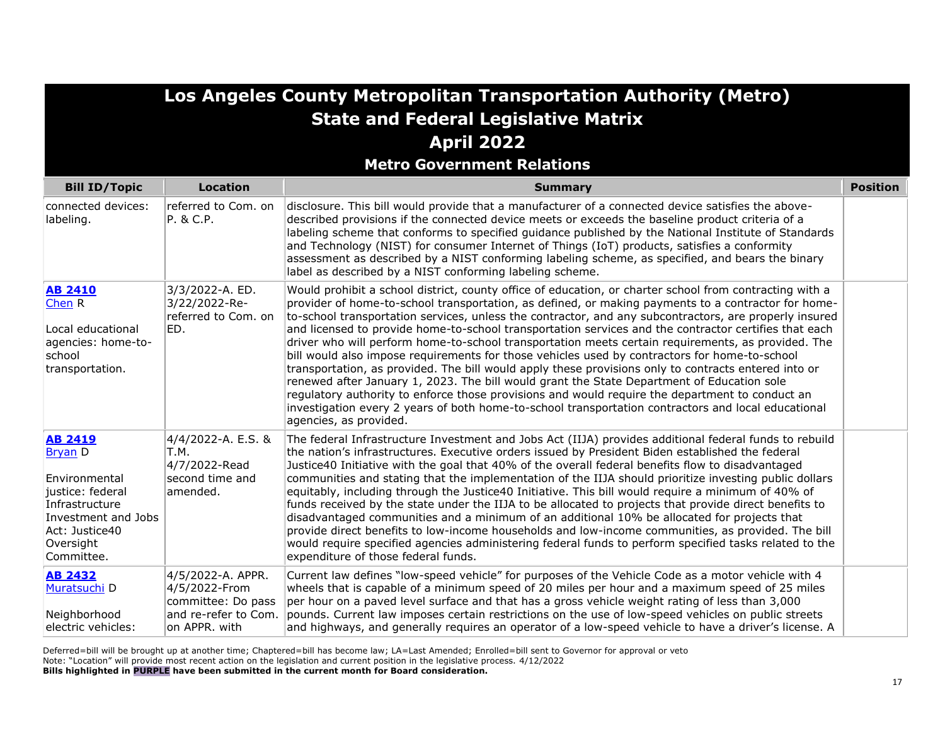|                                                                                                                                                             |                                                                                                   | Los Angeles County Metropolitan Transportation Authority (Metro)                                                                                                                                                                                                                                                                                                                                                                                                                                                                                                                                                                                                                                                                                                                                                                                                                                                                                                                                                                                                                   |                 |
|-------------------------------------------------------------------------------------------------------------------------------------------------------------|---------------------------------------------------------------------------------------------------|------------------------------------------------------------------------------------------------------------------------------------------------------------------------------------------------------------------------------------------------------------------------------------------------------------------------------------------------------------------------------------------------------------------------------------------------------------------------------------------------------------------------------------------------------------------------------------------------------------------------------------------------------------------------------------------------------------------------------------------------------------------------------------------------------------------------------------------------------------------------------------------------------------------------------------------------------------------------------------------------------------------------------------------------------------------------------------|-----------------|
|                                                                                                                                                             |                                                                                                   | <b>State and Federal Legislative Matrix</b>                                                                                                                                                                                                                                                                                                                                                                                                                                                                                                                                                                                                                                                                                                                                                                                                                                                                                                                                                                                                                                        |                 |
|                                                                                                                                                             |                                                                                                   | <b>April 2022</b>                                                                                                                                                                                                                                                                                                                                                                                                                                                                                                                                                                                                                                                                                                                                                                                                                                                                                                                                                                                                                                                                  |                 |
|                                                                                                                                                             |                                                                                                   | <b>Metro Government Relations</b>                                                                                                                                                                                                                                                                                                                                                                                                                                                                                                                                                                                                                                                                                                                                                                                                                                                                                                                                                                                                                                                  |                 |
| <b>Bill ID/Topic</b>                                                                                                                                        | <b>Location</b>                                                                                   | <b>Summary</b>                                                                                                                                                                                                                                                                                                                                                                                                                                                                                                                                                                                                                                                                                                                                                                                                                                                                                                                                                                                                                                                                     | <b>Position</b> |
| connected devices:<br>labeling.                                                                                                                             | referred to Com. on<br>P. & C.P.                                                                  | disclosure. This bill would provide that a manufacturer of a connected device satisfies the above-<br>described provisions if the connected device meets or exceeds the baseline product criteria of a<br>labeling scheme that conforms to specified guidance published by the National Institute of Standards<br>and Technology (NIST) for consumer Internet of Things (IoT) products, satisfies a conformity<br>assessment as described by a NIST conforming labeling scheme, as specified, and bears the binary<br>label as described by a NIST conforming labeling scheme.                                                                                                                                                                                                                                                                                                                                                                                                                                                                                                     |                 |
| <b>AB 2410</b><br>Chen R<br>Local educational<br>agencies: home-to-<br>school<br>transportation.                                                            | 3/3/2022-A. ED.<br>3/22/2022-Re-<br>referred to Com. on<br>ED.                                    | Would prohibit a school district, county office of education, or charter school from contracting with a<br>provider of home-to-school transportation, as defined, or making payments to a contractor for home-<br>to-school transportation services, unless the contractor, and any subcontractors, are properly insured<br>and licensed to provide home-to-school transportation services and the contractor certifies that each<br>driver who will perform home-to-school transportation meets certain requirements, as provided. The<br>bill would also impose requirements for those vehicles used by contractors for home-to-school<br>transportation, as provided. The bill would apply these provisions only to contracts entered into or<br>renewed after January 1, 2023. The bill would grant the State Department of Education sole<br>regulatory authority to enforce those provisions and would require the department to conduct an<br>investigation every 2 years of both home-to-school transportation contractors and local educational<br>agencies, as provided. |                 |
| <b>AB 2419</b><br><b>Bryan D</b><br>Environmental<br>justice: federal<br>Infrastructure<br>Investment and Jobs<br>Act: Justice40<br>Oversight<br>Committee. | 4/4/2022-A. E.S. &<br>T.M.<br>4/7/2022-Read<br>second time and<br>amended.                        | The federal Infrastructure Investment and Jobs Act (IIJA) provides additional federal funds to rebuild<br>the nation's infrastructures. Executive orders issued by President Biden established the federal<br>Justice40 Initiative with the goal that 40% of the overall federal benefits flow to disadvantaged<br>communities and stating that the implementation of the IIJA should prioritize investing public dollars<br>equitably, including through the Justice40 Initiative. This bill would require a minimum of 40% of<br>funds received by the state under the IIJA to be allocated to projects that provide direct benefits to<br>disadvantaged communities and a minimum of an additional 10% be allocated for projects that<br>provide direct benefits to low-income households and low-income communities, as provided. The bill<br>would require specified agencies administering federal funds to perform specified tasks related to the<br>expenditure of those federal funds.                                                                                    |                 |
| <b>AB 2432</b><br>Muratsuchi D<br>Neighborhood<br>electric vehicles:                                                                                        | 4/5/2022-A. APPR.<br>4/5/2022-From<br>committee: Do pass<br>and re-refer to Com.<br>on APPR. with | Current law defines "low-speed vehicle" for purposes of the Vehicle Code as a motor vehicle with 4<br>wheels that is capable of a minimum speed of 20 miles per hour and a maximum speed of 25 miles<br>per hour on a paved level surface and that has a gross vehicle weight rating of less than 3,000<br>pounds. Current law imposes certain restrictions on the use of low-speed vehicles on public streets<br>and highways, and generally requires an operator of a low-speed vehicle to have a driver's license. A                                                                                                                                                                                                                                                                                                                                                                                                                                                                                                                                                            |                 |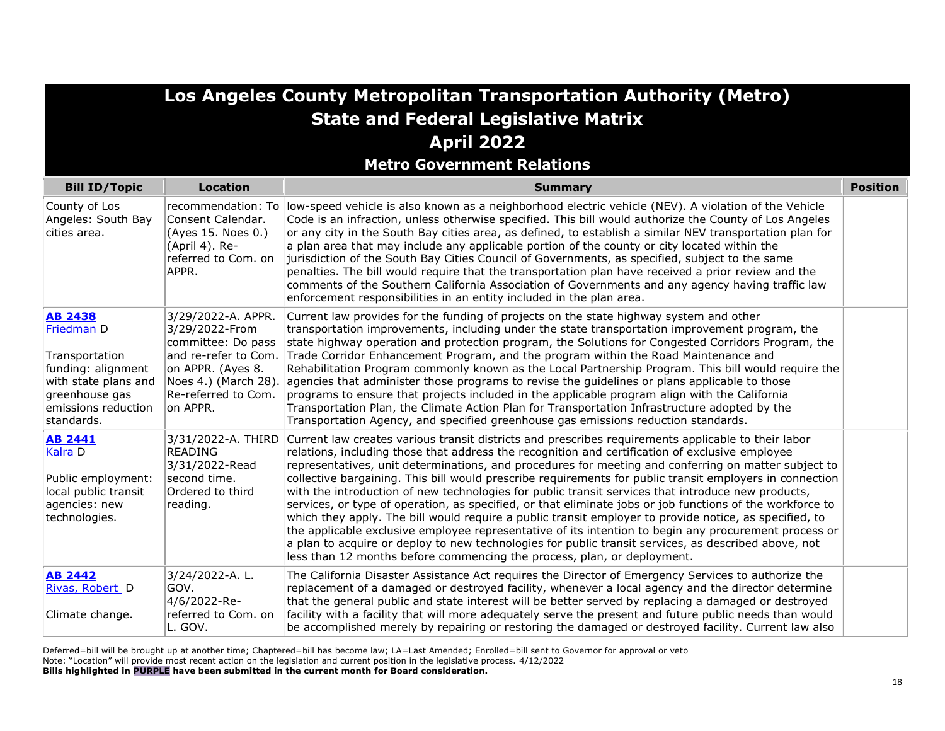|                                                                                                                                                     |                                                                                                                                            | Los Angeles County Metropolitan Transportation Authority (Metro)<br><b>State and Federal Legislative Matrix</b>                                                                                                                                                                                                                                                                                                                                                                                                                                                                                                                                                                                                                                                                                                                                                                                                                                                                                                                                     |                 |
|-----------------------------------------------------------------------------------------------------------------------------------------------------|--------------------------------------------------------------------------------------------------------------------------------------------|-----------------------------------------------------------------------------------------------------------------------------------------------------------------------------------------------------------------------------------------------------------------------------------------------------------------------------------------------------------------------------------------------------------------------------------------------------------------------------------------------------------------------------------------------------------------------------------------------------------------------------------------------------------------------------------------------------------------------------------------------------------------------------------------------------------------------------------------------------------------------------------------------------------------------------------------------------------------------------------------------------------------------------------------------------|-----------------|
|                                                                                                                                                     |                                                                                                                                            | <b>April 2022</b>                                                                                                                                                                                                                                                                                                                                                                                                                                                                                                                                                                                                                                                                                                                                                                                                                                                                                                                                                                                                                                   |                 |
| <b>Bill ID/Topic</b>                                                                                                                                | <b>Location</b>                                                                                                                            | <b>Metro Government Relations</b><br><b>Summary</b>                                                                                                                                                                                                                                                                                                                                                                                                                                                                                                                                                                                                                                                                                                                                                                                                                                                                                                                                                                                                 | <b>Position</b> |
| County of Los<br>Angeles: South Bay<br>cities area.                                                                                                 | Consent Calendar.<br>(Aves 15. Noes 0.)<br>(April 4). Re-<br>referred to Com. on<br>APPR.                                                  | recommendation: To low-speed vehicle is also known as a neighborhood electric vehicle (NEV). A violation of the Vehicle<br>Code is an infraction, unless otherwise specified. This bill would authorize the County of Los Angeles<br>or any city in the South Bay cities area, as defined, to establish a similar NEV transportation plan for<br>a plan area that may include any applicable portion of the county or city located within the<br>jurisdiction of the South Bay Cities Council of Governments, as specified, subject to the same<br>penalties. The bill would require that the transportation plan have received a prior review and the<br>comments of the Southern California Association of Governments and any agency having traffic law<br>enforcement responsibilities in an entity included in the plan area.                                                                                                                                                                                                                  |                 |
| <b>AB 2438</b><br>Friedman D<br>Transportation<br>funding: alignment<br>with state plans and<br>greenhouse gas<br>emissions reduction<br>standards. | 3/29/2022-A. APPR.<br>3/29/2022-From<br>committee: Do pass<br>on APPR. (Ayes 8.<br>Noes 4.) (March 28).<br>Re-referred to Com.<br>on APPR. | Current law provides for the funding of projects on the state highway system and other<br>transportation improvements, including under the state transportation improvement program, the<br>state highway operation and protection program, the Solutions for Congested Corridors Program, the<br>and re-refer to Com. Trade Corridor Enhancement Program, and the program within the Road Maintenance and<br>Rehabilitation Program commonly known as the Local Partnership Program. This bill would require the<br>agencies that administer those programs to revise the guidelines or plans applicable to those<br>programs to ensure that projects included in the applicable program align with the California<br>Transportation Plan, the Climate Action Plan for Transportation Infrastructure adopted by the<br>Transportation Agency, and specified greenhouse gas emissions reduction standards.                                                                                                                                          |                 |
| <b>AB 2441</b><br>Kalra D<br>Public employment:<br>local public transit<br>agencies: new<br>technologies.                                           | 3/31/2022-A. THIRD<br><b>READING</b><br>3/31/2022-Read<br>second time.<br>Ordered to third<br>reading.                                     | Current law creates various transit districts and prescribes requirements applicable to their labor<br>relations, including those that address the recognition and certification of exclusive employee<br>representatives, unit determinations, and procedures for meeting and conferring on matter subject to<br>collective bargaining. This bill would prescribe requirements for public transit employers in connection<br>with the introduction of new technologies for public transit services that introduce new products,<br>services, or type of operation, as specified, or that eliminate jobs or job functions of the workforce to<br>which they apply. The bill would require a public transit employer to provide notice, as specified, to<br>the applicable exclusive employee representative of its intention to begin any procurement process or<br>a plan to acquire or deploy to new technologies for public transit services, as described above, not<br>less than 12 months before commencing the process, plan, or deployment. |                 |
| <b>AB 2442</b><br>Rivas, Robert D<br>Climate change.                                                                                                | 3/24/2022-A.L.<br>GOV.<br>4/6/2022-Re-<br>referred to Com. on<br>L. GOV.                                                                   | The California Disaster Assistance Act requires the Director of Emergency Services to authorize the<br>replacement of a damaged or destroyed facility, whenever a local agency and the director determine<br>that the general public and state interest will be better served by replacing a damaged or destroyed<br>facility with a facility that will more adequately serve the present and future public needs than would<br>be accomplished merely by repairing or restoring the damaged or destroyed facility. Current law also                                                                                                                                                                                                                                                                                                                                                                                                                                                                                                                |                 |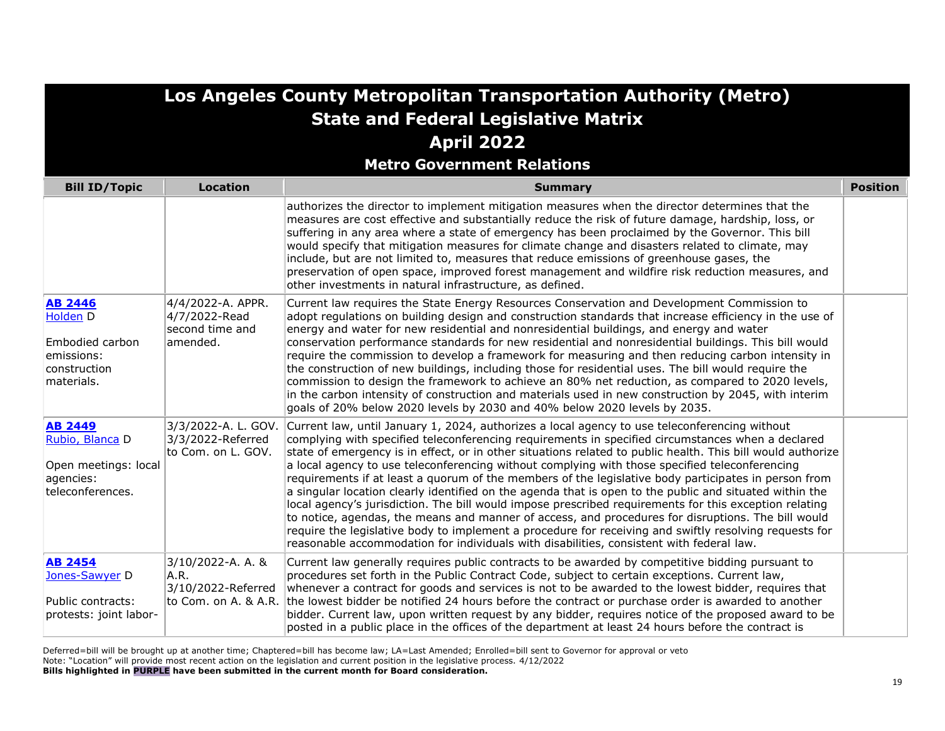| Los Angeles County Metropolitan Transportation Authority (Metro)<br><b>State and Federal Legislative Matrix</b><br><b>April 2022</b><br><b>Metro Government Relations</b> |                                                                   |                                                                                                                                                                                                                                                                                                                                                                                                                                                                                                                                                                                                                                                                                                                                                                                                                                                                                                                                                                                                                                                              |                 |
|---------------------------------------------------------------------------------------------------------------------------------------------------------------------------|-------------------------------------------------------------------|--------------------------------------------------------------------------------------------------------------------------------------------------------------------------------------------------------------------------------------------------------------------------------------------------------------------------------------------------------------------------------------------------------------------------------------------------------------------------------------------------------------------------------------------------------------------------------------------------------------------------------------------------------------------------------------------------------------------------------------------------------------------------------------------------------------------------------------------------------------------------------------------------------------------------------------------------------------------------------------------------------------------------------------------------------------|-----------------|
| <b>Bill ID/Topic</b>                                                                                                                                                      | <b>Location</b>                                                   | <b>Summary</b>                                                                                                                                                                                                                                                                                                                                                                                                                                                                                                                                                                                                                                                                                                                                                                                                                                                                                                                                                                                                                                               | <b>Position</b> |
|                                                                                                                                                                           |                                                                   | authorizes the director to implement mitigation measures when the director determines that the<br>measures are cost effective and substantially reduce the risk of future damage, hardship, loss, or<br>suffering in any area where a state of emergency has been proclaimed by the Governor. This bill<br>would specify that mitigation measures for climate change and disasters related to climate, may<br>include, but are not limited to, measures that reduce emissions of greenhouse gases, the<br>preservation of open space, improved forest management and wildfire risk reduction measures, and<br>other investments in natural infrastructure, as defined.                                                                                                                                                                                                                                                                                                                                                                                       |                 |
| <b>AB 2446</b><br>Holden D<br>Embodied carbon<br>emissions:<br>construction<br>materials.                                                                                 | 4/4/2022-A. APPR.<br>4/7/2022-Read<br>second time and<br>amended. | Current law requires the State Energy Resources Conservation and Development Commission to<br>adopt regulations on building design and construction standards that increase efficiency in the use of<br>energy and water for new residential and nonresidential buildings, and energy and water<br>conservation performance standards for new residential and nonresidential buildings. This bill would<br>require the commission to develop a framework for measuring and then reducing carbon intensity in<br>the construction of new buildings, including those for residential uses. The bill would require the<br>commission to design the framework to achieve an 80% net reduction, as compared to 2020 levels,<br>in the carbon intensity of construction and materials used in new construction by 2045, with interim<br>goals of 20% below 2020 levels by 2030 and 40% below 2020 levels by 2035.                                                                                                                                                  |                 |
| <b>AB 2449</b><br>Rubio, Blanca D<br>Open meetings: local<br>agencies:<br>teleconferences.                                                                                | 3/3/2022-A. L. GOV.<br>3/3/2022-Referred<br>to Com. on L. GOV.    | Current law, until January 1, 2024, authorizes a local agency to use teleconferencing without<br>complying with specified teleconferencing requirements in specified circumstances when a declared<br>state of emergency is in effect, or in other situations related to public health. This bill would authorize<br>a local agency to use teleconferencing without complying with those specified teleconferencing<br>requirements if at least a quorum of the members of the legislative body participates in person from<br>a singular location clearly identified on the agenda that is open to the public and situated within the<br>local agency's jurisdiction. The bill would impose prescribed requirements for this exception relating<br>to notice, agendas, the means and manner of access, and procedures for disruptions. The bill would<br>require the legislative body to implement a procedure for receiving and swiftly resolving requests for<br>reasonable accommodation for individuals with disabilities, consistent with federal law. |                 |
| <b>AB 2454</b><br>Jones-Sawyer D<br>Public contracts:<br>protests: joint labor-                                                                                           | 3/10/2022-A. A. &<br>A.R.<br>3/10/2022-Referred                   | Current law generally requires public contracts to be awarded by competitive bidding pursuant to<br>procedures set forth in the Public Contract Code, subject to certain exceptions. Current law,<br>whenever a contract for goods and services is not to be awarded to the lowest bidder, requires that<br>to Com. on A. & A.R. the lowest bidder be notified 24 hours before the contract or purchase order is awarded to another<br>bidder. Current law, upon written request by any bidder, requires notice of the proposed award to be<br>posted in a public place in the offices of the department at least 24 hours before the contract is                                                                                                                                                                                                                                                                                                                                                                                                            |                 |

**Los Angeles County Metropolitan Transportation Authority (Metro)**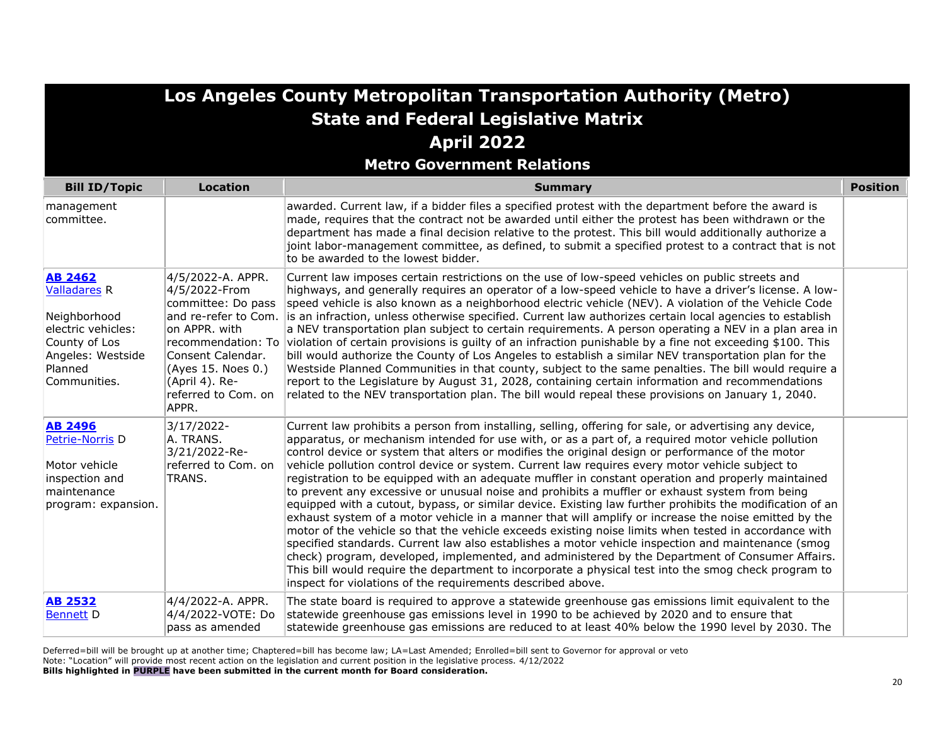| Los Angeles County Metropolitan Transportation Authority (Metro)                                                                             |                                                                                                                                                                        |                                                                                                                                                                                                                                                                                                                                                                                                                                                                                                                                                                                                                                                                                                                                                                                                                                                                                                                                                                                                                                                                                                                                                                                                                                                                                                                                          |                 |
|----------------------------------------------------------------------------------------------------------------------------------------------|------------------------------------------------------------------------------------------------------------------------------------------------------------------------|------------------------------------------------------------------------------------------------------------------------------------------------------------------------------------------------------------------------------------------------------------------------------------------------------------------------------------------------------------------------------------------------------------------------------------------------------------------------------------------------------------------------------------------------------------------------------------------------------------------------------------------------------------------------------------------------------------------------------------------------------------------------------------------------------------------------------------------------------------------------------------------------------------------------------------------------------------------------------------------------------------------------------------------------------------------------------------------------------------------------------------------------------------------------------------------------------------------------------------------------------------------------------------------------------------------------------------------|-----------------|
|                                                                                                                                              |                                                                                                                                                                        | <b>State and Federal Legislative Matrix</b>                                                                                                                                                                                                                                                                                                                                                                                                                                                                                                                                                                                                                                                                                                                                                                                                                                                                                                                                                                                                                                                                                                                                                                                                                                                                                              |                 |
|                                                                                                                                              |                                                                                                                                                                        | <b>April 2022</b>                                                                                                                                                                                                                                                                                                                                                                                                                                                                                                                                                                                                                                                                                                                                                                                                                                                                                                                                                                                                                                                                                                                                                                                                                                                                                                                        |                 |
|                                                                                                                                              |                                                                                                                                                                        | <b>Metro Government Relations</b>                                                                                                                                                                                                                                                                                                                                                                                                                                                                                                                                                                                                                                                                                                                                                                                                                                                                                                                                                                                                                                                                                                                                                                                                                                                                                                        |                 |
| <b>Bill ID/Topic</b>                                                                                                                         | <b>Location</b>                                                                                                                                                        | <b>Summary</b>                                                                                                                                                                                                                                                                                                                                                                                                                                                                                                                                                                                                                                                                                                                                                                                                                                                                                                                                                                                                                                                                                                                                                                                                                                                                                                                           | <b>Position</b> |
| management<br>committee.                                                                                                                     |                                                                                                                                                                        | awarded. Current law, if a bidder files a specified protest with the department before the award is<br>made, requires that the contract not be awarded until either the protest has been withdrawn or the<br>department has made a final decision relative to the protest. This bill would additionally authorize a<br>joint labor-management committee, as defined, to submit a specified protest to a contract that is not<br>to be awarded to the lowest bidder.                                                                                                                                                                                                                                                                                                                                                                                                                                                                                                                                                                                                                                                                                                                                                                                                                                                                      |                 |
| <b>AB 2462</b><br><b>Valladares R</b><br>Neighborhood<br>electric vehicles:<br>County of Los<br>Angeles: Westside<br>Planned<br>Communities. | 4/5/2022-A. APPR.<br>4/5/2022-From<br>committee: Do pass<br>on APPR. with<br>Consent Calendar.<br>(Ayes 15. Noes 0.)<br>(April 4). Re-<br>referred to Com. on<br>APPR. | Current law imposes certain restrictions on the use of low-speed vehicles on public streets and<br>highways, and generally requires an operator of a low-speed vehicle to have a driver's license. A low-<br>speed vehicle is also known as a neighborhood electric vehicle (NEV). A violation of the Vehicle Code<br>and re-refer to Com. is an infraction, unless otherwise specified. Current law authorizes certain local agencies to establish<br>a NEV transportation plan subject to certain requirements. A person operating a NEV in a plan area in<br>recommendation: To violation of certain provisions is guilty of an infraction punishable by a fine not exceeding \$100. This<br>bill would authorize the County of Los Angeles to establish a similar NEV transportation plan for the<br>Westside Planned Communities in that county, subject to the same penalties. The bill would require a<br>report to the Legislature by August 31, 2028, containing certain information and recommendations<br>related to the NEV transportation plan. The bill would repeal these provisions on January 1, 2040.                                                                                                                                                                                                                  |                 |
| <b>AB 2496</b><br>Petrie-Norris D<br>Motor vehicle<br>inspection and<br>maintenance<br>program: expansion.                                   | 3/17/2022-<br>A. TRANS.<br>3/21/2022-Re-<br>referred to Com. on<br>TRANS.                                                                                              | Current law prohibits a person from installing, selling, offering for sale, or advertising any device,<br>apparatus, or mechanism intended for use with, or as a part of, a required motor vehicle pollution<br>control device or system that alters or modifies the original design or performance of the motor<br>vehicle pollution control device or system. Current law requires every motor vehicle subject to<br>registration to be equipped with an adequate muffler in constant operation and properly maintained<br>to prevent any excessive or unusual noise and prohibits a muffler or exhaust system from being<br>equipped with a cutout, bypass, or similar device. Existing law further prohibits the modification of an<br>exhaust system of a motor vehicle in a manner that will amplify or increase the noise emitted by the<br>motor of the vehicle so that the vehicle exceeds existing noise limits when tested in accordance with<br>specified standards. Current law also establishes a motor vehicle inspection and maintenance (smog<br>check) program, developed, implemented, and administered by the Department of Consumer Affairs.<br>This bill would require the department to incorporate a physical test into the smog check program to<br>inspect for violations of the requirements described above. |                 |
| <b>AB 2532</b><br><b>Bennett D</b>                                                                                                           | 4/4/2022-A. APPR.<br>4/4/2022-VOTE: Do<br>pass as amended                                                                                                              | The state board is required to approve a statewide greenhouse gas emissions limit equivalent to the<br>statewide greenhouse gas emissions level in 1990 to be achieved by 2020 and to ensure that<br>statewide greenhouse gas emissions are reduced to at least 40% below the 1990 level by 2030. The                                                                                                                                                                                                                                                                                                                                                                                                                                                                                                                                                                                                                                                                                                                                                                                                                                                                                                                                                                                                                                    |                 |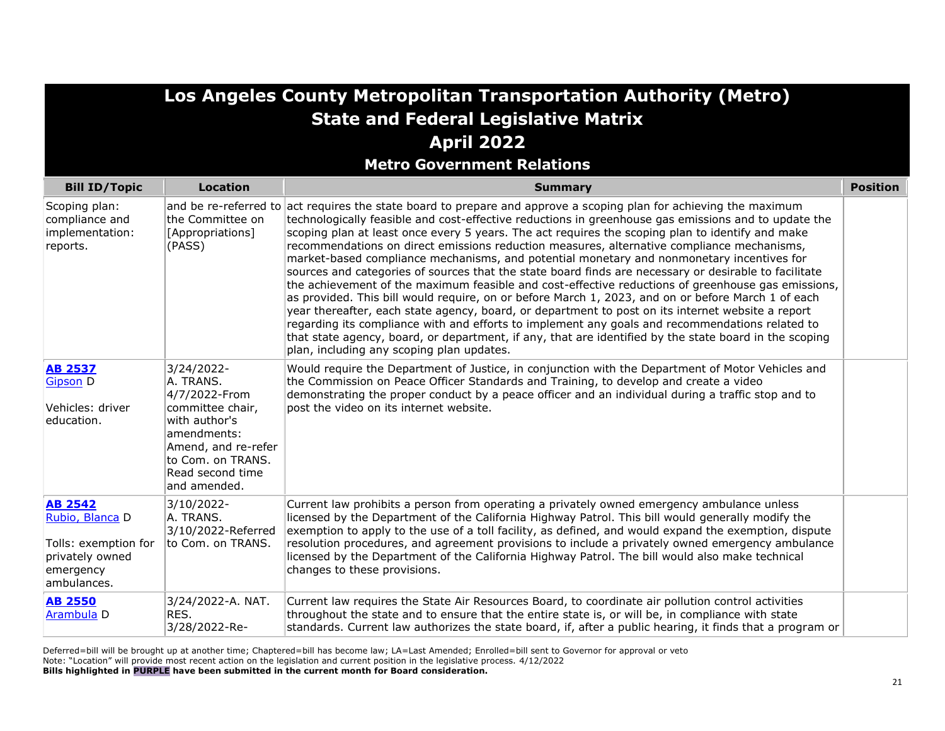|                                                                                                          |                                                                                                                                                                              | Los Angeles County Metropolitan Transportation Authority (Metro)<br><b>State and Federal Legislative Matrix</b>                                                                                                                                                                                                                                                                                                                                                                                                                                                                                                                                                                                                                                                                                                                                                                                                                                                                                                                                                                                                                                                                                               |                 |
|----------------------------------------------------------------------------------------------------------|------------------------------------------------------------------------------------------------------------------------------------------------------------------------------|---------------------------------------------------------------------------------------------------------------------------------------------------------------------------------------------------------------------------------------------------------------------------------------------------------------------------------------------------------------------------------------------------------------------------------------------------------------------------------------------------------------------------------------------------------------------------------------------------------------------------------------------------------------------------------------------------------------------------------------------------------------------------------------------------------------------------------------------------------------------------------------------------------------------------------------------------------------------------------------------------------------------------------------------------------------------------------------------------------------------------------------------------------------------------------------------------------------|-----------------|
|                                                                                                          |                                                                                                                                                                              | <b>April 2022</b><br><b>Metro Government Relations</b>                                                                                                                                                                                                                                                                                                                                                                                                                                                                                                                                                                                                                                                                                                                                                                                                                                                                                                                                                                                                                                                                                                                                                        |                 |
| <b>Bill ID/Topic</b>                                                                                     | <b>Location</b>                                                                                                                                                              | <b>Summary</b>                                                                                                                                                                                                                                                                                                                                                                                                                                                                                                                                                                                                                                                                                                                                                                                                                                                                                                                                                                                                                                                                                                                                                                                                | <b>Position</b> |
| Scoping plan:<br>compliance and<br>implementation:<br>reports.                                           | the Committee on<br>[Appropriations]<br>(PASS)                                                                                                                               | and be re-referred to act requires the state board to prepare and approve a scoping plan for achieving the maximum<br>technologically feasible and cost-effective reductions in greenhouse gas emissions and to update the<br>scoping plan at least once every 5 years. The act requires the scoping plan to identify and make<br>recommendations on direct emissions reduction measures, alternative compliance mechanisms,<br>market-based compliance mechanisms, and potential monetary and nonmonetary incentives for<br>sources and categories of sources that the state board finds are necessary or desirable to facilitate<br>the achievement of the maximum feasible and cost-effective reductions of greenhouse gas emissions,<br>as provided. This bill would require, on or before March 1, 2023, and on or before March 1 of each<br>year thereafter, each state agency, board, or department to post on its internet website a report<br>regarding its compliance with and efforts to implement any goals and recommendations related to<br>that state agency, board, or department, if any, that are identified by the state board in the scoping<br>plan, including any scoping plan updates. |                 |
| <b>AB 2537</b><br><b>Gipson D</b><br>Vehicles: driver<br>education.                                      | 3/24/2022-<br>A. TRANS.<br>4/7/2022-From<br>committee chair,<br>with author's<br>amendments:<br>Amend, and re-refer<br>to Com. on TRANS.<br>Read second time<br>and amended. | Would require the Department of Justice, in conjunction with the Department of Motor Vehicles and<br>the Commission on Peace Officer Standards and Training, to develop and create a video<br>demonstrating the proper conduct by a peace officer and an individual during a traffic stop and to<br>post the video on its internet website.                                                                                                                                                                                                                                                                                                                                                                                                                                                                                                                                                                                                                                                                                                                                                                                                                                                                   |                 |
| <b>AB 2542</b><br>Rubio, Blanca D<br>Tolls: exemption for<br>privately owned<br>emergency<br>ambulances. | 3/10/2022-<br>A. TRANS.<br>3/10/2022-Referred<br>to Com. on TRANS.                                                                                                           | Current law prohibits a person from operating a privately owned emergency ambulance unless<br>licensed by the Department of the California Highway Patrol. This bill would generally modify the<br>exemption to apply to the use of a toll facility, as defined, and would expand the exemption, dispute<br>resolution procedures, and agreement provisions to include a privately owned emergency ambulance<br>licensed by the Department of the California Highway Patrol. The bill would also make technical<br>changes to these provisions.                                                                                                                                                                                                                                                                                                                                                                                                                                                                                                                                                                                                                                                               |                 |
| <b>AB 2550</b><br>Arambula D                                                                             | 3/24/2022-A. NAT.<br>RES.<br>3/28/2022-Re-                                                                                                                                   | Current law requires the State Air Resources Board, to coordinate air pollution control activities<br>throughout the state and to ensure that the entire state is, or will be, in compliance with state<br>standards. Current law authorizes the state board, if, after a public hearing, it finds that a program or                                                                                                                                                                                                                                                                                                                                                                                                                                                                                                                                                                                                                                                                                                                                                                                                                                                                                          |                 |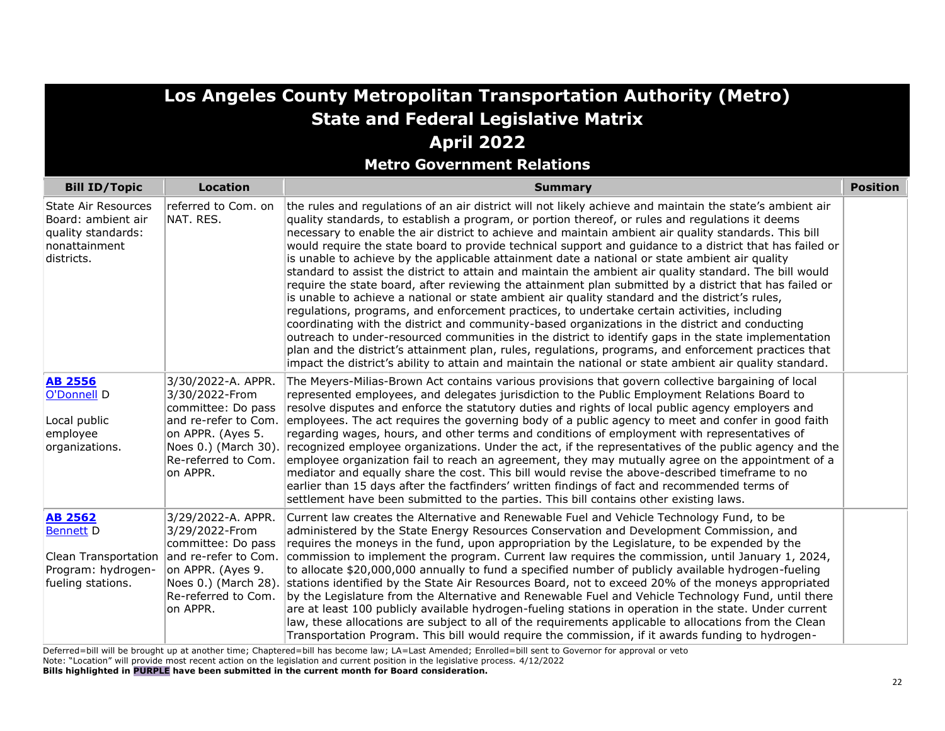|                                                                                                       | Los Angeles County Metropolitan Transportation Authority (Metro)<br><b>State and Federal Legislative Matrix</b>                            |                                                                                                                                                                                                                                                                                                                                                                                                                                                                                                                                                                                                                                                                                                                                                                                                                                                                                                                                                                                                                                                                                                                                                                                                                                                                                                                                                                                               |                 |  |
|-------------------------------------------------------------------------------------------------------|--------------------------------------------------------------------------------------------------------------------------------------------|-----------------------------------------------------------------------------------------------------------------------------------------------------------------------------------------------------------------------------------------------------------------------------------------------------------------------------------------------------------------------------------------------------------------------------------------------------------------------------------------------------------------------------------------------------------------------------------------------------------------------------------------------------------------------------------------------------------------------------------------------------------------------------------------------------------------------------------------------------------------------------------------------------------------------------------------------------------------------------------------------------------------------------------------------------------------------------------------------------------------------------------------------------------------------------------------------------------------------------------------------------------------------------------------------------------------------------------------------------------------------------------------------|-----------------|--|
|                                                                                                       |                                                                                                                                            | <b>April 2022</b>                                                                                                                                                                                                                                                                                                                                                                                                                                                                                                                                                                                                                                                                                                                                                                                                                                                                                                                                                                                                                                                                                                                                                                                                                                                                                                                                                                             |                 |  |
|                                                                                                       |                                                                                                                                            | <b>Metro Government Relations</b>                                                                                                                                                                                                                                                                                                                                                                                                                                                                                                                                                                                                                                                                                                                                                                                                                                                                                                                                                                                                                                                                                                                                                                                                                                                                                                                                                             |                 |  |
| <b>Bill ID/Topic</b>                                                                                  | <b>Location</b>                                                                                                                            | <b>Summary</b>                                                                                                                                                                                                                                                                                                                                                                                                                                                                                                                                                                                                                                                                                                                                                                                                                                                                                                                                                                                                                                                                                                                                                                                                                                                                                                                                                                                | <b>Position</b> |  |
| <b>State Air Resources</b><br>Board: ambient air<br>quality standards:<br>nonattainment<br>districts. | referred to Com. on<br>NAT. RES.                                                                                                           | the rules and regulations of an air district will not likely achieve and maintain the state's ambient air<br>quality standards, to establish a program, or portion thereof, or rules and regulations it deems<br>necessary to enable the air district to achieve and maintain ambient air quality standards. This bill<br>would require the state board to provide technical support and guidance to a district that has failed or<br>is unable to achieve by the applicable attainment date a national or state ambient air quality<br>standard to assist the district to attain and maintain the ambient air quality standard. The bill would<br>require the state board, after reviewing the attainment plan submitted by a district that has failed or<br>is unable to achieve a national or state ambient air quality standard and the district's rules,<br>regulations, programs, and enforcement practices, to undertake certain activities, including<br>coordinating with the district and community-based organizations in the district and conducting<br>outreach to under-resourced communities in the district to identify gaps in the state implementation<br>plan and the district's attainment plan, rules, regulations, programs, and enforcement practices that<br>impact the district's ability to attain and maintain the national or state ambient air quality standard. |                 |  |
| <b>AB 2556</b><br>O'Donnell D<br>Local public<br>employee<br>organizations.                           | 3/30/2022-A. APPR.<br>3/30/2022-From<br>committee: Do pass<br>on APPR. (Ayes 5.<br>Noes 0.) (March 30).<br>Re-referred to Com.<br>on APPR. | The Meyers-Milias-Brown Act contains various provisions that govern collective bargaining of local<br>represented employees, and delegates jurisdiction to the Public Employment Relations Board to<br>resolve disputes and enforce the statutory duties and rights of local public agency employers and<br>and re-refer to Com. employees. The act requires the governing body of a public agency to meet and confer in good faith<br>regarding wages, hours, and other terms and conditions of employment with representatives of<br>recognized employee organizations. Under the act, if the representatives of the public agency and the<br>employee organization fail to reach an agreement, they may mutually agree on the appointment of a<br>mediator and equally share the cost. This bill would revise the above-described timeframe to no<br>earlier than 15 days after the factfinders' written findings of fact and recommended terms of<br>settlement have been submitted to the parties. This bill contains other existing laws.                                                                                                                                                                                                                                                                                                                                               |                 |  |
| <b>AB 2562</b><br><b>Bennett D</b><br>Clean Transportation<br>Program: hydrogen-<br>fueling stations. | 3/29/2022-A. APPR.<br>3/29/2022-From<br>committee: Do pass<br>on APPR. (Ayes 9.<br>Noes 0.) (March 28).<br>Re-referred to Com.<br>on APPR. | Current law creates the Alternative and Renewable Fuel and Vehicle Technology Fund, to be<br>administered by the State Energy Resources Conservation and Development Commission, and<br>requires the moneys in the fund, upon appropriation by the Legislature, to be expended by the<br>and re-refer to Com. commission to implement the program. Current law requires the commission, until January 1, 2024,<br>to allocate \$20,000,000 annually to fund a specified number of publicly available hydrogen-fueling<br>stations identified by the State Air Resources Board, not to exceed 20% of the moneys appropriated<br>by the Legislature from the Alternative and Renewable Fuel and Vehicle Technology Fund, until there<br>are at least 100 publicly available hydrogen-fueling stations in operation in the state. Under current<br>law, these allocations are subject to all of the requirements applicable to allocations from the Clean<br>Transportation Program. This bill would require the commission, if it awards funding to hydrogen-                                                                                                                                                                                                                                                                                                                                   |                 |  |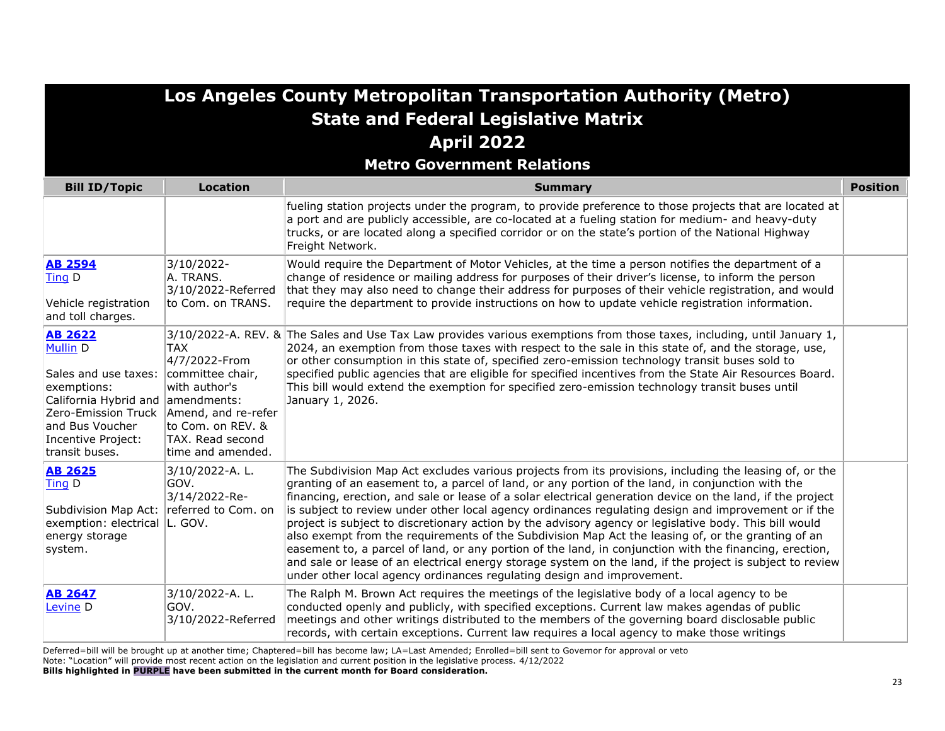| Los Angeles County Metropolitan Transportation Authority (Metro)<br><b>State and Federal Legislative Matrix</b><br><b>April 2022</b>                                                |                                                                                                                                                               |                                                                                                                                                                                                                                                                                                                                                                                                                                                                                                                                                                                                                                                                                                                                                                                                                                                                                                                                                      |                 |
|-------------------------------------------------------------------------------------------------------------------------------------------------------------------------------------|---------------------------------------------------------------------------------------------------------------------------------------------------------------|------------------------------------------------------------------------------------------------------------------------------------------------------------------------------------------------------------------------------------------------------------------------------------------------------------------------------------------------------------------------------------------------------------------------------------------------------------------------------------------------------------------------------------------------------------------------------------------------------------------------------------------------------------------------------------------------------------------------------------------------------------------------------------------------------------------------------------------------------------------------------------------------------------------------------------------------------|-----------------|
|                                                                                                                                                                                     |                                                                                                                                                               | <b>Metro Government Relations</b>                                                                                                                                                                                                                                                                                                                                                                                                                                                                                                                                                                                                                                                                                                                                                                                                                                                                                                                    |                 |
| <b>Bill ID/Topic</b>                                                                                                                                                                | <b>Location</b>                                                                                                                                               | <b>Summary</b>                                                                                                                                                                                                                                                                                                                                                                                                                                                                                                                                                                                                                                                                                                                                                                                                                                                                                                                                       | <b>Position</b> |
|                                                                                                                                                                                     |                                                                                                                                                               | fueling station projects under the program, to provide preference to those projects that are located at<br>a port and are publicly accessible, are co-located at a fueling station for medium- and heavy-duty<br>trucks, or are located along a specified corridor or on the state's portion of the National Highway<br>Freight Network.                                                                                                                                                                                                                                                                                                                                                                                                                                                                                                                                                                                                             |                 |
| <b>AB 2594</b><br>Ting D<br>Vehicle registration<br>and toll charges.                                                                                                               | 3/10/2022-<br>A. TRANS.<br>3/10/2022-Referred<br>to Com. on TRANS.                                                                                            | Would require the Department of Motor Vehicles, at the time a person notifies the department of a<br>change of residence or mailing address for purposes of their driver's license, to inform the person<br>that they may also need to change their address for purposes of their vehicle registration, and would<br>require the department to provide instructions on how to update vehicle registration information.                                                                                                                                                                                                                                                                                                                                                                                                                                                                                                                               |                 |
| <b>AB 2622</b><br><b>Mullin D</b><br>Sales and use taxes:<br>exemptions:<br>California Hybrid and<br>Zero-Emission Truck<br>and Bus Voucher<br>Incentive Project:<br>transit buses. | TAX<br>4/7/2022-From<br>committee chair,<br>with author's<br>amendments:<br>Amend, and re-refer<br>to Com. on REV. &<br>TAX. Read second<br>time and amended. | 3/10/2022-A. REV. & The Sales and Use Tax Law provides various exemptions from those taxes, including, until January 1,<br>2024, an exemption from those taxes with respect to the sale in this state of, and the storage, use,<br>or other consumption in this state of, specified zero-emission technology transit buses sold to<br>specified public agencies that are eligible for specified incentives from the State Air Resources Board.<br>This bill would extend the exemption for specified zero-emission technology transit buses until<br>January 1, 2026.                                                                                                                                                                                                                                                                                                                                                                                |                 |
| <b>AB 2625</b><br>Ting D<br>Subdivision Map Act:<br>exemption: electrical<br>energy storage<br>system.                                                                              | 3/10/2022-A.L.<br>GOV.<br>3/14/2022-Re-<br>referred to Com. on<br>L. GOV.                                                                                     | The Subdivision Map Act excludes various projects from its provisions, including the leasing of, or the<br>granting of an easement to, a parcel of land, or any portion of the land, in conjunction with the<br>financing, erection, and sale or lease of a solar electrical generation device on the land, if the project<br>is subject to review under other local agency ordinances regulating design and improvement or if the<br>project is subject to discretionary action by the advisory agency or legislative body. This bill would<br>also exempt from the requirements of the Subdivision Map Act the leasing of, or the granting of an<br>easement to, a parcel of land, or any portion of the land, in conjunction with the financing, erection,<br>and sale or lease of an electrical energy storage system on the land, if the project is subject to review<br>under other local agency ordinances regulating design and improvement. |                 |
| <b>AB 2647</b><br>Levine <sub>D</sub>                                                                                                                                               | 3/10/2022-A.L.<br>GOV.<br>3/10/2022-Referred                                                                                                                  | The Ralph M. Brown Act requires the meetings of the legislative body of a local agency to be<br>conducted openly and publicly, with specified exceptions. Current law makes agendas of public<br>meetings and other writings distributed to the members of the governing board disclosable public<br>records, with certain exceptions. Current law requires a local agency to make those writings                                                                                                                                                                                                                                                                                                                                                                                                                                                                                                                                                    |                 |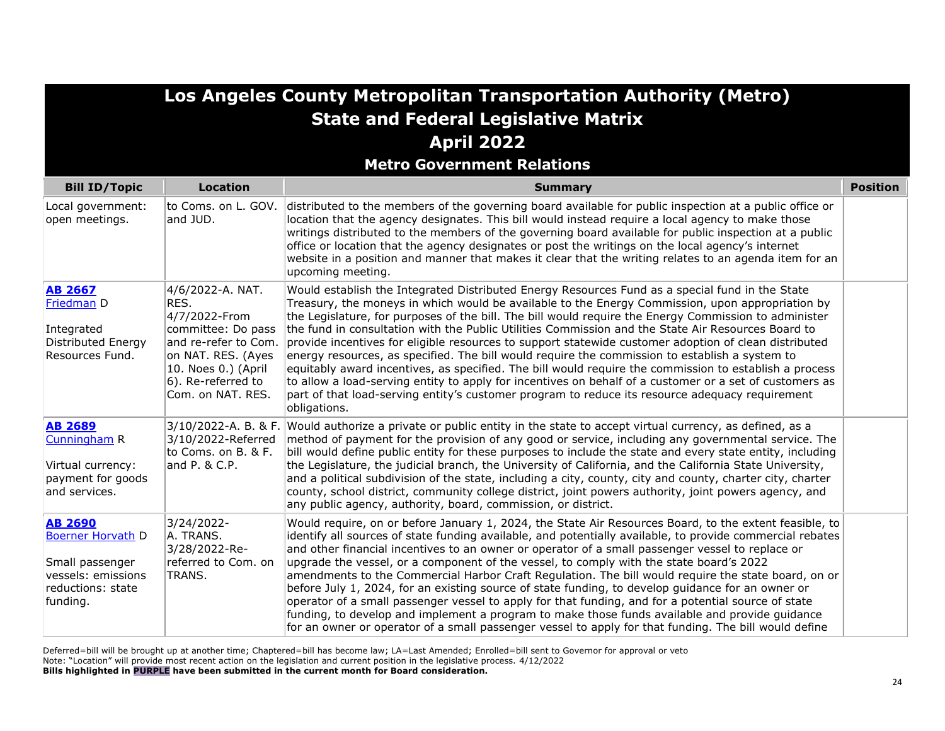|                                                                                                                      |                                                                                                                                                                                    | Los Angeles County Metropolitan Transportation Authority (Metro)                                                                                                                                                                                                                                                                                                                                                                                                                                                                                                                                                                                                                                                                                                                                                                                                                                                                                                      |                 |
|----------------------------------------------------------------------------------------------------------------------|------------------------------------------------------------------------------------------------------------------------------------------------------------------------------------|-----------------------------------------------------------------------------------------------------------------------------------------------------------------------------------------------------------------------------------------------------------------------------------------------------------------------------------------------------------------------------------------------------------------------------------------------------------------------------------------------------------------------------------------------------------------------------------------------------------------------------------------------------------------------------------------------------------------------------------------------------------------------------------------------------------------------------------------------------------------------------------------------------------------------------------------------------------------------|-----------------|
|                                                                                                                      |                                                                                                                                                                                    | <b>State and Federal Legislative Matrix</b>                                                                                                                                                                                                                                                                                                                                                                                                                                                                                                                                                                                                                                                                                                                                                                                                                                                                                                                           |                 |
|                                                                                                                      |                                                                                                                                                                                    | <b>April 2022</b>                                                                                                                                                                                                                                                                                                                                                                                                                                                                                                                                                                                                                                                                                                                                                                                                                                                                                                                                                     |                 |
|                                                                                                                      |                                                                                                                                                                                    | <b>Metro Government Relations</b>                                                                                                                                                                                                                                                                                                                                                                                                                                                                                                                                                                                                                                                                                                                                                                                                                                                                                                                                     |                 |
| <b>Bill ID/Topic</b>                                                                                                 | <b>Location</b>                                                                                                                                                                    | <b>Summary</b>                                                                                                                                                                                                                                                                                                                                                                                                                                                                                                                                                                                                                                                                                                                                                                                                                                                                                                                                                        | <b>Position</b> |
| Local government:<br>open meetings.                                                                                  | and JUD.                                                                                                                                                                           | to Coms. on L. GOV. distributed to the members of the governing board available for public inspection at a public office or<br>location that the agency designates. This bill would instead require a local agency to make those<br>writings distributed to the members of the governing board available for public inspection at a public<br>office or location that the agency designates or post the writings on the local agency's internet<br>website in a position and manner that makes it clear that the writing relates to an agenda item for an<br>upcoming meeting.                                                                                                                                                                                                                                                                                                                                                                                        |                 |
| <b>AB 2667</b><br>Friedman D<br>Integrated<br>Distributed Energy<br>Resources Fund.                                  | 4/6/2022-A. NAT.<br>RES.<br>4/7/2022-From<br>committee: Do pass<br>and re-refer to Com.<br>on NAT. RES. (Ayes<br>$ 10.$ Noes 0.) (April<br>6). Re-referred to<br>Com. on NAT. RES. | Would establish the Integrated Distributed Energy Resources Fund as a special fund in the State<br>Treasury, the moneys in which would be available to the Energy Commission, upon appropriation by<br>the Legislature, for purposes of the bill. The bill would require the Energy Commission to administer<br>the fund in consultation with the Public Utilities Commission and the State Air Resources Board to<br>provide incentives for eligible resources to support statewide customer adoption of clean distributed<br>energy resources, as specified. The bill would require the commission to establish a system to<br>equitably award incentives, as specified. The bill would require the commission to establish a process<br>to allow a load-serving entity to apply for incentives on behalf of a customer or a set of customers as<br>part of that load-serving entity's customer program to reduce its resource adequacy requirement<br>obligations. |                 |
| <b>AB 2689</b><br>Cunningham R<br>Virtual currency:<br>payment for goods<br>and services.                            | 3/10/2022-Referred<br>to Coms. on B. & F.<br>and P. & C.P.                                                                                                                         | $3/10/2022$ -A. B. & F. Would authorize a private or public entity in the state to accept virtual currency, as defined, as a<br>method of payment for the provision of any good or service, including any governmental service. The<br>bill would define public entity for these purposes to include the state and every state entity, including<br>the Legislature, the judicial branch, the University of California, and the California State University,<br>and a political subdivision of the state, including a city, county, city and county, charter city, charter<br>county, school district, community college district, joint powers authority, joint powers agency, and<br>any public agency, authority, board, commission, or district.                                                                                                                                                                                                                  |                 |
| <b>AB 2690</b><br><b>Boerner Horvath D</b><br>Small passenger<br>vessels: emissions<br>reductions: state<br>funding. | 3/24/2022-<br>A. TRANS.<br>3/28/2022-Re-<br>referred to Com. on<br>TRANS.                                                                                                          | Would require, on or before January 1, 2024, the State Air Resources Board, to the extent feasible, to<br>identify all sources of state funding available, and potentially available, to provide commercial rebates<br>and other financial incentives to an owner or operator of a small passenger vessel to replace or<br>upgrade the vessel, or a component of the vessel, to comply with the state board's 2022<br>amendments to the Commercial Harbor Craft Regulation. The bill would require the state board, on or<br>before July 1, 2024, for an existing source of state funding, to develop guidance for an owner or<br>operator of a small passenger vessel to apply for that funding, and for a potential source of state<br>funding, to develop and implement a program to make those funds available and provide guidance<br>for an owner or operator of a small passenger vessel to apply for that funding. The bill would define                      |                 |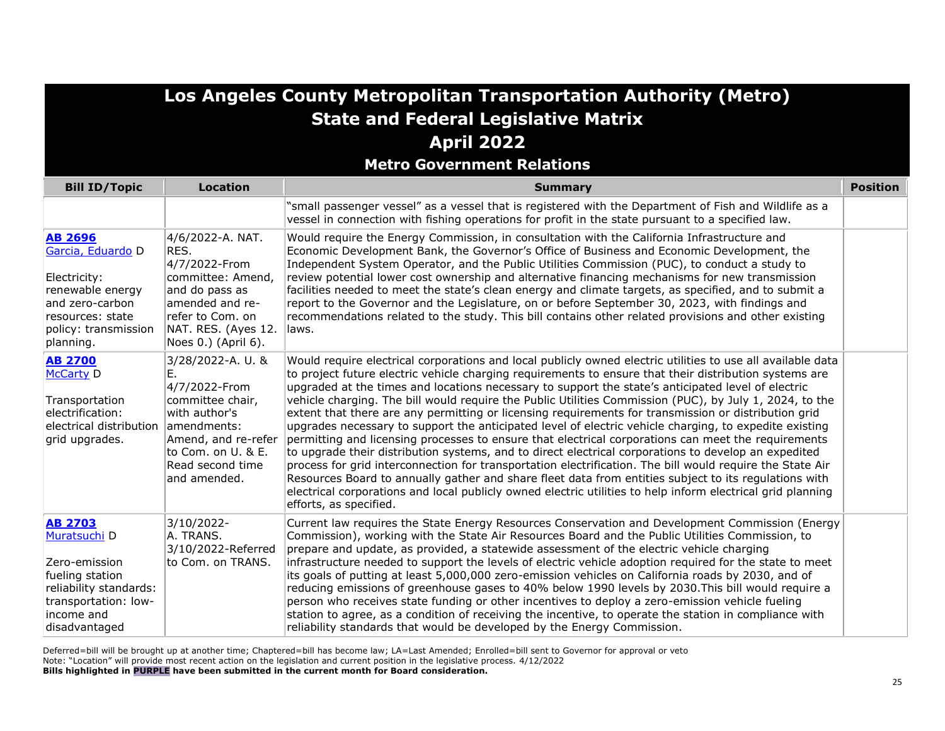**Metro Government Relations**

| <b>Bill ID/Topic</b>                                                                                                                                | <b>Location</b>                                                                                                                                                               | <b>Summary</b>                                                                                                                                                                                                                                                                                                                                                                                                                                                                                                                                                                                                                                                                                                                                                                                                                                                                                                                                                                                                                                                                                                                                                                                                                         | <b>Position</b> |
|-----------------------------------------------------------------------------------------------------------------------------------------------------|-------------------------------------------------------------------------------------------------------------------------------------------------------------------------------|----------------------------------------------------------------------------------------------------------------------------------------------------------------------------------------------------------------------------------------------------------------------------------------------------------------------------------------------------------------------------------------------------------------------------------------------------------------------------------------------------------------------------------------------------------------------------------------------------------------------------------------------------------------------------------------------------------------------------------------------------------------------------------------------------------------------------------------------------------------------------------------------------------------------------------------------------------------------------------------------------------------------------------------------------------------------------------------------------------------------------------------------------------------------------------------------------------------------------------------|-----------------|
|                                                                                                                                                     |                                                                                                                                                                               | 'small passenger vessel" as a vessel that is registered with the Department of Fish and Wildlife as a<br>vessel in connection with fishing operations for profit in the state pursuant to a specified law.                                                                                                                                                                                                                                                                                                                                                                                                                                                                                                                                                                                                                                                                                                                                                                                                                                                                                                                                                                                                                             |                 |
| <b>AB 2696</b><br>Garcia, Eduardo D<br>Electricity:<br>renewable energy<br>and zero-carbon<br>resources: state<br>policy: transmission<br>planning. | 4/6/2022-A. NAT.<br>RES.<br>4/7/2022-From<br> committee: Amend,<br>and do pass as<br>amended and re-<br>refer to Com, on<br>NAT. RES. (Ayes 12.<br>Noes 0.) (April 6).        | Would require the Energy Commission, in consultation with the California Infrastructure and<br>Economic Development Bank, the Governor's Office of Business and Economic Development, the<br>Independent System Operator, and the Public Utilities Commission (PUC), to conduct a study to<br>review potential lower cost ownership and alternative financing mechanisms for new transmission<br>facilities needed to meet the state's clean energy and climate targets, as specified, and to submit a<br>report to the Governor and the Legislature, on or before September 30, 2023, with findings and<br>recommendations related to the study. This bill contains other related provisions and other existing<br>llaws.                                                                                                                                                                                                                                                                                                                                                                                                                                                                                                             |                 |
| <b>AB 2700</b><br><b>McCarty D</b><br>Transportation<br>electrification:<br>electrical distribution<br>grid upgrades.                               | 3/28/2022-A. U. &<br>E.<br>4/7/2022-From<br>committee chair,<br>with author's<br>amendments:<br>Amend, and re-refer<br>to Com. on U. & E.<br>Read second time<br>and amended. | Would require electrical corporations and local publicly owned electric utilities to use all available data<br>to project future electric vehicle charging requirements to ensure that their distribution systems are<br>upgraded at the times and locations necessary to support the state's anticipated level of electric<br>vehicle charging. The bill would require the Public Utilities Commission (PUC), by July 1, 2024, to the<br>extent that there are any permitting or licensing requirements for transmission or distribution grid<br>upgrades necessary to support the anticipated level of electric vehicle charging, to expedite existing<br>permitting and licensing processes to ensure that electrical corporations can meet the requirements<br>to upgrade their distribution systems, and to direct electrical corporations to develop an expedited<br>process for grid interconnection for transportation electrification. The bill would require the State Air<br>Resources Board to annually gather and share fleet data from entities subject to its regulations with<br>electrical corporations and local publicly owned electric utilities to help inform electrical grid planning<br>efforts, as specified. |                 |
| <b>AB 2703</b><br>Muratsuchi D<br>Zero-emission<br>fueling station<br>reliability standards:<br>transportation: low-<br>income and<br>disadvantaged | 3/10/2022-<br>A. TRANS.<br>3/10/2022-Referred<br>to Com. on TRANS.                                                                                                            | Current law requires the State Energy Resources Conservation and Development Commission (Energy<br>Commission), working with the State Air Resources Board and the Public Utilities Commission, to<br>prepare and update, as provided, a statewide assessment of the electric vehicle charging<br>infrastructure needed to support the levels of electric vehicle adoption required for the state to meet<br>its goals of putting at least 5,000,000 zero-emission vehicles on California roads by 2030, and of<br>reducing emissions of greenhouse gases to 40% below 1990 levels by 2030. This bill would require a<br>person who receives state funding or other incentives to deploy a zero-emission vehicle fueling<br>station to agree, as a condition of receiving the incentive, to operate the station in compliance with<br>reliability standards that would be developed by the Energy Commission.                                                                                                                                                                                                                                                                                                                          |                 |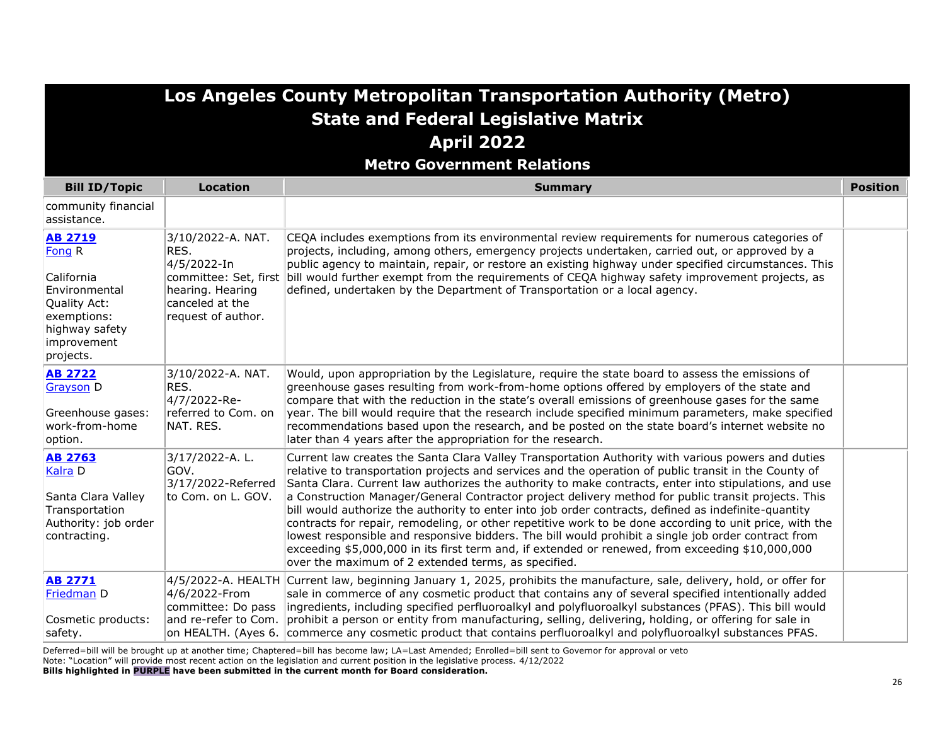**Metro Government Relations**

| <b>Bill ID/Topic</b>                                                                                                                 | <b>Location</b>                                                                                       | <b>Summary</b>                                                                                                                                                                                                                                                                                                                                                                                                                                                                                                                                                                                                                                                                                                                                                                                                                                                                                                   | <b>Position</b> |
|--------------------------------------------------------------------------------------------------------------------------------------|-------------------------------------------------------------------------------------------------------|------------------------------------------------------------------------------------------------------------------------------------------------------------------------------------------------------------------------------------------------------------------------------------------------------------------------------------------------------------------------------------------------------------------------------------------------------------------------------------------------------------------------------------------------------------------------------------------------------------------------------------------------------------------------------------------------------------------------------------------------------------------------------------------------------------------------------------------------------------------------------------------------------------------|-----------------|
| community financial<br>assistance.                                                                                                   |                                                                                                       |                                                                                                                                                                                                                                                                                                                                                                                                                                                                                                                                                                                                                                                                                                                                                                                                                                                                                                                  |                 |
| <b>AB 2719</b><br>Fong R<br>California<br>Environmental<br>Quality Act:<br>exemptions:<br>highway safety<br>improvement<br>projects. | 3/10/2022-A. NAT.<br>RES.<br>4/5/2022-In<br>hearing. Hearing<br>canceled at the<br>request of author. | CEQA includes exemptions from its environmental review requirements for numerous categories of<br>projects, including, among others, emergency projects undertaken, carried out, or approved by a<br>public agency to maintain, repair, or restore an existing highway under specified circumstances. This<br>committee: Set, first bill would further exempt from the requirements of CEQA highway safety improvement projects, as<br>defined, undertaken by the Department of Transportation or a local agency.                                                                                                                                                                                                                                                                                                                                                                                                |                 |
| <b>AB 2722</b><br><b>Grayson D</b><br>Greenhouse gases:<br>work-from-home<br>option.                                                 | 3/10/2022-A. NAT.<br>RES.<br>4/7/2022-Re-<br>referred to Com. on<br>NAT. RES.                         | Would, upon appropriation by the Legislature, require the state board to assess the emissions of<br>greenhouse gases resulting from work-from-home options offered by employers of the state and<br>compare that with the reduction in the state's overall emissions of greenhouse gases for the same<br>year. The bill would require that the research include specified minimum parameters, make specified<br>recommendations based upon the research, and be posted on the state board's internet website no<br>later than 4 years after the appropriation for the research.                                                                                                                                                                                                                                                                                                                                  |                 |
| <b>AB 2763</b><br>Kalra <sub>D</sub><br>Santa Clara Valley<br>Transportation<br>Authority: job order<br>contracting.                 | 3/17/2022-A.L.<br>GOV.<br>3/17/2022-Referred<br>to Com. on L. GOV.                                    | Current law creates the Santa Clara Valley Transportation Authority with various powers and duties<br>relative to transportation projects and services and the operation of public transit in the County of<br>Santa Clara. Current law authorizes the authority to make contracts, enter into stipulations, and use<br>a Construction Manager/General Contractor project delivery method for public transit projects. This<br>bill would authorize the authority to enter into job order contracts, defined as indefinite-quantity<br>contracts for repair, remodeling, or other repetitive work to be done according to unit price, with the<br>lowest responsible and responsive bidders. The bill would prohibit a single job order contract from<br>exceeding \$5,000,000 in its first term and, if extended or renewed, from exceeding \$10,000,000<br>over the maximum of 2 extended terms, as specified. |                 |
| <b>AB 2771</b><br>Friedman D<br>Cosmetic products:<br>safety.                                                                        | 4/6/2022-From<br>committee: Do pass<br>and re-refer to Com.<br>on HEALTH. (Ayes 6.                    | 4/5/2022-A. HEALTH Current law, beginning January 1, 2025, prohibits the manufacture, sale, delivery, hold, or offer for<br>sale in commerce of any cosmetic product that contains any of several specified intentionally added<br>ingredients, including specified perfluoroalkyl and polyfluoroalkyl substances (PFAS). This bill would<br>prohibit a person or entity from manufacturing, selling, delivering, holding, or offering for sale in<br>commerce any cosmetic product that contains perfluoroalkyl and polyfluoroalkyl substances PFAS.                                                                                                                                                                                                                                                                                                                                                            |                 |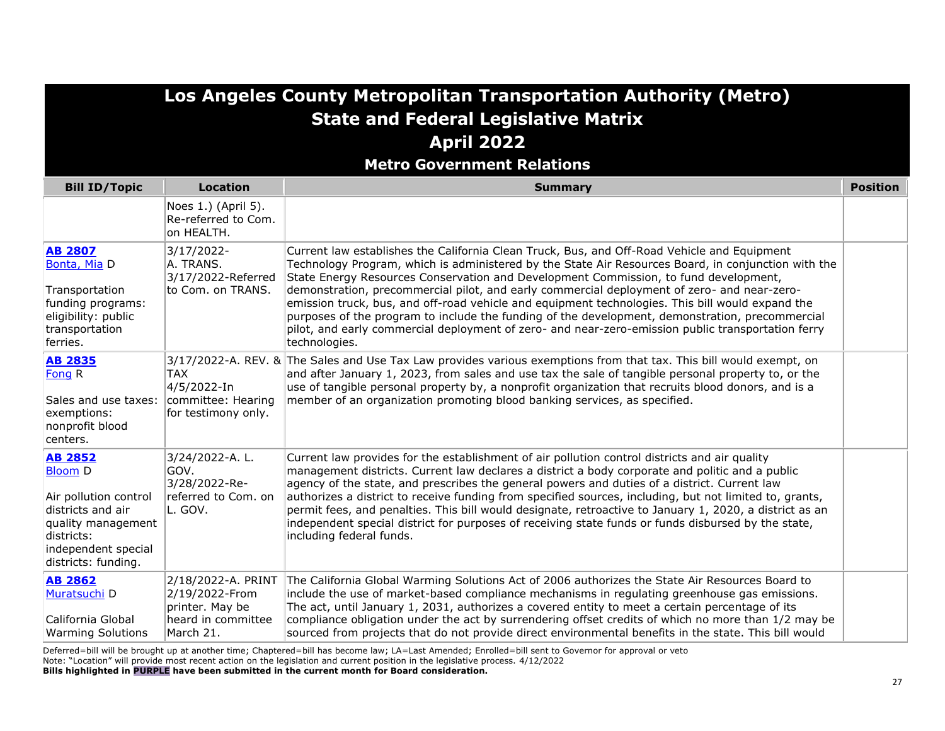|                                                                                                                                                                  |                                                                                            | Los Angeles County Metropolitan Transportation Authority (Metro)<br><b>State and Federal Legislative Matrix</b><br><b>April 2022</b><br><b>Metro Government Relations</b>                                                                                                                                                                                                                                                                                                                                                                                                                                                                                                                                               |                 |
|------------------------------------------------------------------------------------------------------------------------------------------------------------------|--------------------------------------------------------------------------------------------|-------------------------------------------------------------------------------------------------------------------------------------------------------------------------------------------------------------------------------------------------------------------------------------------------------------------------------------------------------------------------------------------------------------------------------------------------------------------------------------------------------------------------------------------------------------------------------------------------------------------------------------------------------------------------------------------------------------------------|-----------------|
| <b>Bill ID/Topic</b>                                                                                                                                             | <b>Location</b>                                                                            | <b>Summary</b>                                                                                                                                                                                                                                                                                                                                                                                                                                                                                                                                                                                                                                                                                                          | <b>Position</b> |
|                                                                                                                                                                  | Noes 1.) (April 5).<br>Re-referred to Com.<br>on HEALTH.                                   |                                                                                                                                                                                                                                                                                                                                                                                                                                                                                                                                                                                                                                                                                                                         |                 |
| <b>AB 2807</b><br>Bonta, Mia D<br>Transportation<br>funding programs:<br>eligibility: public<br>transportation<br>ferries.                                       | 3/17/2022-<br>A. TRANS.<br>3/17/2022-Referred<br>to Com. on TRANS.                         | Current law establishes the California Clean Truck, Bus, and Off-Road Vehicle and Equipment<br>Technology Program, which is administered by the State Air Resources Board, in conjunction with the<br>State Energy Resources Conservation and Development Commission, to fund development,<br>demonstration, precommercial pilot, and early commercial deployment of zero- and near-zero-<br>emission truck, bus, and off-road vehicle and equipment technologies. This bill would expand the<br>purposes of the program to include the funding of the development, demonstration, precommercial<br>pilot, and early commercial deployment of zero- and near-zero-emission public transportation ferry<br>technologies. |                 |
| <b>AB 2835</b><br>Fong R<br>Sales and use taxes:<br>exemptions:<br>nonprofit blood<br>centers.                                                                   | <b>TAX</b><br>4/5/2022-In<br>committee: Hearing<br>for testimony only.                     | 3/17/2022-A. REV. & The Sales and Use Tax Law provides various exemptions from that tax. This bill would exempt, on<br>and after January 1, 2023, from sales and use tax the sale of tangible personal property to, or the<br>use of tangible personal property by, a nonprofit organization that recruits blood donors, and is a<br>member of an organization promoting blood banking services, as specified.                                                                                                                                                                                                                                                                                                          |                 |
| <b>AB 2852</b><br><b>Bloom D</b><br>Air pollution control<br>districts and air<br>quality management<br>districts:<br>independent special<br>districts: funding. | 3/24/2022-A.L.<br>GOV.<br>3/28/2022-Re-<br>referred to Com. on<br>L. GOV.                  | Current law provides for the establishment of air pollution control districts and air quality<br>management districts. Current law declares a district a body corporate and politic and a public<br>agency of the state, and prescribes the general powers and duties of a district. Current law<br>authorizes a district to receive funding from specified sources, including, but not limited to, grants,<br>permit fees, and penalties. This bill would designate, retroactive to January 1, 2020, a district as an<br>independent special district for purposes of receiving state funds or funds disbursed by the state,<br>including federal funds.                                                               |                 |
| <b>AB 2862</b><br>Muratsuchi D<br>California Global<br><b>Warming Solutions</b>                                                                                  | 2/18/2022-A. PRINT<br>2/19/2022-From<br>printer. May be<br>heard in committee<br>March 21. | The California Global Warming Solutions Act of 2006 authorizes the State Air Resources Board to<br>include the use of market-based compliance mechanisms in regulating greenhouse gas emissions.<br>The act, until January 1, 2031, authorizes a covered entity to meet a certain percentage of its<br>compliance obligation under the act by surrendering offset credits of which no more than 1/2 may be<br>sourced from projects that do not provide direct environmental benefits in the state. This bill would                                                                                                                                                                                                     |                 |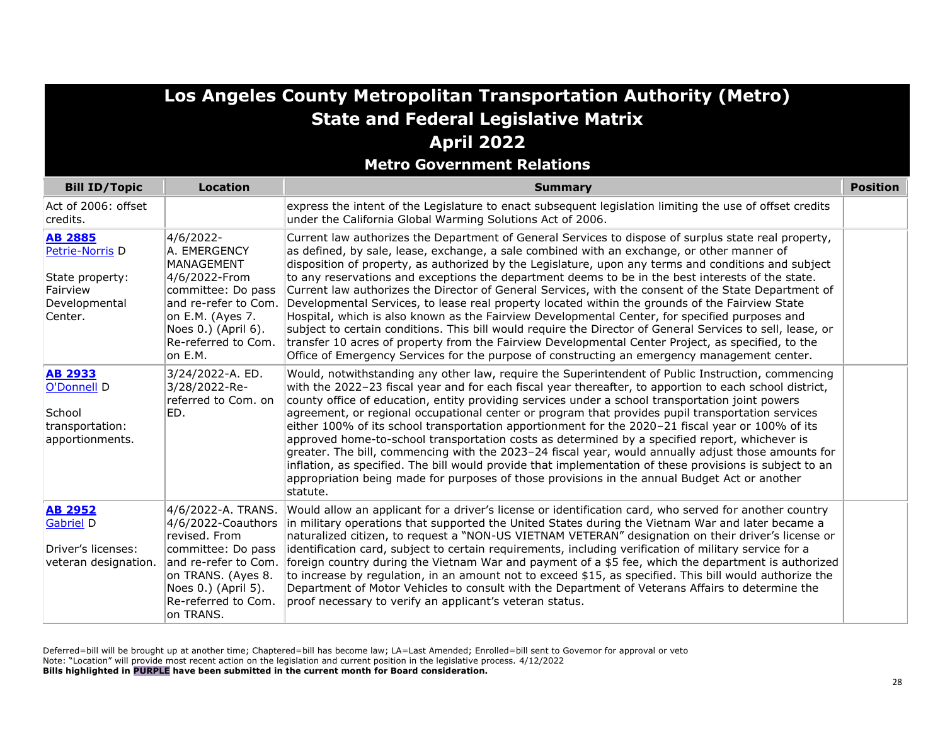**Metro Government Relations**

| <b>Bill ID/Topic</b>                                                                         | <b>Location</b>                                                                                                                                                                          | <b>Summary</b>                                                                                                                                                                                                                                                                                                                                                                                                                                                                                                                                                                                                                                                                                                                                                                                                                                                                                                                                                                                                                                   | <b>Position</b> |
|----------------------------------------------------------------------------------------------|------------------------------------------------------------------------------------------------------------------------------------------------------------------------------------------|--------------------------------------------------------------------------------------------------------------------------------------------------------------------------------------------------------------------------------------------------------------------------------------------------------------------------------------------------------------------------------------------------------------------------------------------------------------------------------------------------------------------------------------------------------------------------------------------------------------------------------------------------------------------------------------------------------------------------------------------------------------------------------------------------------------------------------------------------------------------------------------------------------------------------------------------------------------------------------------------------------------------------------------------------|-----------------|
| Act of 2006: offset<br>credits.                                                              |                                                                                                                                                                                          | express the intent of the Legislature to enact subsequent legislation limiting the use of offset credits<br>under the California Global Warming Solutions Act of 2006.                                                                                                                                                                                                                                                                                                                                                                                                                                                                                                                                                                                                                                                                                                                                                                                                                                                                           |                 |
| <b>AB 2885</b><br>Petrie-Norris D<br>State property:<br>Fairview<br>Developmental<br>Center. | 4/6/2022-<br>A. EMERGENCY<br>MANAGEMENT<br>4/6/2022-From<br>committee: Do pass<br>and re-refer to Com.<br>on E.M. (Ayes 7.<br>Noes 0.) (April 6).<br>Re-referred to Com.<br>on E.M.      | Current law authorizes the Department of General Services to dispose of surplus state real property,<br>as defined, by sale, lease, exchange, a sale combined with an exchange, or other manner of<br>disposition of property, as authorized by the Legislature, upon any terms and conditions and subject<br>to any reservations and exceptions the department deems to be in the best interests of the state.<br>Current law authorizes the Director of General Services, with the consent of the State Department of<br>Developmental Services, to lease real property located within the grounds of the Fairview State<br>Hospital, which is also known as the Fairview Developmental Center, for specified purposes and<br>subject to certain conditions. This bill would require the Director of General Services to sell, lease, or<br>transfer 10 acres of property from the Fairview Developmental Center Project, as specified, to the<br>Office of Emergency Services for the purpose of constructing an emergency management center. |                 |
| <b>AB 2933</b><br>O'Donnell D<br>School<br>transportation:<br>apportionments.                | 3/24/2022-A. ED.<br>3/28/2022-Re-<br>referred to Com. on<br>ED.                                                                                                                          | Would, notwithstanding any other law, require the Superintendent of Public Instruction, commencing<br>with the 2022-23 fiscal year and for each fiscal year thereafter, to apportion to each school district,<br>county office of education, entity providing services under a school transportation joint powers<br>agreement, or regional occupational center or program that provides pupil transportation services<br>either 100% of its school transportation apportionment for the 2020-21 fiscal year or 100% of its<br>approved home-to-school transportation costs as determined by a specified report, whichever is<br>greater. The bill, commencing with the 2023-24 fiscal year, would annually adjust those amounts for<br>inflation, as specified. The bill would provide that implementation of these provisions is subject to an<br>appropriation being made for purposes of those provisions in the annual Budget Act or another<br>statute.                                                                                    |                 |
| <b>AB 2952</b><br>Gabriel D<br>Driver's licenses:<br>veteran designation.                    | 4/6/2022-A. TRANS.<br>4/6/2022-Coauthors<br>revised. From<br>committee: Do pass<br>and re-refer to Com.<br>on TRANS. (Ayes 8.<br>Noes 0.) (April 5).<br>Re-referred to Com.<br>on TRANS. | Would allow an applicant for a driver's license or identification card, who served for another country<br>in military operations that supported the United States during the Vietnam War and later became a<br>naturalized citizen, to request a "NON-US VIETNAM VETERAN" designation on their driver's license or<br>identification card, subject to certain requirements, including verification of military service for a<br>foreign country during the Vietnam War and payment of a \$5 fee, which the department is authorized<br>to increase by regulation, in an amount not to exceed \$15, as specified. This bill would authorize the<br>Department of Motor Vehicles to consult with the Department of Veterans Affairs to determine the<br>proof necessary to verify an applicant's veteran status.                                                                                                                                                                                                                                   |                 |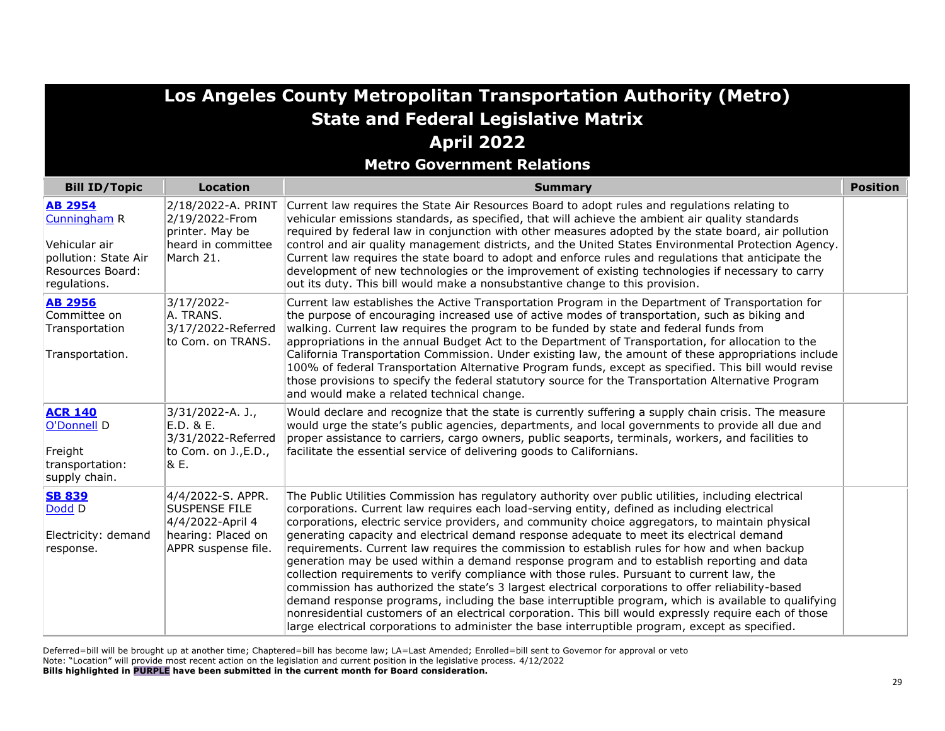|                                                                                                             |                                                                                                            | Los Angeles County Metropolitan Transportation Authority (Metro)                                                                                                                                                                                                                                                                                                                                                                                                                                                                                                                                                                                                                                                                                                                                                                                                                                                                                                                                                                                                                                                                |                 |
|-------------------------------------------------------------------------------------------------------------|------------------------------------------------------------------------------------------------------------|---------------------------------------------------------------------------------------------------------------------------------------------------------------------------------------------------------------------------------------------------------------------------------------------------------------------------------------------------------------------------------------------------------------------------------------------------------------------------------------------------------------------------------------------------------------------------------------------------------------------------------------------------------------------------------------------------------------------------------------------------------------------------------------------------------------------------------------------------------------------------------------------------------------------------------------------------------------------------------------------------------------------------------------------------------------------------------------------------------------------------------|-----------------|
|                                                                                                             |                                                                                                            | <b>State and Federal Legislative Matrix</b>                                                                                                                                                                                                                                                                                                                                                                                                                                                                                                                                                                                                                                                                                                                                                                                                                                                                                                                                                                                                                                                                                     |                 |
|                                                                                                             |                                                                                                            | <b>April 2022</b>                                                                                                                                                                                                                                                                                                                                                                                                                                                                                                                                                                                                                                                                                                                                                                                                                                                                                                                                                                                                                                                                                                               |                 |
|                                                                                                             |                                                                                                            | <b>Metro Government Relations</b>                                                                                                                                                                                                                                                                                                                                                                                                                                                                                                                                                                                                                                                                                                                                                                                                                                                                                                                                                                                                                                                                                               |                 |
| <b>Bill ID/Topic</b>                                                                                        | <b>Location</b>                                                                                            | <b>Summary</b>                                                                                                                                                                                                                                                                                                                                                                                                                                                                                                                                                                                                                                                                                                                                                                                                                                                                                                                                                                                                                                                                                                                  | <b>Position</b> |
| <b>AB 2954</b><br>Cunningham R<br>Vehicular air<br>pollution: State Air<br>Resources Board:<br>regulations. | 2/18/2022-A. PRINT<br>2/19/2022-From<br>printer. May be<br>heard in committee<br>March 21.                 | Current law requires the State Air Resources Board to adopt rules and regulations relating to<br>vehicular emissions standards, as specified, that will achieve the ambient air quality standards<br>required by federal law in conjunction with other measures adopted by the state board, air pollution<br>control and air quality management districts, and the United States Environmental Protection Agency.<br>Current law requires the state board to adopt and enforce rules and requlations that anticipate the<br>development of new technologies or the improvement of existing technologies if necessary to carry<br>out its duty. This bill would make a nonsubstantive change to this provision.                                                                                                                                                                                                                                                                                                                                                                                                                  |                 |
| <b>AB 2956</b><br>Committee on<br>Transportation<br>Transportation.                                         | 3/17/2022-<br>A. TRANS.<br>3/17/2022-Referred<br>to Com. on TRANS.                                         | Current law establishes the Active Transportation Program in the Department of Transportation for<br>the purpose of encouraging increased use of active modes of transportation, such as biking and<br>walking. Current law requires the program to be funded by state and federal funds from<br>appropriations in the annual Budget Act to the Department of Transportation, for allocation to the<br>California Transportation Commission. Under existing law, the amount of these appropriations include<br>100% of federal Transportation Alternative Program funds, except as specified. This bill would revise<br>those provisions to specify the federal statutory source for the Transportation Alternative Program<br>and would make a related technical change.                                                                                                                                                                                                                                                                                                                                                       |                 |
| <b>ACR 140</b><br>O'Donnell D<br>Freight<br>transportation:<br>supply chain.                                | 3/31/2022-A. J.,<br>E.D. & E.<br>3/31/2022-Referred<br>to Com. on J., E.D.,<br> & E.                       | Would declare and recognize that the state is currently suffering a supply chain crisis. The measure<br>would urge the state's public agencies, departments, and local governments to provide all due and<br>proper assistance to carriers, cargo owners, public seaports, terminals, workers, and facilities to<br>facilitate the essential service of delivering goods to Californians.                                                                                                                                                                                                                                                                                                                                                                                                                                                                                                                                                                                                                                                                                                                                       |                 |
| <b>SB 839</b><br>Dodd D<br>Electricity: demand<br>response.                                                 | 4/4/2022-S. APPR.<br><b>SUSPENSE FILE</b><br>4/4/2022-April 4<br>hearing: Placed on<br>APPR suspense file. | The Public Utilities Commission has regulatory authority over public utilities, including electrical<br>corporations. Current law requires each load-serving entity, defined as including electrical<br>corporations, electric service providers, and community choice aggregators, to maintain physical<br>generating capacity and electrical demand response adequate to meet its electrical demand<br>requirements. Current law requires the commission to establish rules for how and when backup<br>generation may be used within a demand response program and to establish reporting and data<br>collection requirements to verify compliance with those rules. Pursuant to current law, the<br>commission has authorized the state's 3 largest electrical corporations to offer reliability-based<br>demand response programs, including the base interruptible program, which is available to qualifying<br>nonresidential customers of an electrical corporation. This bill would expressly require each of those<br>large electrical corporations to administer the base interruptible program, except as specified. |                 |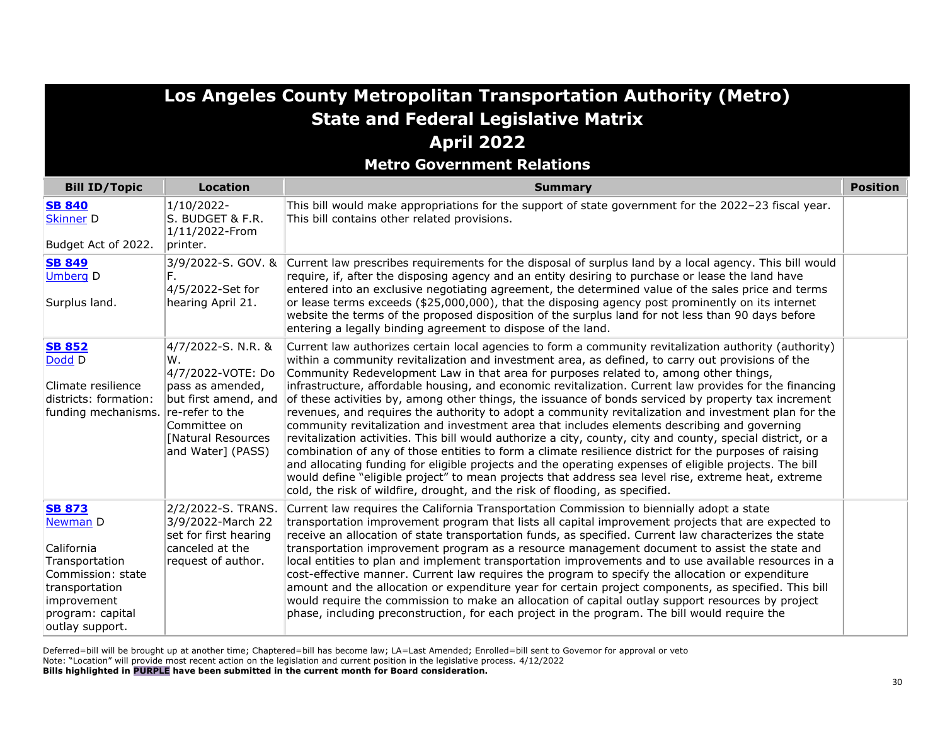**Metro Government Relations**

| <b>Bill ID/Topic</b>                                                                                                                                          | <b>Location</b>                                                                                                                                                               | <b>Summary</b>                                                                                                                                                                                                                                                                                                                                                                                                                                                                                                                                                                                                                                                                                                                                                                                                                                                                                                                                                                                                                                                                                                                                                                                                                                             | <b>Position</b> |
|---------------------------------------------------------------------------------------------------------------------------------------------------------------|-------------------------------------------------------------------------------------------------------------------------------------------------------------------------------|------------------------------------------------------------------------------------------------------------------------------------------------------------------------------------------------------------------------------------------------------------------------------------------------------------------------------------------------------------------------------------------------------------------------------------------------------------------------------------------------------------------------------------------------------------------------------------------------------------------------------------------------------------------------------------------------------------------------------------------------------------------------------------------------------------------------------------------------------------------------------------------------------------------------------------------------------------------------------------------------------------------------------------------------------------------------------------------------------------------------------------------------------------------------------------------------------------------------------------------------------------|-----------------|
| <b>SB 840</b><br><b>Skinner D</b><br>Budget Act of 2022.                                                                                                      | 1/10/2022-<br>S. BUDGET & F.R.<br>1/11/2022-From<br>printer.                                                                                                                  | This bill would make appropriations for the support of state government for the 2022-23 fiscal year.<br>This bill contains other related provisions.                                                                                                                                                                                                                                                                                                                                                                                                                                                                                                                                                                                                                                                                                                                                                                                                                                                                                                                                                                                                                                                                                                       |                 |
| <b>SB 849</b><br><b>Umberg D</b><br>Surplus land.                                                                                                             | 3/9/2022-S. GOV. &<br>4/5/2022-Set for<br>hearing April 21.                                                                                                                   | Current law prescribes requirements for the disposal of surplus land by a local agency. This bill would<br>require, if, after the disposing agency and an entity desiring to purchase or lease the land have<br>entered into an exclusive negotiating agreement, the determined value of the sales price and terms<br>or lease terms exceeds (\$25,000,000), that the disposing agency post prominently on its internet<br>website the terms of the proposed disposition of the surplus land for not less than 90 days before<br>entering a legally binding agreement to dispose of the land.                                                                                                                                                                                                                                                                                                                                                                                                                                                                                                                                                                                                                                                              |                 |
| <b>SB 852</b><br>Dodd D<br>Climate resilience<br>districts: formation:<br>funding mechanisms.                                                                 | 4/7/2022-S. N.R. &<br>W.<br>4/7/2022-VOTE: Do<br>pass as amended,<br>but first amend, and<br>re-refer to the<br>Committee on<br><b>Natural Resources</b><br>and Water] (PASS) | Current law authorizes certain local agencies to form a community revitalization authority (authority)<br>within a community revitalization and investment area, as defined, to carry out provisions of the<br>Community Redevelopment Law in that area for purposes related to, among other things,<br>infrastructure, affordable housing, and economic revitalization. Current law provides for the financing<br>of these activities by, among other things, the issuance of bonds serviced by property tax increment<br>revenues, and requires the authority to adopt a community revitalization and investment plan for the<br>community revitalization and investment area that includes elements describing and governing<br>revitalization activities. This bill would authorize a city, county, city and county, special district, or a<br>combination of any of those entities to form a climate resilience district for the purposes of raising<br>and allocating funding for eligible projects and the operating expenses of eligible projects. The bill<br>would define "eligible project" to mean projects that address sea level rise, extreme heat, extreme<br>cold, the risk of wildfire, drought, and the risk of flooding, as specified. |                 |
| <b>SB 873</b><br><b>Newman D</b><br>California<br>Transportation<br>Commission: state<br>transportation<br>improvement<br>program: capital<br>outlay support. | 2/2/2022-S. TRANS.<br>3/9/2022-March 22<br>set for first hearing<br>canceled at the<br>request of author.                                                                     | Current law requires the California Transportation Commission to biennially adopt a state<br>transportation improvement program that lists all capital improvement projects that are expected to<br>receive an allocation of state transportation funds, as specified. Current law characterizes the state<br>transportation improvement program as a resource management document to assist the state and<br>local entities to plan and implement transportation improvements and to use available resources in a<br>cost-effective manner. Current law requires the program to specify the allocation or expenditure<br>amount and the allocation or expenditure year for certain project components, as specified. This bill<br>would require the commission to make an allocation of capital outlay support resources by project<br>phase, including preconstruction, for each project in the program. The bill would require the                                                                                                                                                                                                                                                                                                                      |                 |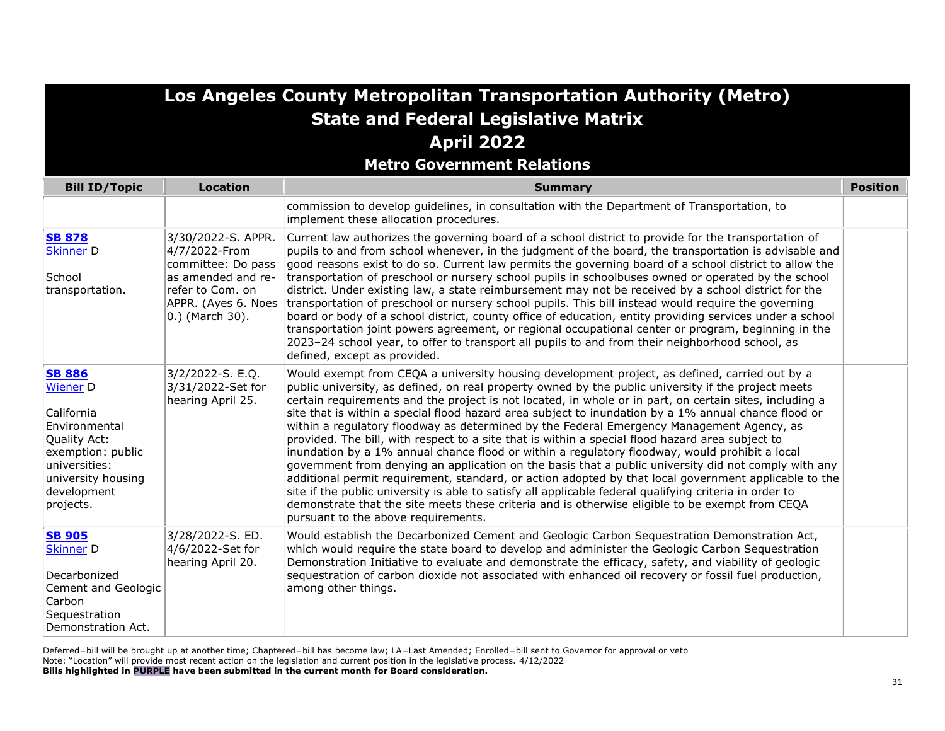**Metro Government Relations**

| <b>Bill ID/Topic</b>                                                                                                                                                    | <b>Location</b>                                                                                                                               | <b>Summary</b>                                                                                                                                                                                                                                                                                                                                                                                                                                                                                                                                                                                                                                                                                                                                                                                                                                                                                                                                                                                                                                                                                                                                                                                   | <b>Position</b> |
|-------------------------------------------------------------------------------------------------------------------------------------------------------------------------|-----------------------------------------------------------------------------------------------------------------------------------------------|--------------------------------------------------------------------------------------------------------------------------------------------------------------------------------------------------------------------------------------------------------------------------------------------------------------------------------------------------------------------------------------------------------------------------------------------------------------------------------------------------------------------------------------------------------------------------------------------------------------------------------------------------------------------------------------------------------------------------------------------------------------------------------------------------------------------------------------------------------------------------------------------------------------------------------------------------------------------------------------------------------------------------------------------------------------------------------------------------------------------------------------------------------------------------------------------------|-----------------|
|                                                                                                                                                                         |                                                                                                                                               | commission to develop guidelines, in consultation with the Department of Transportation, to<br>implement these allocation procedures.                                                                                                                                                                                                                                                                                                                                                                                                                                                                                                                                                                                                                                                                                                                                                                                                                                                                                                                                                                                                                                                            |                 |
| <b>SB 878</b><br><b>Skinner D</b><br>School<br>transportation.                                                                                                          | 3/30/2022-S. APPR.<br>4/7/2022-From<br>committee: Do pass<br>as amended and re-<br>refer to Com, on<br>APPR. (Ayes 6. Noes<br>0.) (March 30). | Current law authorizes the governing board of a school district to provide for the transportation of<br>pupils to and from school whenever, in the judgment of the board, the transportation is advisable and<br>good reasons exist to do so. Current law permits the governing board of a school district to allow the<br>transportation of preschool or nursery school pupils in schoolbuses owned or operated by the school<br>district. Under existing law, a state reimbursement may not be received by a school district for the<br>transportation of preschool or nursery school pupils. This bill instead would require the governing<br>board or body of a school district, county office of education, entity providing services under a school<br>transportation joint powers agreement, or regional occupational center or program, beginning in the<br>2023-24 school year, to offer to transport all pupils to and from their neighborhood school, as<br>defined, except as provided.                                                                                                                                                                                              |                 |
| <b>SB 886</b><br><b>Wiener</b> D<br>California<br>Environmental<br>Quality Act:<br>exemption: public<br>universities:<br>university housing<br>development<br>projects. | 3/2/2022-S. E.Q.<br>3/31/2022-Set for<br>hearing April 25.                                                                                    | Would exempt from CEQA a university housing development project, as defined, carried out by a<br>public university, as defined, on real property owned by the public university if the project meets<br>certain requirements and the project is not located, in whole or in part, on certain sites, including a<br>site that is within a special flood hazard area subject to inundation by a 1% annual chance flood or<br>within a regulatory floodway as determined by the Federal Emergency Management Agency, as<br>provided. The bill, with respect to a site that is within a special flood hazard area subject to<br>inundation by a 1% annual chance flood or within a regulatory floodway, would prohibit a local<br>government from denying an application on the basis that a public university did not comply with any<br>additional permit requirement, standard, or action adopted by that local government applicable to the<br>site if the public university is able to satisfy all applicable federal qualifying criteria in order to<br>demonstrate that the site meets these criteria and is otherwise eligible to be exempt from CEQA<br>pursuant to the above requirements. |                 |
| <b>SB 905</b><br><b>Skinner D</b><br>Decarbonized<br>Cement and Geologic<br>Carbon<br>Sequestration<br>Demonstration Act.                                               | 3/28/2022-S. ED.<br>4/6/2022-Set for<br>hearing April 20.                                                                                     | Would establish the Decarbonized Cement and Geologic Carbon Sequestration Demonstration Act,<br>which would require the state board to develop and administer the Geologic Carbon Sequestration<br>Demonstration Initiative to evaluate and demonstrate the efficacy, safety, and viability of geologic<br>sequestration of carbon dioxide not associated with enhanced oil recovery or fossil fuel production,<br>among other things.                                                                                                                                                                                                                                                                                                                                                                                                                                                                                                                                                                                                                                                                                                                                                           |                 |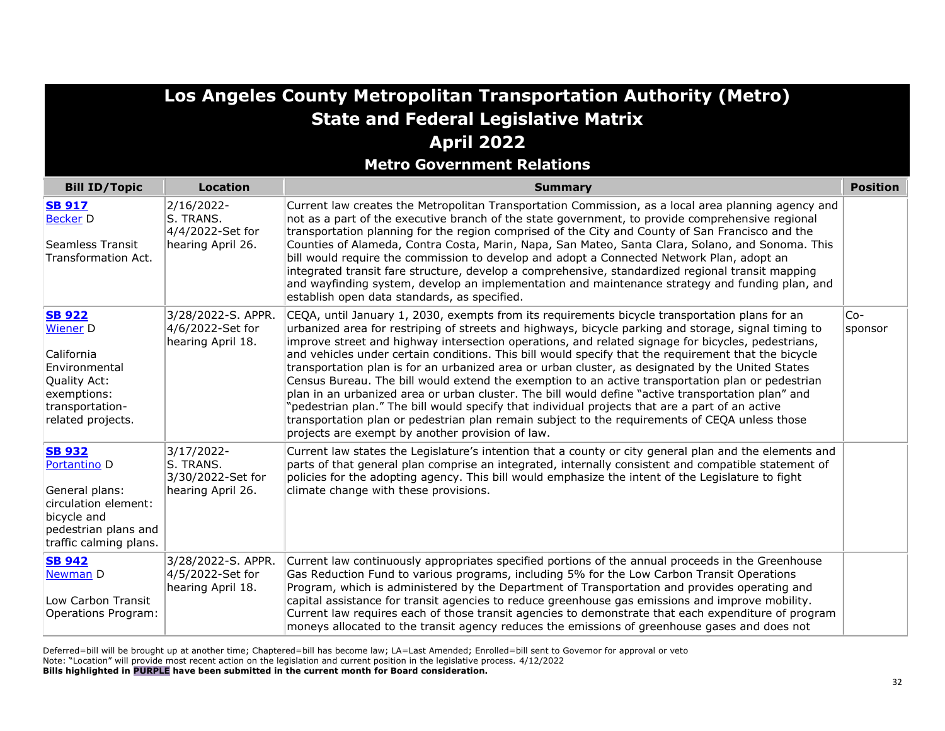| Los Angeles County Metropolitan Transportation Authority (Metro) |
|------------------------------------------------------------------|
| <b>State and Federal Legislative Matrix</b>                      |
| <b>April 2022</b>                                                |

**Metro Government Relations**

| <b>Bill ID/Topic</b>                                                                                                                                | <b>Location</b>                                                   | <b>Summary</b>                                                                                                                                                                                                                                                                                                                                                                                                                                                                                                                                                                                                                                                                                                                                                                                                                                                                                                                                                                                | <b>Position</b>  |
|-----------------------------------------------------------------------------------------------------------------------------------------------------|-------------------------------------------------------------------|-----------------------------------------------------------------------------------------------------------------------------------------------------------------------------------------------------------------------------------------------------------------------------------------------------------------------------------------------------------------------------------------------------------------------------------------------------------------------------------------------------------------------------------------------------------------------------------------------------------------------------------------------------------------------------------------------------------------------------------------------------------------------------------------------------------------------------------------------------------------------------------------------------------------------------------------------------------------------------------------------|------------------|
| <b>SB 917</b><br><b>Becker D</b><br>Seamless Transit<br>Transformation Act.                                                                         | 2/16/2022-<br>S. TRANS.<br>4/4/2022-Set for<br>hearing April 26.  | Current law creates the Metropolitan Transportation Commission, as a local area planning agency and<br>not as a part of the executive branch of the state government, to provide comprehensive regional<br>transportation planning for the region comprised of the City and County of San Francisco and the<br>Counties of Alameda, Contra Costa, Marin, Napa, San Mateo, Santa Clara, Solano, and Sonoma. This<br>bill would require the commission to develop and adopt a Connected Network Plan, adopt an<br>integrated transit fare structure, develop a comprehensive, standardized regional transit mapping<br>and wayfinding system, develop an implementation and maintenance strategy and funding plan, and<br>establish open data standards, as specified.                                                                                                                                                                                                                          |                  |
| <b>SB 922</b><br><b>Wiener D</b><br>California<br>Environmental<br>Quality Act:<br>exemptions:<br>transportation-<br>related projects.              | 3/28/2022-S. APPR.<br>4/6/2022-Set for<br>hearing April 18.       | CEQA, until January 1, 2030, exempts from its requirements bicycle transportation plans for an<br>urbanized area for restriping of streets and highways, bicycle parking and storage, signal timing to<br>improve street and highway intersection operations, and related signage for bicycles, pedestrians,<br>and vehicles under certain conditions. This bill would specify that the requirement that the bicycle<br>transportation plan is for an urbanized area or urban cluster, as designated by the United States<br>Census Bureau. The bill would extend the exemption to an active transportation plan or pedestrian<br>plan in an urbanized area or urban cluster. The bill would define "active transportation plan" and<br>'pedestrian plan." The bill would specify that individual projects that are a part of an active<br>transportation plan or pedestrian plan remain subject to the requirements of CEQA unless those<br>projects are exempt by another provision of law. | $Co-$<br>sponsor |
| <b>SB 932</b><br>Portantino <sub>D</sub><br>General plans:<br>circulation element:<br>bicycle and<br>pedestrian plans and<br>traffic calming plans. | 3/17/2022-<br>S. TRANS.<br>3/30/2022-Set for<br>hearing April 26. | Current law states the Legislature's intention that a county or city general plan and the elements and<br>parts of that general plan comprise an integrated, internally consistent and compatible statement of<br>policies for the adopting agency. This bill would emphasize the intent of the Legislature to fight<br>climate change with these provisions.                                                                                                                                                                                                                                                                                                                                                                                                                                                                                                                                                                                                                                 |                  |
| <b>SB 942</b><br>Newman D<br>Low Carbon Transit<br>Operations Program:                                                                              | 3/28/2022-S. APPR.<br>4/5/2022-Set for<br>hearing April 18.       | Current law continuously appropriates specified portions of the annual proceeds in the Greenhouse<br>Gas Reduction Fund to various programs, including 5% for the Low Carbon Transit Operations<br>Program, which is administered by the Department of Transportation and provides operating and<br>capital assistance for transit agencies to reduce greenhouse gas emissions and improve mobility.<br>Current law requires each of those transit agencies to demonstrate that each expenditure of program<br>moneys allocated to the transit agency reduces the emissions of greenhouse gases and does not                                                                                                                                                                                                                                                                                                                                                                                  |                  |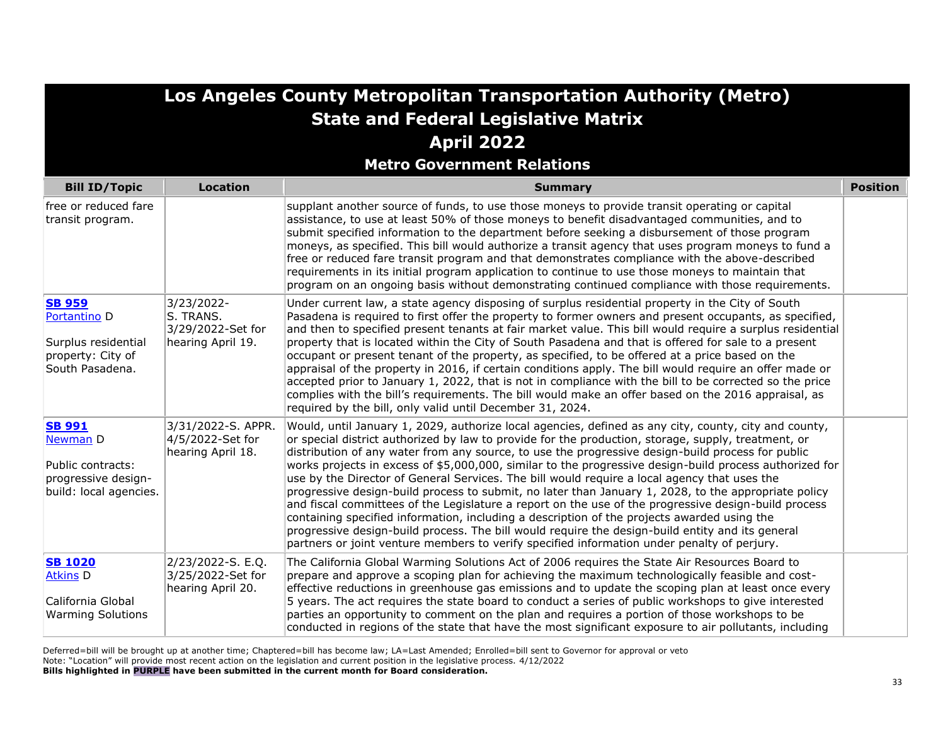| Los Angeles County Metropolitan Transportation Authority (Metro)                                        |                                                                   |                                                                                                                                                                                                                                                                                                                                                                                                                                                                                                                                                                                                                                                                                                                                                                                                                                                                                                                                                                                                                                                |                 |
|---------------------------------------------------------------------------------------------------------|-------------------------------------------------------------------|------------------------------------------------------------------------------------------------------------------------------------------------------------------------------------------------------------------------------------------------------------------------------------------------------------------------------------------------------------------------------------------------------------------------------------------------------------------------------------------------------------------------------------------------------------------------------------------------------------------------------------------------------------------------------------------------------------------------------------------------------------------------------------------------------------------------------------------------------------------------------------------------------------------------------------------------------------------------------------------------------------------------------------------------|-----------------|
|                                                                                                         |                                                                   | <b>State and Federal Legislative Matrix</b>                                                                                                                                                                                                                                                                                                                                                                                                                                                                                                                                                                                                                                                                                                                                                                                                                                                                                                                                                                                                    |                 |
|                                                                                                         |                                                                   | <b>April 2022</b>                                                                                                                                                                                                                                                                                                                                                                                                                                                                                                                                                                                                                                                                                                                                                                                                                                                                                                                                                                                                                              |                 |
|                                                                                                         |                                                                   | <b>Metro Government Relations</b>                                                                                                                                                                                                                                                                                                                                                                                                                                                                                                                                                                                                                                                                                                                                                                                                                                                                                                                                                                                                              |                 |
| <b>Bill ID/Topic</b>                                                                                    | <b>Location</b>                                                   | <b>Summary</b>                                                                                                                                                                                                                                                                                                                                                                                                                                                                                                                                                                                                                                                                                                                                                                                                                                                                                                                                                                                                                                 | <b>Position</b> |
| free or reduced fare<br>transit program.                                                                |                                                                   | supplant another source of funds, to use those moneys to provide transit operating or capital<br>assistance, to use at least 50% of those moneys to benefit disadvantaged communities, and to<br>submit specified information to the department before seeking a disbursement of those program<br>moneys, as specified. This bill would authorize a transit agency that uses program moneys to fund a<br>free or reduced fare transit program and that demonstrates compliance with the above-described<br>requirements in its initial program application to continue to use those moneys to maintain that<br>program on an ongoing basis without demonstrating continued compliance with those requirements.                                                                                                                                                                                                                                                                                                                                 |                 |
| <b>SB 959</b><br>Portantino <sub>D</sub><br>Surplus residential<br>property: City of<br>South Pasadena. | 3/23/2022-<br>S. TRANS.<br>3/29/2022-Set for<br>hearing April 19. | Under current law, a state agency disposing of surplus residential property in the City of South<br>Pasadena is required to first offer the property to former owners and present occupants, as specified,<br>and then to specified present tenants at fair market value. This bill would require a surplus residential<br>property that is located within the City of South Pasadena and that is offered for sale to a present<br>occupant or present tenant of the property, as specified, to be offered at a price based on the<br>appraisal of the property in 2016, if certain conditions apply. The bill would require an offer made or<br>accepted prior to January 1, 2022, that is not in compliance with the bill to be corrected so the price<br>complies with the bill's requirements. The bill would make an offer based on the 2016 appraisal, as<br>required by the bill, only valid until December 31, 2024.                                                                                                                   |                 |
| <b>SB 991</b><br>Newman D<br>Public contracts:<br>progressive design-<br>build: local agencies.         | 3/31/2022-S. APPR.<br>4/5/2022-Set for<br>hearing April 18.       | Would, until January 1, 2029, authorize local agencies, defined as any city, county, city and county,<br>or special district authorized by law to provide for the production, storage, supply, treatment, or<br>distribution of any water from any source, to use the progressive design-build process for public<br>works projects in excess of \$5,000,000, similar to the progressive design-build process authorized for<br>use by the Director of General Services. The bill would require a local agency that uses the<br>progressive design-build process to submit, no later than January 1, 2028, to the appropriate policy<br>and fiscal committees of the Legislature a report on the use of the progressive design-build process<br>containing specified information, including a description of the projects awarded using the<br>progressive design-build process. The bill would require the design-build entity and its general<br>partners or joint venture members to verify specified information under penalty of perjury. |                 |
| <b>SB 1020</b><br><b>Atkins D</b><br>California Global<br><b>Warming Solutions</b>                      | 2/23/2022-S. E.Q.<br>3/25/2022-Set for<br>hearing April 20.       | The California Global Warming Solutions Act of 2006 requires the State Air Resources Board to<br>prepare and approve a scoping plan for achieving the maximum technologically feasible and cost-<br>effective reductions in greenhouse gas emissions and to update the scoping plan at least once every<br>5 years. The act requires the state board to conduct a series of public workshops to give interested<br>parties an opportunity to comment on the plan and requires a portion of those workshops to be<br>conducted in regions of the state that have the most significant exposure to air pollutants, including                                                                                                                                                                                                                                                                                                                                                                                                                     |                 |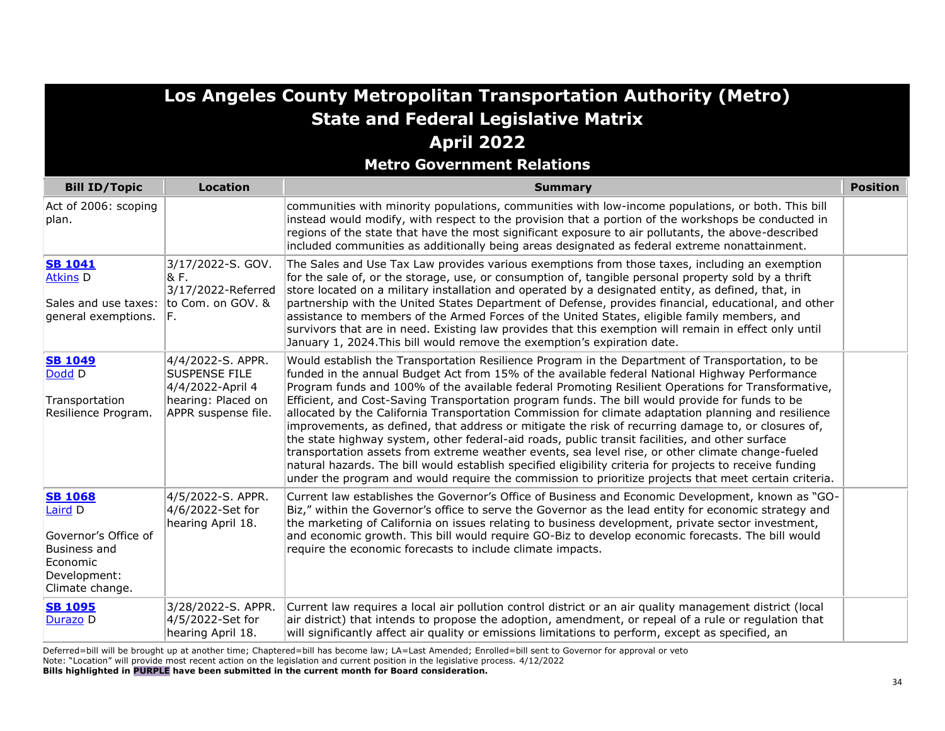**Metro Government Relations**

| <b>Bill ID/Topic</b>                                                                                             | <b>Location</b>                                                                                     | <b>Summary</b>                                                                                                                                                                                                                                                                                                                                                                                                                                                                                                                                                                                                                                                                                                                                                                                                                                                                                                                                                                                                                                          | <b>Position</b> |
|------------------------------------------------------------------------------------------------------------------|-----------------------------------------------------------------------------------------------------|---------------------------------------------------------------------------------------------------------------------------------------------------------------------------------------------------------------------------------------------------------------------------------------------------------------------------------------------------------------------------------------------------------------------------------------------------------------------------------------------------------------------------------------------------------------------------------------------------------------------------------------------------------------------------------------------------------------------------------------------------------------------------------------------------------------------------------------------------------------------------------------------------------------------------------------------------------------------------------------------------------------------------------------------------------|-----------------|
| Act of 2006: scoping<br>plan.                                                                                    |                                                                                                     | communities with minority populations, communities with low-income populations, or both. This bill<br>instead would modify, with respect to the provision that a portion of the workshops be conducted in<br>regions of the state that have the most significant exposure to air pollutants, the above-described<br>included communities as additionally being areas designated as federal extreme nonattainment.                                                                                                                                                                                                                                                                                                                                                                                                                                                                                                                                                                                                                                       |                 |
| <b>SB 1041</b><br><b>Atkins D</b><br>Sales and use taxes:<br>general exemptions.                                 | 3/17/2022-S. GOV.<br>& F.<br>3/17/2022-Referred<br>to Com. on GOV. &<br>F.                          | The Sales and Use Tax Law provides various exemptions from those taxes, including an exemption<br>for the sale of, or the storage, use, or consumption of, tangible personal property sold by a thrift<br>store located on a military installation and operated by a designated entity, as defined, that, in<br>partnership with the United States Department of Defense, provides financial, educational, and other<br>assistance to members of the Armed Forces of the United States, eligible family members, and<br>survivors that are in need. Existing law provides that this exemption will remain in effect only until<br>January 1, 2024. This bill would remove the exemption's expiration date.                                                                                                                                                                                                                                                                                                                                              |                 |
| <b>SB 1049</b><br>Dodd D<br>Transportation<br>Resilience Program.                                                | 4/4/2022-S. APPR.<br>SUSPENSE FILE<br>4/4/2022-April 4<br>hearing: Placed on<br>APPR suspense file. | Would establish the Transportation Resilience Program in the Department of Transportation, to be<br>funded in the annual Budget Act from 15% of the available federal National Highway Performance<br>Program funds and 100% of the available federal Promoting Resilient Operations for Transformative,<br>Efficient, and Cost-Saving Transportation program funds. The bill would provide for funds to be<br>allocated by the California Transportation Commission for climate adaptation planning and resilience<br>improvements, as defined, that address or mitigate the risk of recurring damage to, or closures of,<br>the state highway system, other federal-aid roads, public transit facilities, and other surface<br>transportation assets from extreme weather events, sea level rise, or other climate change-fueled<br>natural hazards. The bill would establish specified eligibility criteria for projects to receive funding<br>under the program and would require the commission to prioritize projects that meet certain criteria. |                 |
| <b>SB 1068</b><br>Laird D<br>Governor's Office of<br>Business and<br>Economic<br>Development:<br>Climate change. | 4/5/2022-S. APPR.<br>4/6/2022-Set for<br>hearing April 18.                                          | Current law establishes the Governor's Office of Business and Economic Development, known as "GO-<br>Biz," within the Governor's office to serve the Governor as the lead entity for economic strategy and<br>the marketing of California on issues relating to business development, private sector investment,<br>and economic growth. This bill would require GO-Biz to develop economic forecasts. The bill would<br>require the economic forecasts to include climate impacts.                                                                                                                                                                                                                                                                                                                                                                                                                                                                                                                                                                     |                 |
| <b>SB 1095</b><br>Durazo D                                                                                       | 3/28/2022-S. APPR.<br>4/5/2022-Set for<br>hearing April 18.                                         | Current law requires a local air pollution control district or an air quality management district (local<br>air district) that intends to propose the adoption, amendment, or repeal of a rule or regulation that<br>will significantly affect air quality or emissions limitations to perform, except as specified, an                                                                                                                                                                                                                                                                                                                                                                                                                                                                                                                                                                                                                                                                                                                                 |                 |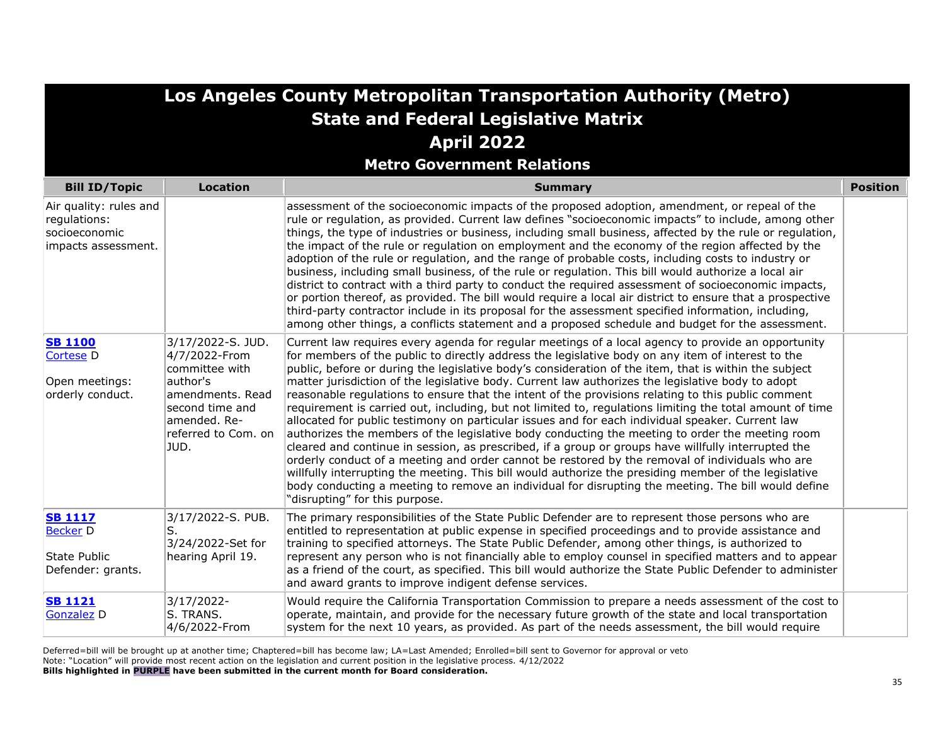| Los Angeles County Metropolitan Transportation Authority (Metro)<br><b>State and Federal Legislative Matrix</b><br><b>April 2022</b> |                                                                                                                                                       |                                                                                                                                                                                                                                                                                                                                                                                                                                                                                                                                                                                                                                                                                                                                                                                                                                                                                                                                                                                                                                                                                                                                                                                                                                                                                                            |                 |
|--------------------------------------------------------------------------------------------------------------------------------------|-------------------------------------------------------------------------------------------------------------------------------------------------------|------------------------------------------------------------------------------------------------------------------------------------------------------------------------------------------------------------------------------------------------------------------------------------------------------------------------------------------------------------------------------------------------------------------------------------------------------------------------------------------------------------------------------------------------------------------------------------------------------------------------------------------------------------------------------------------------------------------------------------------------------------------------------------------------------------------------------------------------------------------------------------------------------------------------------------------------------------------------------------------------------------------------------------------------------------------------------------------------------------------------------------------------------------------------------------------------------------------------------------------------------------------------------------------------------------|-----------------|
| <b>Bill ID/Topic</b>                                                                                                                 | <b>Location</b>                                                                                                                                       | <b>Metro Government Relations</b><br><b>Summary</b>                                                                                                                                                                                                                                                                                                                                                                                                                                                                                                                                                                                                                                                                                                                                                                                                                                                                                                                                                                                                                                                                                                                                                                                                                                                        | <b>Position</b> |
| Air quality: rules and<br>regulations:<br>socioeconomic<br>impacts assessment.                                                       |                                                                                                                                                       | assessment of the socioeconomic impacts of the proposed adoption, amendment, or repeal of the<br>rule or regulation, as provided. Current law defines "socioeconomic impacts" to include, among other<br>things, the type of industries or business, including small business, affected by the rule or regulation,<br>the impact of the rule or regulation on employment and the economy of the region affected by the<br>adoption of the rule or regulation, and the range of probable costs, including costs to industry or<br>business, including small business, of the rule or regulation. This bill would authorize a local air<br>district to contract with a third party to conduct the required assessment of socioeconomic impacts,<br>or portion thereof, as provided. The bill would require a local air district to ensure that a prospective<br>third-party contractor include in its proposal for the assessment specified information, including,<br>among other things, a conflicts statement and a proposed schedule and budget for the assessment.                                                                                                                                                                                                                                      |                 |
| <b>SB 1100</b><br>Cortese <sub>D</sub><br>Open meetings:<br>orderly conduct.                                                         | 3/17/2022-S.JUD.<br>4/7/2022-From<br>committee with<br>author's<br>amendments. Read<br>second time and<br>amended. Re-<br>referred to Com. on<br>JUD. | Current law requires every agenda for regular meetings of a local agency to provide an opportunity<br>for members of the public to directly address the legislative body on any item of interest to the<br>public, before or during the legislative body's consideration of the item, that is within the subject<br>matter jurisdiction of the legislative body. Current law authorizes the legislative body to adopt<br>reasonable regulations to ensure that the intent of the provisions relating to this public comment<br>requirement is carried out, including, but not limited to, regulations limiting the total amount of time<br>allocated for public testimony on particular issues and for each individual speaker. Current law<br>authorizes the members of the legislative body conducting the meeting to order the meeting room<br>cleared and continue in session, as prescribed, if a group or groups have willfully interrupted the<br>orderly conduct of a meeting and order cannot be restored by the removal of individuals who are<br>willfully interrupting the meeting. This bill would authorize the presiding member of the legislative<br>body conducting a meeting to remove an individual for disrupting the meeting. The bill would define<br>"disrupting" for this purpose. |                 |
| <b>SB 1117</b><br><b>Becker</b> D<br>State Public<br>Defender: grants.                                                               | 3/17/2022-S. PUB.<br>S.<br>3/24/2022-Set for<br>hearing April 19.                                                                                     | The primary responsibilities of the State Public Defender are to represent those persons who are<br>entitled to representation at public expense in specified proceedings and to provide assistance and<br>training to specified attorneys. The State Public Defender, among other things, is authorized to<br>represent any person who is not financially able to employ counsel in specified matters and to appear<br>as a friend of the court, as specified. This bill would authorize the State Public Defender to administer<br>and award grants to improve indigent defense services.                                                                                                                                                                                                                                                                                                                                                                                                                                                                                                                                                                                                                                                                                                                |                 |
| <b>SB 1121</b><br><b>Gonzalez</b> D                                                                                                  | 3/17/2022-<br>S. TRANS.<br>4/6/2022-From                                                                                                              | Would require the California Transportation Commission to prepare a needs assessment of the cost to<br>operate, maintain, and provide for the necessary future growth of the state and local transportation<br>system for the next 10 years, as provided. As part of the needs assessment, the bill would require                                                                                                                                                                                                                                                                                                                                                                                                                                                                                                                                                                                                                                                                                                                                                                                                                                                                                                                                                                                          |                 |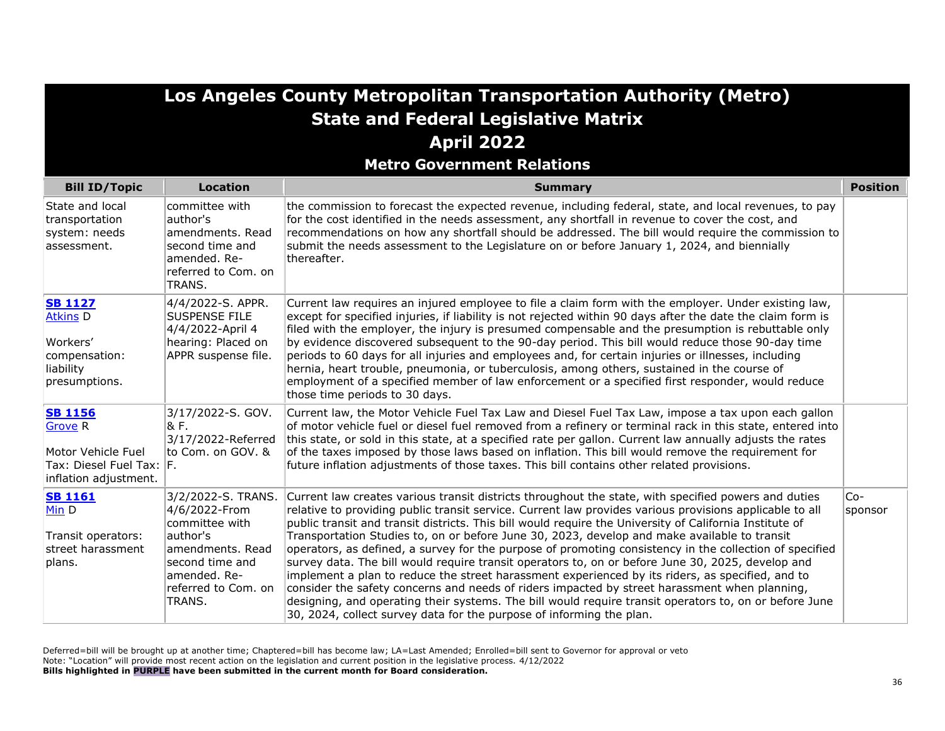| <b>Los Angeles County Metropolitan Transportation Authority (Metro)</b><br><b>State and Federal Legislative Matrix</b><br><b>April 2022</b><br><b>Metro Government Relations</b> |                                                                                                                                                            |                                                                                                                                                                                                                                                                                                                                                                                                                                                                                                                                                                                                                                                                                                                                                                                                                                                                                                                                                                                                                                   |                  |
|----------------------------------------------------------------------------------------------------------------------------------------------------------------------------------|------------------------------------------------------------------------------------------------------------------------------------------------------------|-----------------------------------------------------------------------------------------------------------------------------------------------------------------------------------------------------------------------------------------------------------------------------------------------------------------------------------------------------------------------------------------------------------------------------------------------------------------------------------------------------------------------------------------------------------------------------------------------------------------------------------------------------------------------------------------------------------------------------------------------------------------------------------------------------------------------------------------------------------------------------------------------------------------------------------------------------------------------------------------------------------------------------------|------------------|
| <b>Bill ID/Topic</b>                                                                                                                                                             | <b>Location</b>                                                                                                                                            | <b>Summary</b>                                                                                                                                                                                                                                                                                                                                                                                                                                                                                                                                                                                                                                                                                                                                                                                                                                                                                                                                                                                                                    | <b>Position</b>  |
| State and local<br>transportation<br>system: needs<br>assessment.                                                                                                                | committee with<br>author's<br>amendments. Read<br>second time and<br>amended. Re-<br>referred to Com. on<br>TRANS.                                         | the commission to forecast the expected revenue, including federal, state, and local revenues, to pay<br>for the cost identified in the needs assessment, any shortfall in revenue to cover the cost, and<br>recommendations on how any shortfall should be addressed. The bill would require the commission to<br>submit the needs assessment to the Legislature on or before January 1, 2024, and biennially<br>thereafter.                                                                                                                                                                                                                                                                                                                                                                                                                                                                                                                                                                                                     |                  |
| <b>SB 1127</b><br><b>Atkins D</b><br>Workers'<br>compensation:<br>liability<br>presumptions.                                                                                     | 4/4/2022-S. APPR.<br><b>SUSPENSE FILE</b><br>4/4/2022-April 4<br>hearing: Placed on<br>APPR suspense file.                                                 | Current law requires an injured employee to file a claim form with the employer. Under existing law,<br>except for specified injuries, if liability is not rejected within 90 days after the date the claim form is<br>filed with the employer, the injury is presumed compensable and the presumption is rebuttable only<br>by evidence discovered subsequent to the 90-day period. This bill would reduce those 90-day time<br>periods to 60 days for all injuries and employees and, for certain injuries or illnesses, including<br>hernia, heart trouble, pneumonia, or tuberculosis, among others, sustained in the course of<br>employment of a specified member of law enforcement or a specified first responder, would reduce<br>those time periods to 30 days.                                                                                                                                                                                                                                                         |                  |
| <b>SB 1156</b><br><b>Grove R</b><br>Motor Vehicle Fuel<br>Tax: Diesel Fuel Tax: F.<br>inflation adjustment.                                                                      | 3/17/2022-S. GOV.<br>& F.<br>3/17/2022-Referred<br>to Com. on GOV. &                                                                                       | Current law, the Motor Vehicle Fuel Tax Law and Diesel Fuel Tax Law, impose a tax upon each gallon<br>of motor vehicle fuel or diesel fuel removed from a refinery or terminal rack in this state, entered into<br>this state, or sold in this state, at a specified rate per gallon. Current law annually adjusts the rates<br>of the taxes imposed by those laws based on inflation. This bill would remove the requirement for<br>future inflation adjustments of those taxes. This bill contains other related provisions.                                                                                                                                                                                                                                                                                                                                                                                                                                                                                                    |                  |
| <b>SB 1161</b><br>Min D<br>Transit operators:<br>street harassment<br>plans.                                                                                                     | 3/2/2022-S. TRANS.<br>4/6/2022-From<br>committee with<br>author's<br>amendments. Read<br>second time and<br>lamended. Re-<br>referred to Com. on<br>TRANS. | Current law creates various transit districts throughout the state, with specified powers and duties<br>relative to providing public transit service. Current law provides various provisions applicable to all<br>public transit and transit districts. This bill would require the University of California Institute of<br>Transportation Studies to, on or before June 30, 2023, develop and make available to transit<br>operators, as defined, a survey for the purpose of promoting consistency in the collection of specified<br>survey data. The bill would require transit operators to, on or before June 30, 2025, develop and<br>implement a plan to reduce the street harassment experienced by its riders, as specified, and to<br>consider the safety concerns and needs of riders impacted by street harassment when planning,<br>designing, and operating their systems. The bill would require transit operators to, on or before June<br>30, 2024, collect survey data for the purpose of informing the plan. | $Co-$<br>sponsor |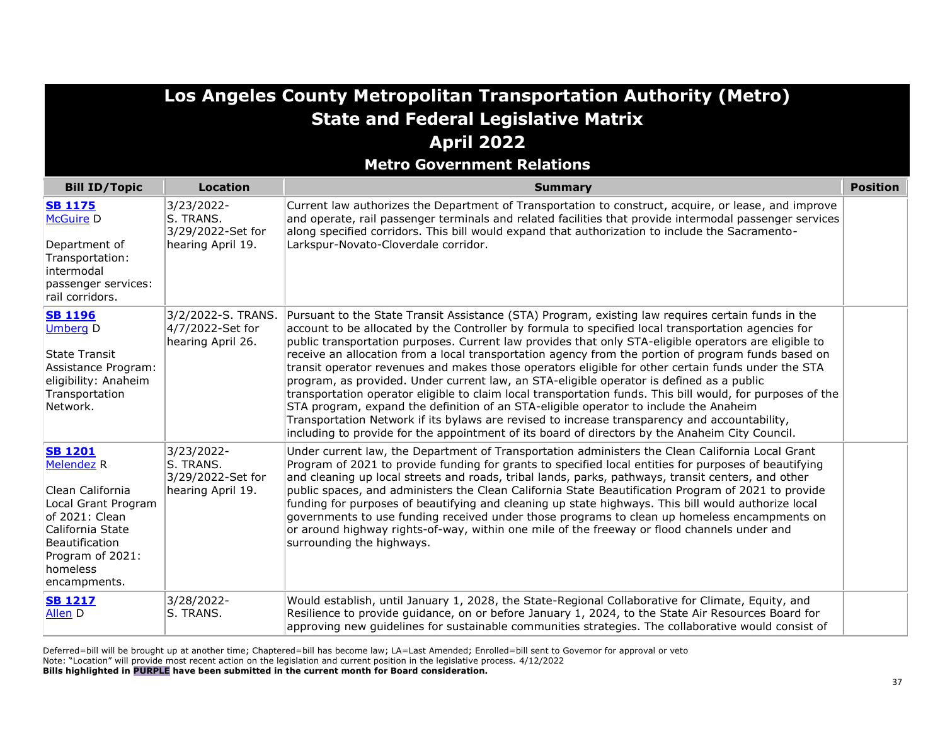|                                                                                                                                                                                        | Los Angeles County Metropolitan Transportation Authority (Metro)<br><b>State and Federal Legislative Matrix</b> |                                                                                                                                                                                                                                                                                                                                                                                                                                                                                                                                                                                                                                                                                                                                                                                                                                                                                                                                                                                                                                        |                 |  |
|----------------------------------------------------------------------------------------------------------------------------------------------------------------------------------------|-----------------------------------------------------------------------------------------------------------------|----------------------------------------------------------------------------------------------------------------------------------------------------------------------------------------------------------------------------------------------------------------------------------------------------------------------------------------------------------------------------------------------------------------------------------------------------------------------------------------------------------------------------------------------------------------------------------------------------------------------------------------------------------------------------------------------------------------------------------------------------------------------------------------------------------------------------------------------------------------------------------------------------------------------------------------------------------------------------------------------------------------------------------------|-----------------|--|
|                                                                                                                                                                                        |                                                                                                                 | <b>April 2022</b>                                                                                                                                                                                                                                                                                                                                                                                                                                                                                                                                                                                                                                                                                                                                                                                                                                                                                                                                                                                                                      |                 |  |
|                                                                                                                                                                                        |                                                                                                                 | <b>Metro Government Relations</b>                                                                                                                                                                                                                                                                                                                                                                                                                                                                                                                                                                                                                                                                                                                                                                                                                                                                                                                                                                                                      |                 |  |
| <b>Bill ID/Topic</b>                                                                                                                                                                   | <b>Location</b>                                                                                                 | <b>Summary</b>                                                                                                                                                                                                                                                                                                                                                                                                                                                                                                                                                                                                                                                                                                                                                                                                                                                                                                                                                                                                                         | <b>Position</b> |  |
| <b>SB 1175</b><br><b>McGuire D</b><br>Department of<br>Transportation:<br>intermodal<br>passenger services:<br>rail corridors.                                                         | 3/23/2022-<br>S. TRANS.<br>3/29/2022-Set for<br>hearing April 19.                                               | Current law authorizes the Department of Transportation to construct, acquire, or lease, and improve<br>and operate, rail passenger terminals and related facilities that provide intermodal passenger services<br>along specified corridors. This bill would expand that authorization to include the Sacramento-<br>Larkspur-Novato-Cloverdale corridor.                                                                                                                                                                                                                                                                                                                                                                                                                                                                                                                                                                                                                                                                             |                 |  |
| <b>SB 1196</b><br><b>Umberg D</b><br><b>State Transit</b><br>Assistance Program:<br>eligibility: Anaheim<br>Transportation<br>Network.                                                 | 3/2/2022-S. TRANS.<br>4/7/2022-Set for<br>hearing April 26.                                                     | Pursuant to the State Transit Assistance (STA) Program, existing law requires certain funds in the<br>account to be allocated by the Controller by formula to specified local transportation agencies for<br>public transportation purposes. Current law provides that only STA-eligible operators are eligible to<br>receive an allocation from a local transportation agency from the portion of program funds based on<br>transit operator revenues and makes those operators eligible for other certain funds under the STA<br>program, as provided. Under current law, an STA-eligible operator is defined as a public<br>transportation operator eligible to claim local transportation funds. This bill would, for purposes of the<br>STA program, expand the definition of an STA-eligible operator to include the Anaheim<br>Transportation Network if its bylaws are revised to increase transparency and accountability,<br>including to provide for the appointment of its board of directors by the Anaheim City Council. |                 |  |
| <b>SB 1201</b><br><b>Melendez R</b><br>Clean California<br>Local Grant Program<br>of 2021: Clean<br>California State<br>Beautification<br>Program of 2021:<br>homeless<br>encampments. | 3/23/2022-<br>S. TRANS.<br>3/29/2022-Set for<br>hearing April 19.                                               | Under current law, the Department of Transportation administers the Clean California Local Grant<br>Program of 2021 to provide funding for grants to specified local entities for purposes of beautifying<br>and cleaning up local streets and roads, tribal lands, parks, pathways, transit centers, and other<br>public spaces, and administers the Clean California State Beautification Program of 2021 to provide<br>funding for purposes of beautifying and cleaning up state highways. This bill would authorize local<br>governments to use funding received under those programs to clean up homeless encampments on<br>or around highway rights-of-way, within one mile of the freeway or flood channels under and<br>surrounding the highways.                                                                                                                                                                                                                                                                              |                 |  |
| <b>SB 1217</b><br>Allen D                                                                                                                                                              | 3/28/2022-<br>S. TRANS.                                                                                         | Would establish, until January 1, 2028, the State-Regional Collaborative for Climate, Equity, and<br>Resilience to provide guidance, on or before January 1, 2024, to the State Air Resources Board for<br>approving new guidelines for sustainable communities strategies. The collaborative would consist of                                                                                                                                                                                                                                                                                                                                                                                                                                                                                                                                                                                                                                                                                                                         |                 |  |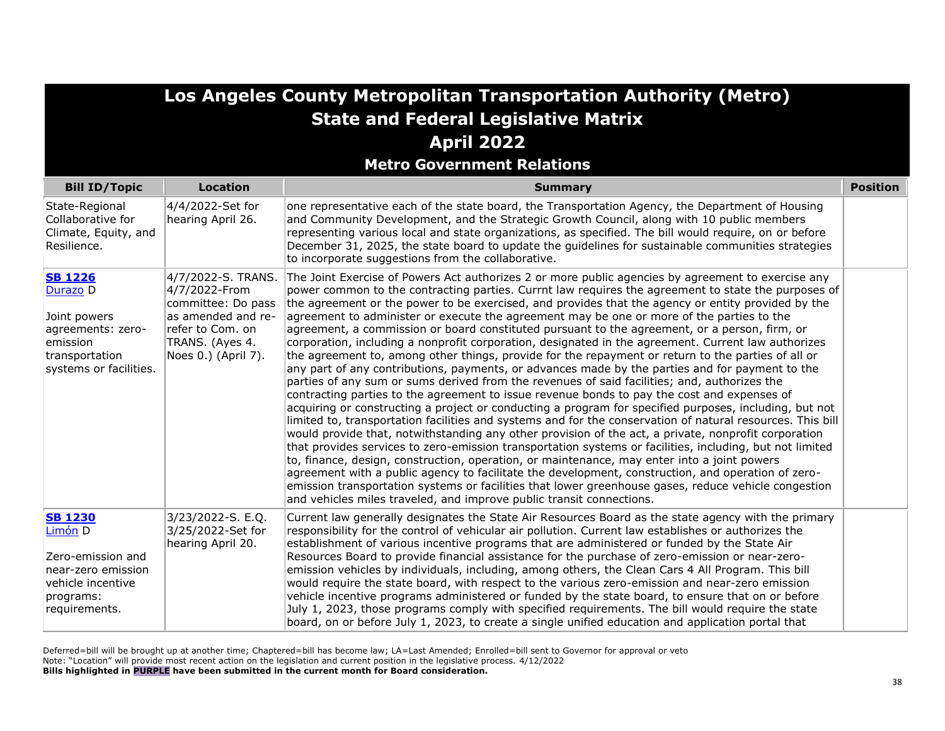| Los Angeles County Metropolitan Transportation Authority (Metro)<br><b>State and Federal Legislative Matrix</b>         |                                                                                                                                               |                                                                                                                                                                                                                                                                                                                                                                                                                                                                                                                                                                                                                                                                                                                                                                                                                                                                                                                                                                                                                                                                                                                                                                                                                                                                                                                                                                                                                                                                                                                                                                                                                                                                                                                                                                                                                                                               |                 |
|-------------------------------------------------------------------------------------------------------------------------|-----------------------------------------------------------------------------------------------------------------------------------------------|---------------------------------------------------------------------------------------------------------------------------------------------------------------------------------------------------------------------------------------------------------------------------------------------------------------------------------------------------------------------------------------------------------------------------------------------------------------------------------------------------------------------------------------------------------------------------------------------------------------------------------------------------------------------------------------------------------------------------------------------------------------------------------------------------------------------------------------------------------------------------------------------------------------------------------------------------------------------------------------------------------------------------------------------------------------------------------------------------------------------------------------------------------------------------------------------------------------------------------------------------------------------------------------------------------------------------------------------------------------------------------------------------------------------------------------------------------------------------------------------------------------------------------------------------------------------------------------------------------------------------------------------------------------------------------------------------------------------------------------------------------------------------------------------------------------------------------------------------------------|-----------------|
|                                                                                                                         |                                                                                                                                               | <b>April 2022</b>                                                                                                                                                                                                                                                                                                                                                                                                                                                                                                                                                                                                                                                                                                                                                                                                                                                                                                                                                                                                                                                                                                                                                                                                                                                                                                                                                                                                                                                                                                                                                                                                                                                                                                                                                                                                                                             |                 |
| <b>Bill ID/Topic</b>                                                                                                    | <b>Location</b>                                                                                                                               | <b>Metro Government Relations</b><br><b>Summary</b>                                                                                                                                                                                                                                                                                                                                                                                                                                                                                                                                                                                                                                                                                                                                                                                                                                                                                                                                                                                                                                                                                                                                                                                                                                                                                                                                                                                                                                                                                                                                                                                                                                                                                                                                                                                                           | <b>Position</b> |
| State-Regional<br>Collaborative for<br>Climate, Equity, and<br>Resilience.                                              | 4/4/2022-Set for<br>hearing April 26.                                                                                                         | one representative each of the state board, the Transportation Agency, the Department of Housing<br>and Community Development, and the Strategic Growth Council, along with 10 public members<br>representing various local and state organizations, as specified. The bill would require, on or before<br>December 31, 2025, the state board to update the guidelines for sustainable communities strategies<br>to incorporate suggestions from the collaborative.                                                                                                                                                                                                                                                                                                                                                                                                                                                                                                                                                                                                                                                                                                                                                                                                                                                                                                                                                                                                                                                                                                                                                                                                                                                                                                                                                                                           |                 |
| <b>SB 1226</b><br>Durazo D<br>Joint powers<br>agreements: zero-<br>emission<br>transportation<br>systems or facilities. | 4/7/2022-S. TRANS.<br>4/7/2022-From<br>committee: Do pass<br>as amended and re-<br>refer to Com. on<br>TRANS. (Ayes 4.<br>Noes 0.) (April 7). | The Joint Exercise of Powers Act authorizes 2 or more public agencies by agreement to exercise any<br>power common to the contracting parties. Currnt law requires the agreement to state the purposes of<br>the agreement or the power to be exercised, and provides that the agency or entity provided by the<br>agreement to administer or execute the agreement may be one or more of the parties to the<br>agreement, a commission or board constituted pursuant to the agreement, or a person, firm, or<br>corporation, including a nonprofit corporation, designated in the agreement. Current law authorizes<br>the agreement to, among other things, provide for the repayment or return to the parties of all or<br>any part of any contributions, payments, or advances made by the parties and for payment to the<br>parties of any sum or sums derived from the revenues of said facilities; and, authorizes the<br>contracting parties to the agreement to issue revenue bonds to pay the cost and expenses of<br>acquiring or constructing a project or conducting a program for specified purposes, including, but not<br>limited to, transportation facilities and systems and for the conservation of natural resources. This bill<br>would provide that, notwithstanding any other provision of the act, a private, nonprofit corporation<br>that provides services to zero-emission transportation systems or facilities, including, but not limited<br>to, finance, design, construction, operation, or maintenance, may enter into a joint powers<br>agreement with a public agency to facilitate the development, construction, and operation of zero-<br>emission transportation systems or facilities that lower greenhouse gases, reduce vehicle congestion<br>and vehicles miles traveled, and improve public transit connections. |                 |
| <b>SB 1230</b><br>Limón D<br>Zero-emission and<br>near-zero emission<br>vehicle incentive<br>programs:<br>requirements. | 3/23/2022-S. E.Q.<br>3/25/2022-Set for<br>hearing April 20.                                                                                   | Current law generally designates the State Air Resources Board as the state agency with the primary<br>responsibility for the control of vehicular air pollution. Current law establishes or authorizes the<br>establishment of various incentive programs that are administered or funded by the State Air<br>Resources Board to provide financial assistance for the purchase of zero-emission or near-zero-<br>emission vehicles by individuals, including, among others, the Clean Cars 4 All Program. This bill<br>would require the state board, with respect to the various zero-emission and near-zero emission<br>vehicle incentive programs administered or funded by the state board, to ensure that on or before<br>July 1, 2023, those programs comply with specified requirements. The bill would require the state<br>board, on or before July 1, 2023, to create a single unified education and application portal that                                                                                                                                                                                                                                                                                                                                                                                                                                                                                                                                                                                                                                                                                                                                                                                                                                                                                                                       |                 |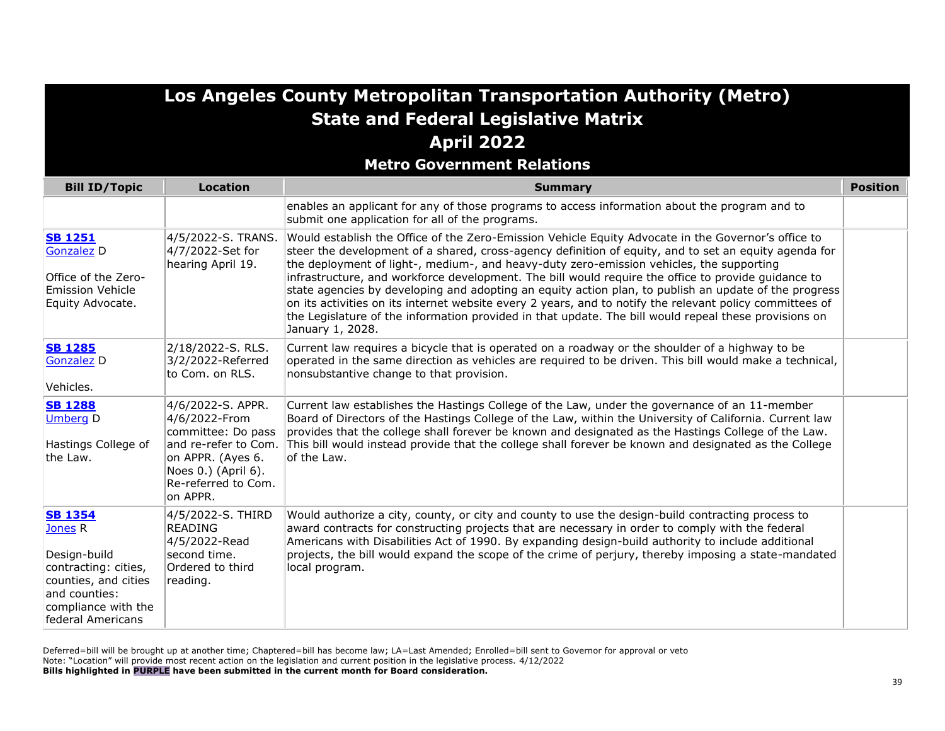#### **Metro Government Relations**

| <b>Bill ID/Topic</b>                                                                                                                                              | <b>Location</b>                                                                                                                         | <b>Position</b><br><b>Summary</b>                                                                                                                                                                                                                                                                                                                                                                                                                                                                                                                                                                                                                                                                                                                                 |  |
|-------------------------------------------------------------------------------------------------------------------------------------------------------------------|-----------------------------------------------------------------------------------------------------------------------------------------|-------------------------------------------------------------------------------------------------------------------------------------------------------------------------------------------------------------------------------------------------------------------------------------------------------------------------------------------------------------------------------------------------------------------------------------------------------------------------------------------------------------------------------------------------------------------------------------------------------------------------------------------------------------------------------------------------------------------------------------------------------------------|--|
|                                                                                                                                                                   |                                                                                                                                         | enables an applicant for any of those programs to access information about the program and to<br>submit one application for all of the programs.                                                                                                                                                                                                                                                                                                                                                                                                                                                                                                                                                                                                                  |  |
| <b>SB 1251</b><br><b>Gonzalez D</b><br>Office of the Zero-<br><b>Emission Vehicle</b><br>Equity Advocate.                                                         | 4/5/2022-S. TRANS.<br>4/7/2022-Set for<br>hearing April 19.                                                                             | Would establish the Office of the Zero-Emission Vehicle Equity Advocate in the Governor's office to<br>steer the development of a shared, cross-agency definition of equity, and to set an equity agenda for<br>the deployment of light-, medium-, and heavy-duty zero-emission vehicles, the supporting<br>infrastructure, and workforce development. The bill would require the office to provide guidance to<br>state agencies by developing and adopting an equity action plan, to publish an update of the progress<br>on its activities on its internet website every 2 years, and to notify the relevant policy committees of<br>the Legislature of the information provided in that update. The bill would repeal these provisions on<br>January 1, 2028. |  |
| <b>SB 1285</b><br><b>Gonzalez</b> D<br>Vehicles.                                                                                                                  | 2/18/2022-S. RLS.<br>3/2/2022-Referred<br>to Com. on RLS.                                                                               | Current law requires a bicycle that is operated on a roadway or the shoulder of a highway to be<br>operated in the same direction as vehicles are required to be driven. This bill would make a technical,<br>nonsubstantive change to that provision.                                                                                                                                                                                                                                                                                                                                                                                                                                                                                                            |  |
| <b>SB 1288</b><br><b>Umberg D</b><br>Hastings College of<br>the Law.                                                                                              | 4/6/2022-S. APPR.<br>4/6/2022-From<br>committee: Do pass<br>on APPR. (Ayes 6.<br>Noes 0.) (April 6).<br>Re-referred to Com.<br>on APPR. | Current law establishes the Hastings College of the Law, under the governance of an 11-member<br>Board of Directors of the Hastings College of the Law, within the University of California. Current law<br>provides that the college shall forever be known and designated as the Hastings College of the Law.<br>and re-refer to Com. This bill would instead provide that the college shall forever be known and designated as the College<br>of the Law.                                                                                                                                                                                                                                                                                                      |  |
| <b>SB 1354</b><br>Jones <sub>R</sub><br>Design-build<br>contracting: cities,<br>counties, and cities<br>and counties:<br>compliance with the<br>federal Americans | 4/5/2022-S. THIRD<br><b>READING</b><br>4/5/2022-Read<br>second time.<br>Ordered to third<br>reading.                                    | Would authorize a city, county, or city and county to use the design-build contracting process to<br>award contracts for constructing projects that are necessary in order to comply with the federal<br>Americans with Disabilities Act of 1990. By expanding design-build authority to include additional<br>projects, the bill would expand the scope of the crime of perjury, thereby imposing a state-mandated<br>local program.                                                                                                                                                                                                                                                                                                                             |  |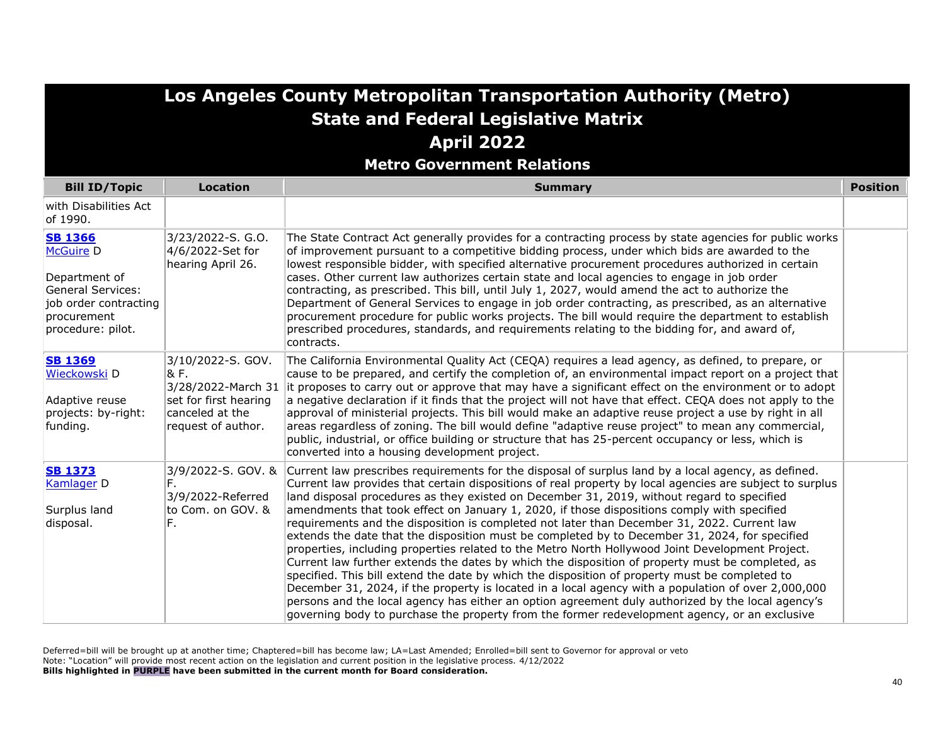**Metro Government Relations**

| <b>Bill ID/Topic</b>                                                                                                                         | <b>Location</b>                                                                                                   | <b>Summary</b>                                                                                                                                                                                                                                                                                                                                                                                                                                                                                                                                                                                                                                                                                                                                                                                                                                                                                                                                                                                                                                                                                                                                                                                                                       |  |
|----------------------------------------------------------------------------------------------------------------------------------------------|-------------------------------------------------------------------------------------------------------------------|--------------------------------------------------------------------------------------------------------------------------------------------------------------------------------------------------------------------------------------------------------------------------------------------------------------------------------------------------------------------------------------------------------------------------------------------------------------------------------------------------------------------------------------------------------------------------------------------------------------------------------------------------------------------------------------------------------------------------------------------------------------------------------------------------------------------------------------------------------------------------------------------------------------------------------------------------------------------------------------------------------------------------------------------------------------------------------------------------------------------------------------------------------------------------------------------------------------------------------------|--|
| with Disabilities Act<br>lof 1990.                                                                                                           |                                                                                                                   |                                                                                                                                                                                                                                                                                                                                                                                                                                                                                                                                                                                                                                                                                                                                                                                                                                                                                                                                                                                                                                                                                                                                                                                                                                      |  |
| <b>SB 1366</b><br><b>McGuire D</b><br>Department of<br><b>General Services:</b><br>job order contracting<br>procurement<br>procedure: pilot. | 3/23/2022-S. G.O.<br>4/6/2022-Set for<br>hearing April 26.                                                        | The State Contract Act generally provides for a contracting process by state agencies for public works<br>of improvement pursuant to a competitive bidding process, under which bids are awarded to the<br>lowest responsible bidder, with specified alternative procurement procedures authorized in certain<br>cases. Other current law authorizes certain state and local agencies to engage in job order<br>contracting, as prescribed. This bill, until July 1, 2027, would amend the act to authorize the<br>Department of General Services to engage in job order contracting, as prescribed, as an alternative<br>procurement procedure for public works projects. The bill would require the department to establish<br>prescribed procedures, standards, and requirements relating to the bidding for, and award of,<br>contracts.                                                                                                                                                                                                                                                                                                                                                                                         |  |
| <b>SB 1369</b><br>Wieckowski D<br>Adaptive reuse<br>projects: by-right:<br>funding.                                                          | 3/10/2022-S. GOV.<br>& F.<br>3/28/2022-March 31<br>set for first hearing<br>canceled at the<br>request of author. | The California Environmental Quality Act (CEQA) requires a lead agency, as defined, to prepare, or<br>cause to be prepared, and certify the completion of, an environmental impact report on a project that<br>it proposes to carry out or approve that may have a significant effect on the environment or to adopt<br>a negative declaration if it finds that the project will not have that effect. CEQA does not apply to the<br>approval of ministerial projects. This bill would make an adaptive reuse project a use by right in all<br>areas regardless of zoning. The bill would define "adaptive reuse project" to mean any commercial,<br>public, industrial, or office building or structure that has 25-percent occupancy or less, which is<br>converted into a housing development project.                                                                                                                                                                                                                                                                                                                                                                                                                            |  |
| <b>SB 1373</b><br>Kamlager <sub>D</sub><br>Surplus land<br>disposal.                                                                         | 3/9/2022-S. GOV. &<br>3/9/2022-Referred<br>to Com. on GOV. &<br>F.                                                | Current law prescribes requirements for the disposal of surplus land by a local agency, as defined.<br>Current law provides that certain dispositions of real property by local agencies are subject to surplus<br>land disposal procedures as they existed on December 31, 2019, without regard to specified<br>amendments that took effect on January 1, 2020, if those dispositions comply with specified<br>requirements and the disposition is completed not later than December 31, 2022. Current law<br>extends the date that the disposition must be completed by to December 31, 2024, for specified<br>properties, including properties related to the Metro North Hollywood Joint Development Project.<br>Current law further extends the dates by which the disposition of property must be completed, as<br>specified. This bill extend the date by which the disposition of property must be completed to<br>December 31, 2024, if the property is located in a local agency with a population of over 2,000,000<br>persons and the local agency has either an option agreement duly authorized by the local agency's<br>governing body to purchase the property from the former redevelopment agency, or an exclusive |  |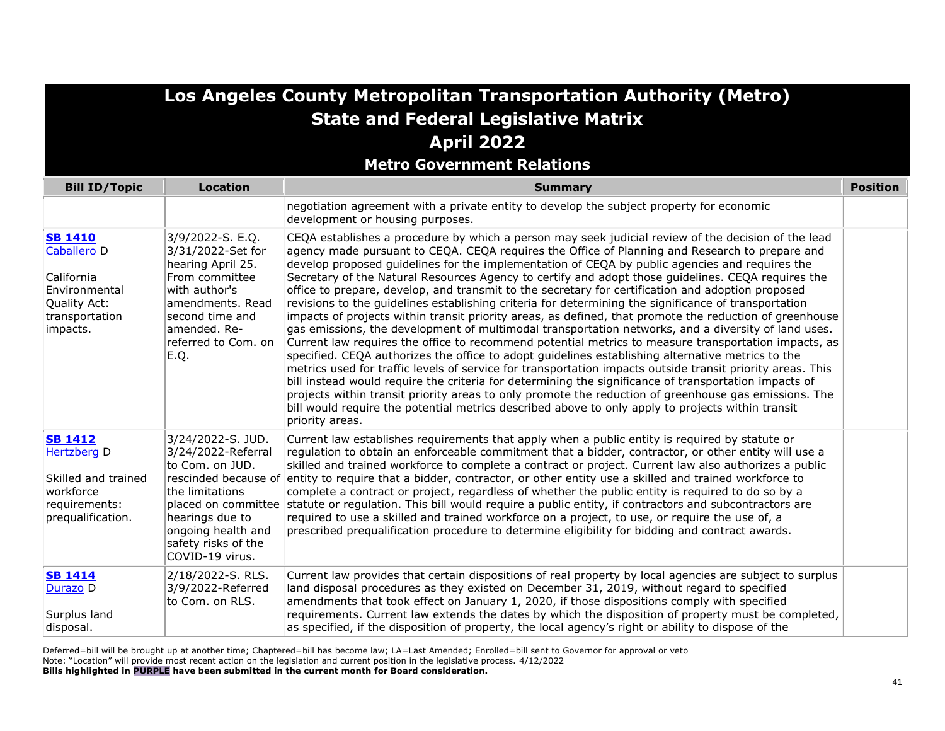**Metro Government Relations**

| <b>Bill ID/Topic</b>                                                                                       | <b>Location</b>                                                                                                                                                                     | <b>Summary</b>                                                                                                                                                                                                                                                                                                                                                                                                                                                                                                                                                                                                                                                                                                                                                                                                                                                                                                                                                                                                                                                                                                                                                                                                                                                                                                                                                                                                                                                                                                    |  |
|------------------------------------------------------------------------------------------------------------|-------------------------------------------------------------------------------------------------------------------------------------------------------------------------------------|-------------------------------------------------------------------------------------------------------------------------------------------------------------------------------------------------------------------------------------------------------------------------------------------------------------------------------------------------------------------------------------------------------------------------------------------------------------------------------------------------------------------------------------------------------------------------------------------------------------------------------------------------------------------------------------------------------------------------------------------------------------------------------------------------------------------------------------------------------------------------------------------------------------------------------------------------------------------------------------------------------------------------------------------------------------------------------------------------------------------------------------------------------------------------------------------------------------------------------------------------------------------------------------------------------------------------------------------------------------------------------------------------------------------------------------------------------------------------------------------------------------------|--|
|                                                                                                            |                                                                                                                                                                                     | negotiation agreement with a private entity to develop the subject property for economic<br>development or housing purposes.                                                                                                                                                                                                                                                                                                                                                                                                                                                                                                                                                                                                                                                                                                                                                                                                                                                                                                                                                                                                                                                                                                                                                                                                                                                                                                                                                                                      |  |
| <b>SB 1410</b><br>Caballero D<br>California<br>Environmental<br>Quality Act:<br>transportation<br>impacts. | 3/9/2022-S. E.Q.<br>3/31/2022-Set for<br>hearing April 25.<br>From committee<br>with author's<br>amendments. Read<br>second time and<br>amended. Re-<br>referred to Com. on<br>E.Q. | CEQA establishes a procedure by which a person may seek judicial review of the decision of the lead<br>agency made pursuant to CEQA. CEQA requires the Office of Planning and Research to prepare and<br>develop proposed quidelines for the implementation of CEQA by public agencies and requires the<br>Secretary of the Natural Resources Agency to certify and adopt those guidelines. CEQA requires the<br>office to prepare, develop, and transmit to the secretary for certification and adoption proposed<br>revisions to the quidelines establishing criteria for determining the significance of transportation<br>impacts of projects within transit priority areas, as defined, that promote the reduction of greenhouse<br>gas emissions, the development of multimodal transportation networks, and a diversity of land uses.<br>Current law requires the office to recommend potential metrics to measure transportation impacts, as<br>specified. CEQA authorizes the office to adopt guidelines establishing alternative metrics to the<br>metrics used for traffic levels of service for transportation impacts outside transit priority areas. This<br>bill instead would require the criteria for determining the significance of transportation impacts of<br>projects within transit priority areas to only promote the reduction of greenhouse gas emissions. The<br>bill would require the potential metrics described above to only apply to projects within transit<br>priority areas. |  |
| <b>SB 1412</b><br>Hertzberg D<br>Skilled and trained<br>workforce<br>requirements:<br>prequalification.    | 3/24/2022-S. JUD.<br>3/24/2022-Referral<br>to Com. on JUD.<br>the limitations<br>hearings due to<br>ongoing health and<br>safety risks of the<br>COVID-19 virus.                    | Current law establishes requirements that apply when a public entity is required by statute or<br>regulation to obtain an enforceable commitment that a bidder, contractor, or other entity will use a<br>skilled and trained workforce to complete a contract or project. Current law also authorizes a public<br>rescinded because of entity to require that a bidder, contractor, or other entity use a skilled and trained workforce to<br>complete a contract or project, regardless of whether the public entity is required to do so by a<br>placed on committee statute or regulation. This bill would require a public entity, if contractors and subcontractors are<br>required to use a skilled and trained workforce on a project, to use, or require the use of, a<br>prescribed prequalification procedure to determine eligibility for bidding and contract awards.                                                                                                                                                                                                                                                                                                                                                                                                                                                                                                                                                                                                                                |  |
| <b>SB 1414</b><br>Durazo D<br>Surplus land<br>disposal.                                                    | 2/18/2022-S. RLS.<br>3/9/2022-Referred<br>to Com. on RLS.                                                                                                                           | Current law provides that certain dispositions of real property by local agencies are subject to surplus<br>land disposal procedures as they existed on December 31, 2019, without regard to specified<br>amendments that took effect on January 1, 2020, if those dispositions comply with specified<br>requirements. Current law extends the dates by which the disposition of property must be completed,<br>as specified, if the disposition of property, the local agency's right or ability to dispose of the                                                                                                                                                                                                                                                                                                                                                                                                                                                                                                                                                                                                                                                                                                                                                                                                                                                                                                                                                                                               |  |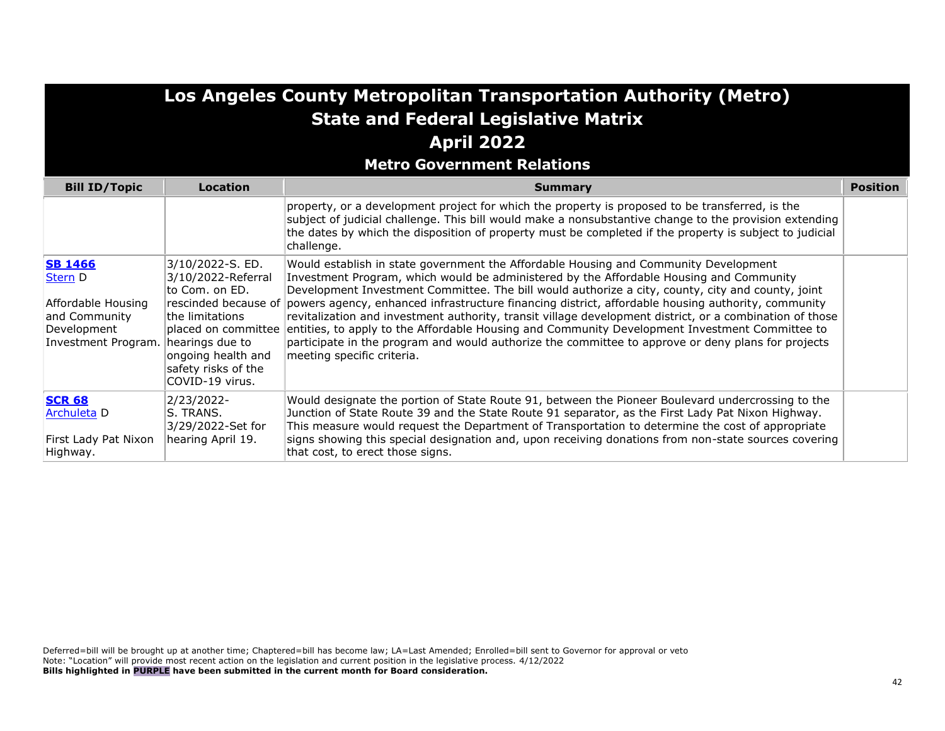| Los Angeles County Metropolitan Transportation Authority (Metro)<br><b>State and Federal Legislative Matrix</b><br><b>April 2022</b><br><b>Metro Government Relations</b> |                                                                                                                                                                                       |                                                                                                                                                                                                                                                                                                                                                                                                                                                                                                                                                                                                                                                                                                                                                                   |                 |
|---------------------------------------------------------------------------------------------------------------------------------------------------------------------------|---------------------------------------------------------------------------------------------------------------------------------------------------------------------------------------|-------------------------------------------------------------------------------------------------------------------------------------------------------------------------------------------------------------------------------------------------------------------------------------------------------------------------------------------------------------------------------------------------------------------------------------------------------------------------------------------------------------------------------------------------------------------------------------------------------------------------------------------------------------------------------------------------------------------------------------------------------------------|-----------------|
| <b>Bill ID/Topic</b>                                                                                                                                                      | Location                                                                                                                                                                              | <b>Summary</b>                                                                                                                                                                                                                                                                                                                                                                                                                                                                                                                                                                                                                                                                                                                                                    | <b>Position</b> |
|                                                                                                                                                                           |                                                                                                                                                                                       | property, or a development project for which the property is proposed to be transferred, is the<br>subject of judicial challenge. This bill would make a nonsubstantive change to the provision extending<br>the dates by which the disposition of property must be completed if the property is subject to judicial<br>challenge.                                                                                                                                                                                                                                                                                                                                                                                                                                |                 |
| <b>SB 1466</b><br><b>Stern</b> D<br>Affordable Housing<br>and Community<br>Development<br>Investment Program.                                                             | 3/10/2022-S. ED.<br>3/10/2022-Referral<br>to Com. on ED.<br>the limitations<br>placed on committee<br>hearings due to<br>ongoing health and<br>safety risks of the<br>COVID-19 virus. | Would establish in state government the Affordable Housing and Community Development<br>Investment Program, which would be administered by the Affordable Housing and Community<br>Development Investment Committee. The bill would authorize a city, county, city and county, joint<br>rescinded because of powers agency, enhanced infrastructure financing district, affordable housing authority, community<br>revitalization and investment authority, transit village development district, or a combination of those<br>entities, to apply to the Affordable Housing and Community Development Investment Committee to<br>participate in the program and would authorize the committee to approve or deny plans for projects<br>meeting specific criteria. |                 |
| <b>SCR 68</b><br><b>Archuleta</b> D<br>First Lady Pat Nixon<br>Highway.                                                                                                   | 2/23/2022-<br>S. TRANS.<br>3/29/2022-Set for<br>hearing April 19.                                                                                                                     | Would designate the portion of State Route 91, between the Pioneer Boulevard undercrossing to the<br>Junction of State Route 39 and the State Route 91 separator, as the First Lady Pat Nixon Highway.<br>This measure would request the Department of Transportation to determine the cost of appropriate<br>signs showing this special designation and, upon receiving donations from non-state sources covering<br>that cost, to erect those signs.                                                                                                                                                                                                                                                                                                            |                 |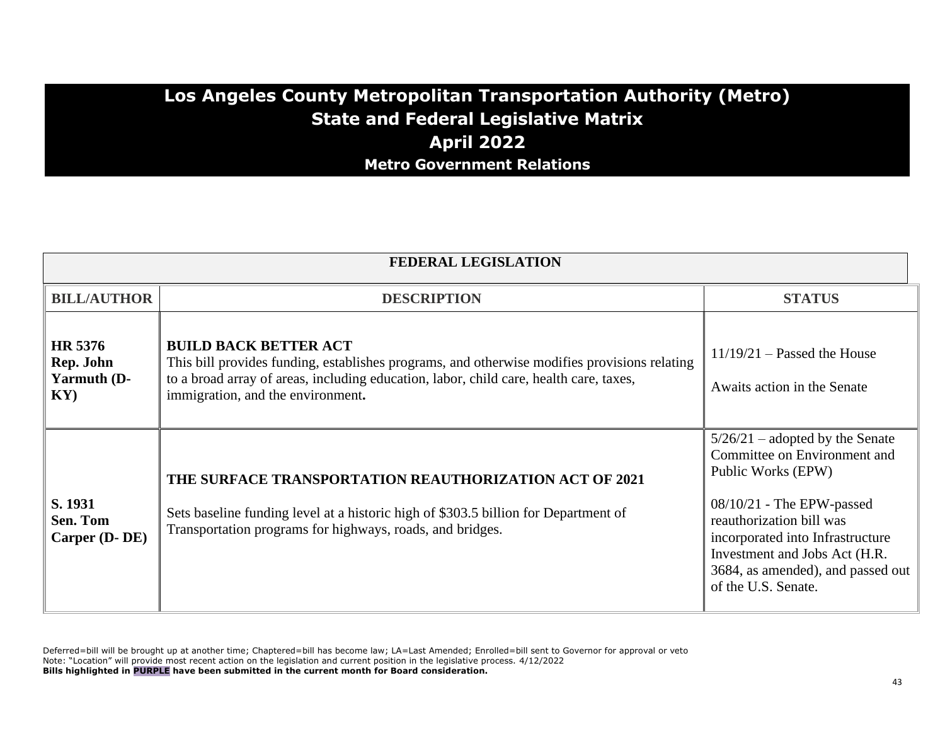#### **Los Angeles County Metropolitan Transportation Authority (Metro) State and Federal Legislative Matrix April 2022 Metro Government Relations**

| <b>FEDERAL LEGISLATION</b>                           |                                                                                                                                                                                                                                                             |                                                                                                                                                                                                                                                                                     |  |
|------------------------------------------------------|-------------------------------------------------------------------------------------------------------------------------------------------------------------------------------------------------------------------------------------------------------------|-------------------------------------------------------------------------------------------------------------------------------------------------------------------------------------------------------------------------------------------------------------------------------------|--|
| <b>BILL/AUTHOR</b>                                   | <b>DESCRIPTION</b>                                                                                                                                                                                                                                          | <b>STATUS</b>                                                                                                                                                                                                                                                                       |  |
| HR 5376<br>Rep. John<br>Yarmuth (D-<br>$\mathbf{KY}$ | <b>BUILD BACK BETTER ACT</b><br>This bill provides funding, establishes programs, and otherwise modifies provisions relating<br>to a broad array of areas, including education, labor, child care, health care, taxes,<br>immigration, and the environment. | $11/19/21$ – Passed the House<br>Awaits action in the Senate                                                                                                                                                                                                                        |  |
| S. 1931<br>Sen. Tom<br>Carper (D-DE)                 | <b>THE SURFACE TRANSPORTATION REAUTHORIZATION ACT OF 2021</b><br>Sets baseline funding level at a historic high of \$303.5 billion for Department of<br>Transportation programs for highways, roads, and bridges.                                           | $5/26/21$ – adopted by the Senate<br>Committee on Environment and<br>Public Works (EPW)<br>$08/10/21$ - The EPW-passed<br>reauthorization bill was<br>incorporated into Infrastructure<br>Investment and Jobs Act (H.R.<br>3684, as amended), and passed out<br>of the U.S. Senate. |  |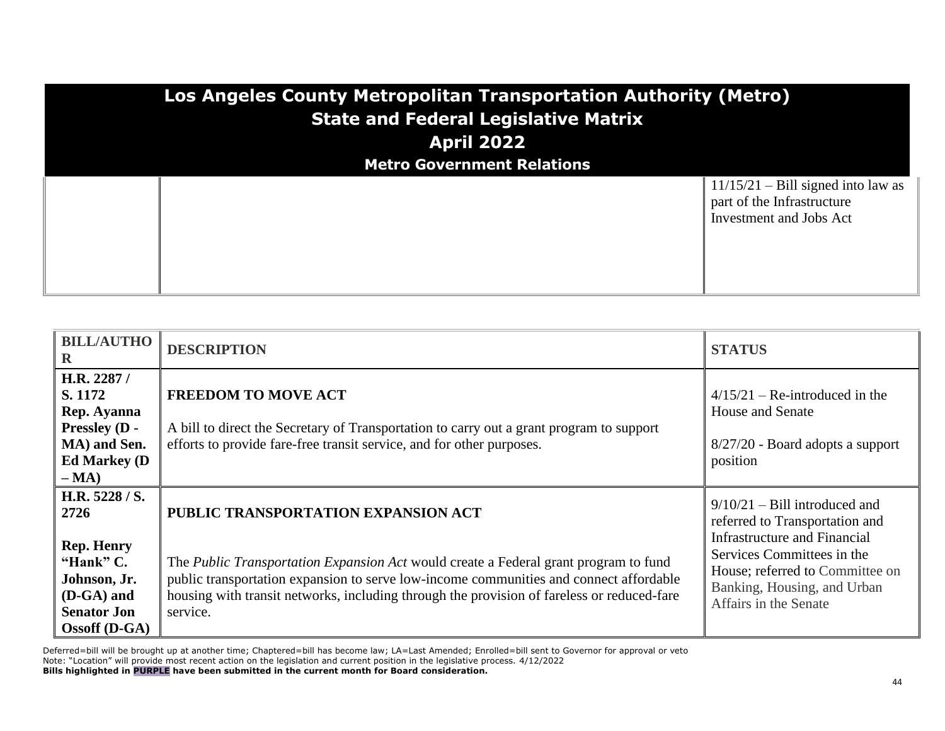| Los Angeles County Metropolitan Transportation Authority (Metro)<br><b>State and Federal Legislative Matrix</b><br><b>April 2022</b> |                                   |                                                                                               |
|--------------------------------------------------------------------------------------------------------------------------------------|-----------------------------------|-----------------------------------------------------------------------------------------------|
|                                                                                                                                      | <b>Metro Government Relations</b> |                                                                                               |
|                                                                                                                                      |                                   | $11/15/21$ – Bill signed into law as<br>part of the Infrastructure<br>Investment and Jobs Act |

| <b>BILL/AUTHO</b><br>R                                                                                          | <b>DESCRIPTION</b>                                                                                                                                                                                                                                                                              | <b>STATUS</b>                                                                                                                                         |
|-----------------------------------------------------------------------------------------------------------------|-------------------------------------------------------------------------------------------------------------------------------------------------------------------------------------------------------------------------------------------------------------------------------------------------|-------------------------------------------------------------------------------------------------------------------------------------------------------|
| H.R. 2287 /<br>S. 1172<br>Rep. Ayanna<br><b>Pressley (D -</b><br>MA) and Sen.<br><b>Ed Markey (D)</b><br>$- MA$ | <b>FREEDOM TO MOVE ACT</b><br>A bill to direct the Secretary of Transportation to carry out a grant program to support<br>efforts to provide fare-free transit service, and for other purposes.                                                                                                 | $4/15/21$ – Re-introduced in the<br><b>House and Senate</b><br>$8/27/20$ - Board adopts a support<br>position                                         |
| H.R. 5228 / S.<br>2726                                                                                          | PUBLIC TRANSPORTATION EXPANSION ACT                                                                                                                                                                                                                                                             | $9/10/21$ – Bill introduced and<br>referred to Transportation and                                                                                     |
| <b>Rep. Henry</b><br>"Hank" C.<br>Johnson, Jr.<br>$(D-GA)$ and<br><b>Senator Jon</b><br>$Ossoff$ (D-GA)         | The <i>Public Transportation Expansion Act</i> would create a Federal grant program to fund<br>public transportation expansion to serve low-income communities and connect affordable<br>housing with transit networks, including through the provision of fareless or reduced-fare<br>service. | Infrastructure and Financial<br>Services Committees in the<br>House; referred to Committee on<br>Banking, Housing, and Urban<br>Affairs in the Senate |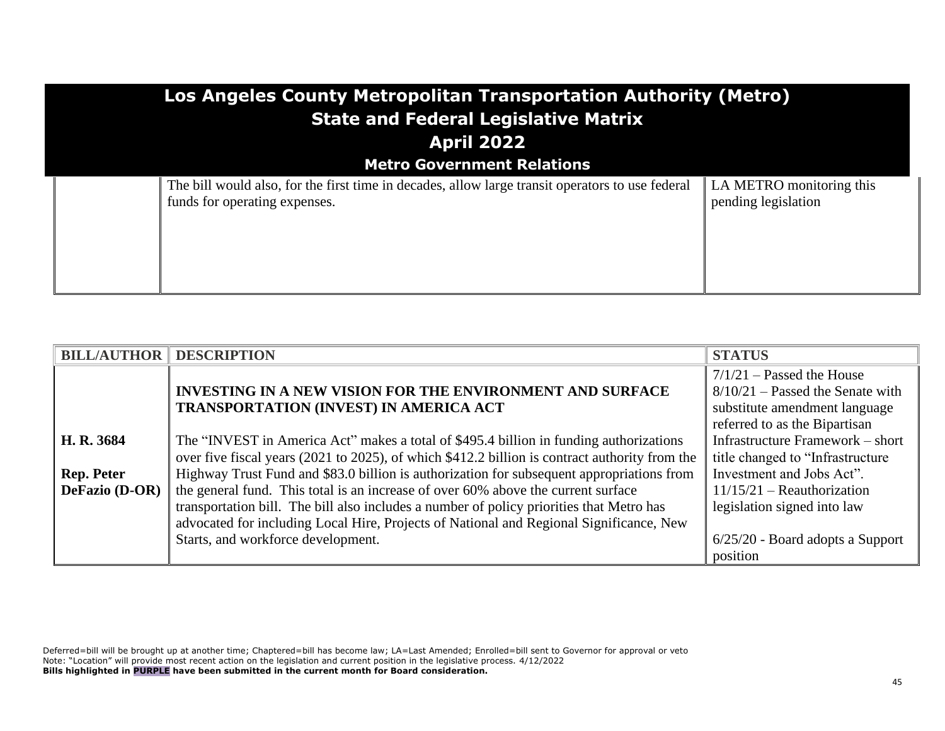| Los Angeles County Metropolitan Transportation Authority (Metro)<br><b>State and Federal Legislative Matrix</b><br><b>April 2022</b> |                                                 |  |
|--------------------------------------------------------------------------------------------------------------------------------------|-------------------------------------------------|--|
| <b>Metro Government Relations</b>                                                                                                    |                                                 |  |
| The bill would also, for the first time in decades, allow large transit operators to use federal<br>funds for operating expenses.    | LA METRO monitoring this<br>pending legislation |  |

| <b>BILL/AUTHOR DESCRIPTION</b> |                                                                                                | <b>STATUS</b>                      |
|--------------------------------|------------------------------------------------------------------------------------------------|------------------------------------|
|                                |                                                                                                | $7/1/21$ – Passed the House        |
|                                | <b>INVESTING IN A NEW VISION FOR THE ENVIRONMENT AND SURFACE</b>                               | $8/10/21$ – Passed the Senate with |
|                                | <b>TRANSPORTATION (INVEST) IN AMERICA ACT</b>                                                  | substitute amendment language      |
|                                |                                                                                                | referred to as the Bipartisan      |
| H. R. 3684                     | The "INVEST in America Act" makes a total of \$495.4 billion in funding authorizations         | Infrastructure Framework – short   |
|                                | over five fiscal years (2021 to 2025), of which \$412.2 billion is contract authority from the | title changed to "Infrastructure   |
| <b>Rep. Peter</b>              | Highway Trust Fund and \$83.0 billion is authorization for subsequent appropriations from      | Investment and Jobs Act".          |
| DeFazio (D-OR) $\ $            | the general fund. This total is an increase of over 60% above the current surface              | $11/15/21$ – Reauthorization       |
|                                | transportation bill. The bill also includes a number of policy priorities that Metro has       | legislation signed into law        |
|                                | advocated for including Local Hire, Projects of National and Regional Significance, New        |                                    |
|                                | Starts, and workforce development.                                                             | $6/25/20$ - Board adopts a Support |
|                                |                                                                                                | position                           |